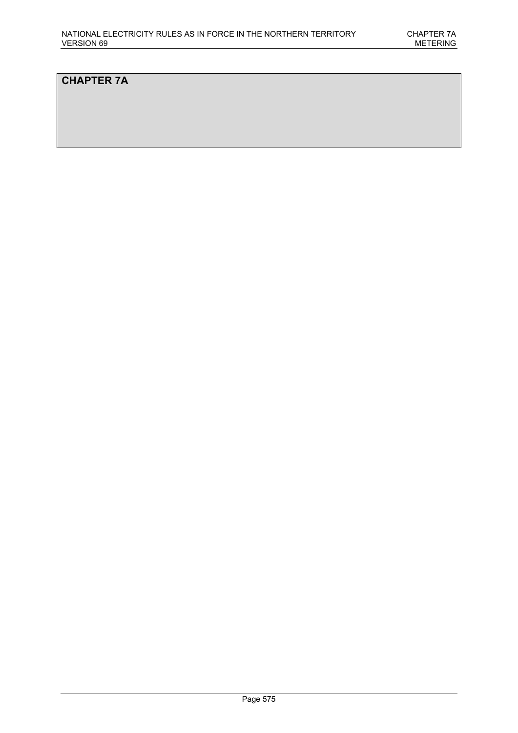# **CHAPTER 7A**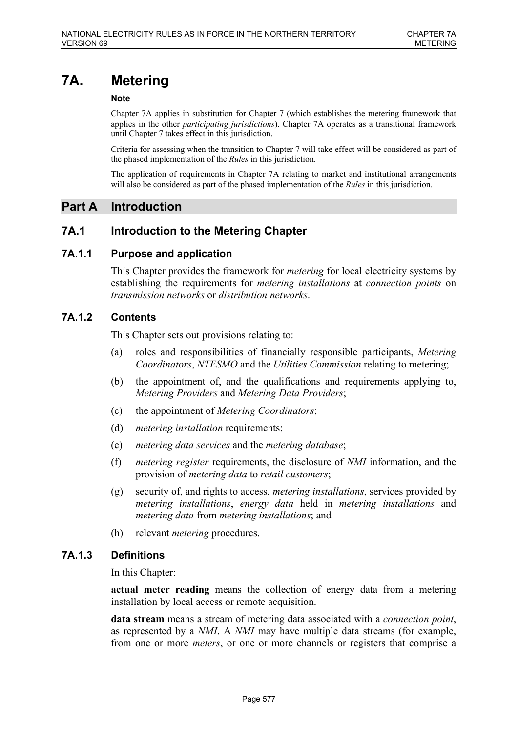# **7A. Metering**

### **Note**

Chapter 7A applies in substitution for Chapter 7 (which establishes the metering framework that applies in the other *participating jurisdictions*). Chapter 7A operates as a transitional framework until Chapter 7 takes effect in this jurisdiction.

Criteria for assessing when the transition to Chapter 7 will take effect will be considered as part of the phased implementation of the *Rules* in this jurisdiction.

The application of requirements in Chapter 7A relating to market and institutional arrangements will also be considered as part of the phased implementation of the *Rules* in this jurisdiction.

# **Part A Introduction**

# **7A.1 Introduction to the Metering Chapter**

# **7A.1.1 Purpose and application**

This Chapter provides the framework for *metering* for local electricity systems by establishing the requirements for *metering installations* at *connection points* on *transmission networks* or *distribution networks*.

# **7A.1.2 Contents**

This Chapter sets out provisions relating to:

- (a) roles and responsibilities of financially responsible participants, *Metering Coordinators*, *NTESMO* and the *Utilities Commission* relating to metering;
- (b) the appointment of, and the qualifications and requirements applying to, *Metering Providers* and *Metering Data Providers*;
- (c) the appointment of *Metering Coordinators*;
- (d) *metering installation* requirements;
- (e) *metering data services* and the *metering database*;
- (f) *metering register* requirements, the disclosure of *NMI* information, and the provision of *metering data* to *retail customers*;
- (g) security of, and rights to access, *metering installations*, services provided by *metering installations*, *energy data* held in *metering installations* and *metering data* from *metering installations*; and
- (h) relevant *metering* procedures.

# **7A.1.3 Definitions**

In this Chapter:

**actual meter reading** means the collection of energy data from a metering installation by local access or remote acquisition.

**data stream** means a stream of metering data associated with a *connection point*, as represented by a *NMI*. A *NMI* may have multiple data streams (for example, from one or more *meters*, or one or more channels or registers that comprise a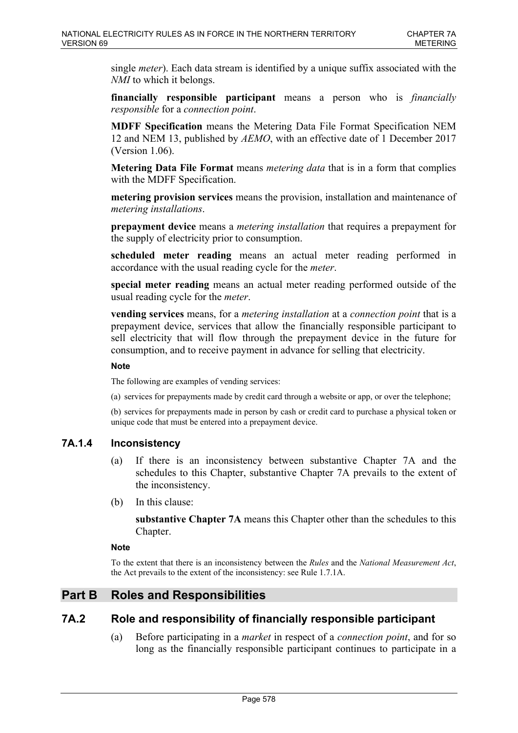single *meter*). Each data stream is identified by a unique suffix associated with the *NMI* to which it belongs.

**financially responsible participant** means a person who is *financially responsible* for a *connection point*.

**MDFF Specification** means the Metering Data File Format Specification NEM 12 and NEM 13, published by *AEMO*, with an effective date of 1 December 2017 (Version 1.06).

**Metering Data File Format** means *metering data* that is in a form that complies with the MDFF Specification.

**metering provision services** means the provision, installation and maintenance of *metering installations*.

**prepayment device** means a *metering installation* that requires a prepayment for the supply of electricity prior to consumption.

**scheduled meter reading** means an actual meter reading performed in accordance with the usual reading cycle for the *meter*.

**special meter reading** means an actual meter reading performed outside of the usual reading cycle for the *meter*.

**vending services** means, for a *metering installation* at a *connection point* that is a prepayment device, services that allow the financially responsible participant to sell electricity that will flow through the prepayment device in the future for consumption, and to receive payment in advance for selling that electricity.

#### **Note**

The following are examples of vending services:

(a) services for prepayments made by credit card through a website or app, or over the telephone;

(b) services for prepayments made in person by cash or credit card to purchase a physical token or unique code that must be entered into a prepayment device.

### **7A.1.4 Inconsistency**

- (a) If there is an inconsistency between substantive Chapter 7A and the schedules to this Chapter, substantive Chapter 7A prevails to the extent of the inconsistency.
- (b) In this clause:

**substantive Chapter 7A** means this Chapter other than the schedules to this Chapter.

#### **Note**

To the extent that there is an inconsistency between the *Rules* and the *National Measurement Act*, the Act prevails to the extent of the inconsistency: see Rule 1.7.1A.

# **Part B Roles and Responsibilities**

# **7A.2 Role and responsibility of financially responsible participant**

(a) Before participating in a *market* in respect of a *connection point*, and for so long as the financially responsible participant continues to participate in a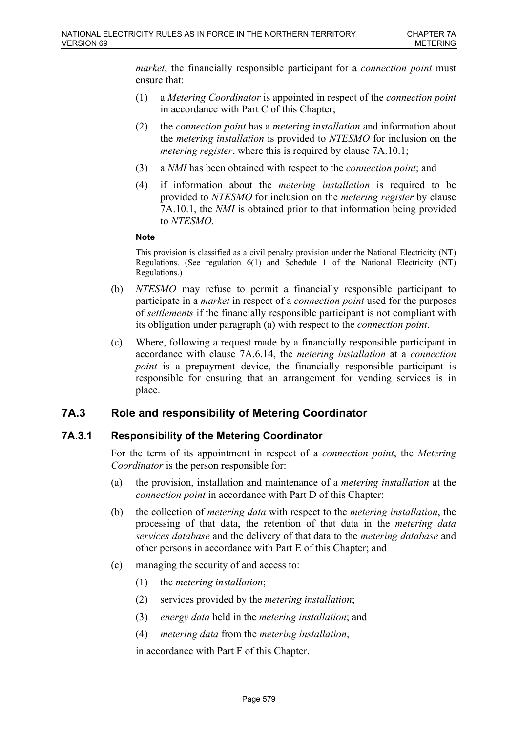*market*, the financially responsible participant for a *connection point* must ensure that:

- (1) a *Metering Coordinator* is appointed in respect of the *connection point* in accordance with Part C of this Chapter;
- (2) the *connection point* has a *metering installation* and information about the *metering installation* is provided to *NTESMO* for inclusion on the *metering register*, where this is required by clause 7A.10.1;
- (3) a *NMI* has been obtained with respect to the *connection point*; and
- (4) if information about the *metering installation* is required to be provided to *NTESMO* for inclusion on the *metering register* by clause 7A.10.1, the *NMI* is obtained prior to that information being provided to *NTESMO*.

#### **Note**

This provision is classified as a civil penalty provision under the National Electricity (NT) Regulations. (See regulation 6(1) and Schedule 1 of the National Electricity (NT) Regulations.)

- (b) *NTESMO* may refuse to permit a financially responsible participant to participate in a *market* in respect of a *connection point* used for the purposes of *settlements* if the financially responsible participant is not compliant with its obligation under paragraph (a) with respect to the *connection point*.
- (c) Where, following a request made by a financially responsible participant in accordance with clause 7A.6.14, the *metering installation* at a *connection point* is a prepayment device, the financially responsible participant is responsible for ensuring that an arrangement for vending services is in place.

# **7A.3 Role and responsibility of Metering Coordinator**

# **7A.3.1 Responsibility of the Metering Coordinator**

For the term of its appointment in respect of a *connection point*, the *Metering Coordinator* is the person responsible for:

- (a) the provision, installation and maintenance of a *metering installation* at the *connection point* in accordance with Part D of this Chapter;
- (b) the collection of *metering data* with respect to the *metering installation*, the processing of that data, the retention of that data in the *metering data services database* and the delivery of that data to the *metering database* and other persons in accordance with Part E of this Chapter; and
- (c) managing the security of and access to:
	- (1) the *metering installation*;
	- (2) services provided by the *metering installation*;
	- (3) *energy data* held in the *metering installation*; and
	- (4) *metering data* from the *metering installation*,

in accordance with Part F of this Chapter.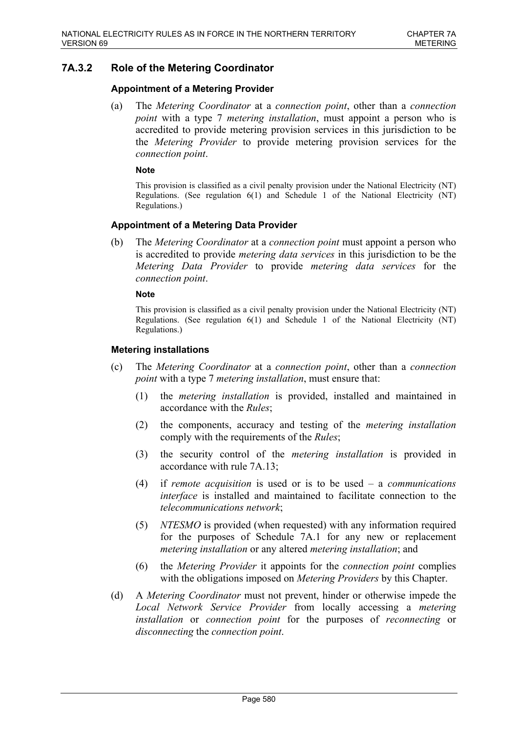# **7A.3.2 Role of the Metering Coordinator**

### **Appointment of a Metering Provider**

(a) The *Metering Coordinator* at a *connection point*, other than a *connection point* with a type 7 *metering installation*, must appoint a person who is accredited to provide metering provision services in this jurisdiction to be the *Metering Provider* to provide metering provision services for the *connection point*.

#### **Note**

This provision is classified as a civil penalty provision under the National Electricity (NT) Regulations. (See regulation 6(1) and Schedule 1 of the National Electricity (NT) Regulations.)

### **Appointment of a Metering Data Provider**

(b) The *Metering Coordinator* at a *connection point* must appoint a person who is accredited to provide *metering data services* in this jurisdiction to be the *Metering Data Provider* to provide *metering data services* for the *connection point*.

#### **Note**

This provision is classified as a civil penalty provision under the National Electricity (NT) Regulations. (See regulation  $6(1)$  and Schedule 1 of the National Electricity (NT) Regulations.)

### **Metering installations**

- (c) The *Metering Coordinator* at a *connection point*, other than a *connection point* with a type 7 *metering installation*, must ensure that:
	- (1) the *metering installation* is provided, installed and maintained in accordance with the *Rules*;
	- (2) the components, accuracy and testing of the *metering installation* comply with the requirements of the *Rules*;
	- (3) the security control of the *metering installation* is provided in accordance with rule 7A.13;
	- (4) if *remote acquisition* is used or is to be used a *communications interface* is installed and maintained to facilitate connection to the *telecommunications network*;
	- (5) *NTESMO* is provided (when requested) with any information required for the purposes of Schedule 7A.1 for any new or replacement *metering installation* or any altered *metering installation*; and
	- (6) the *Metering Provider* it appoints for the *connection point* complies with the obligations imposed on *Metering Providers* by this Chapter.
- (d) A *Metering Coordinator* must not prevent, hinder or otherwise impede the *Local Network Service Provider* from locally accessing a *metering installation* or *connection point* for the purposes of *reconnecting* or *disconnecting* the *connection point*.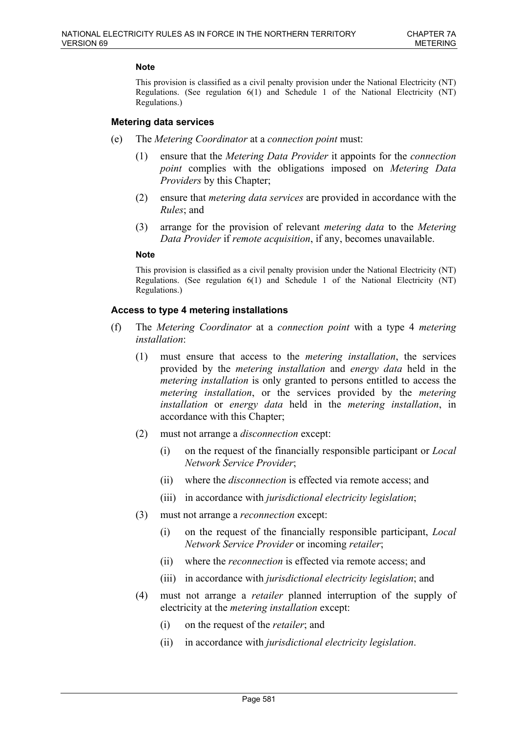This provision is classified as a civil penalty provision under the National Electricity (NT) Regulations. (See regulation  $6(1)$  and Schedule 1 of the National Electricity (NT) Regulations.)

#### **Metering data services**

- (e) The *Metering Coordinator* at a *connection point* must:
	- (1) ensure that the *Metering Data Provider* it appoints for the *connection point* complies with the obligations imposed on *Metering Data Providers* by this Chapter;
	- (2) ensure that *metering data services* are provided in accordance with the *Rules*; and
	- (3) arrange for the provision of relevant *metering data* to the *Metering Data Provider* if *remote acquisition*, if any, becomes unavailable.

#### **Note**

This provision is classified as a civil penalty provision under the National Electricity (NT) Regulations. (See regulation 6(1) and Schedule 1 of the National Electricity (NT) Regulations.)

#### **Access to type 4 metering installations**

- (f) The *Metering Coordinator* at a *connection point* with a type 4 *metering installation*:
	- (1) must ensure that access to the *metering installation*, the services provided by the *metering installation* and *energy data* held in the *metering installation* is only granted to persons entitled to access the *metering installation*, or the services provided by the *metering installation* or *energy data* held in the *metering installation*, in accordance with this Chapter;
	- (2) must not arrange a *disconnection* except:
		- (i) on the request of the financially responsible participant or *Local Network Service Provider*;
		- (ii) where the *disconnection* is effected via remote access; and
		- (iii) in accordance with *jurisdictional electricity legislation*;
	- (3) must not arrange a *reconnection* except:
		- (i) on the request of the financially responsible participant, *Local Network Service Provider* or incoming *retailer*;
		- (ii) where the *reconnection* is effected via remote access; and
		- (iii) in accordance with *jurisdictional electricity legislation*; and
	- (4) must not arrange a *retailer* planned interruption of the supply of electricity at the *metering installation* except:
		- (i) on the request of the *retailer*; and
		- (ii) in accordance with *jurisdictional electricity legislation*.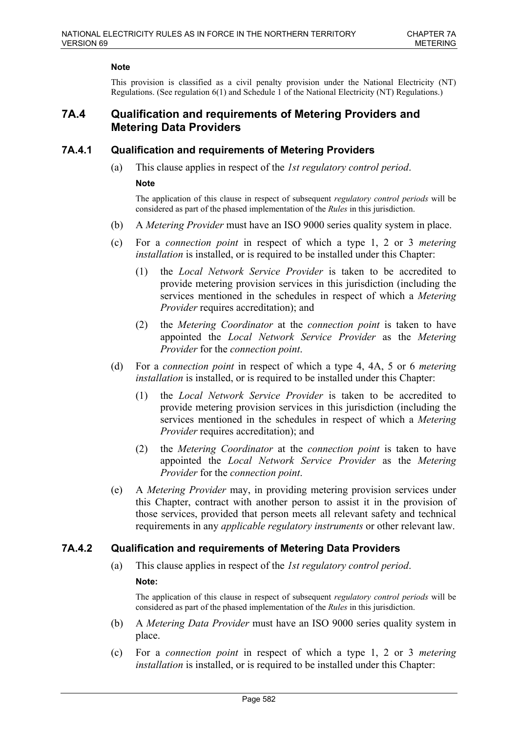This provision is classified as a civil penalty provision under the National Electricity (NT) Regulations. (See regulation 6(1) and Schedule 1 of the National Electricity (NT) Regulations.)

# **7A.4 Qualification and requirements of Metering Providers and Metering Data Providers**

### **7A.4.1 Qualification and requirements of Metering Providers**

(a) This clause applies in respect of the *1st regulatory control period*.

#### **Note**

The application of this clause in respect of subsequent *regulatory control periods* will be considered as part of the phased implementation of the *Rules* in this jurisdiction.

- (b) A *Metering Provider* must have an ISO 9000 series quality system in place.
- (c) For a *connection point* in respect of which a type 1, 2 or 3 *metering installation* is installed, or is required to be installed under this Chapter:
	- (1) the *Local Network Service Provider* is taken to be accredited to provide metering provision services in this jurisdiction (including the services mentioned in the schedules in respect of which a *Metering Provider* requires accreditation); and
	- (2) the *Metering Coordinator* at the *connection point* is taken to have appointed the *Local Network Service Provider* as the *Metering Provider* for the *connection point*.
- (d) For a *connection point* in respect of which a type 4, 4A, 5 or 6 *metering installation* is installed, or is required to be installed under this Chapter:
	- (1) the *Local Network Service Provider* is taken to be accredited to provide metering provision services in this jurisdiction (including the services mentioned in the schedules in respect of which a *Metering Provider* requires accreditation); and
	- (2) the *Metering Coordinator* at the *connection point* is taken to have appointed the *Local Network Service Provider* as the *Metering Provider* for the *connection point*.
- (e) A *Metering Provider* may, in providing metering provision services under this Chapter, contract with another person to assist it in the provision of those services, provided that person meets all relevant safety and technical requirements in any *applicable regulatory instruments* or other relevant law.

# **7A.4.2 Qualification and requirements of Metering Data Providers**

(a) This clause applies in respect of the *1st regulatory control period*.

### **Note:**

The application of this clause in respect of subsequent *regulatory control periods* will be considered as part of the phased implementation of the *Rules* in this jurisdiction.

- (b) A *Metering Data Provider* must have an ISO 9000 series quality system in place.
- (c) For a *connection point* in respect of which a type 1, 2 or 3 *metering installation* is installed, or is required to be installed under this Chapter: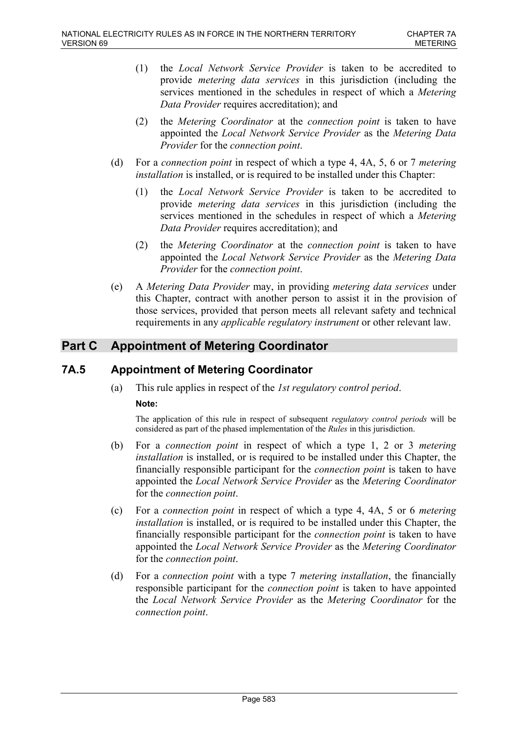- (1) the *Local Network Service Provider* is taken to be accredited to provide *metering data services* in this jurisdiction (including the services mentioned in the schedules in respect of which a *Metering Data Provider* requires accreditation); and
- (2) the *Metering Coordinator* at the *connection point* is taken to have appointed the *Local Network Service Provider* as the *Metering Data Provider* for the *connection point*.
- (d) For a *connection point* in respect of which a type 4, 4A, 5, 6 or 7 *metering installation* is installed, or is required to be installed under this Chapter:
	- (1) the *Local Network Service Provider* is taken to be accredited to provide *metering data services* in this jurisdiction (including the services mentioned in the schedules in respect of which a *Metering Data Provider* requires accreditation); and
	- (2) the *Metering Coordinator* at the *connection point* is taken to have appointed the *Local Network Service Provider* as the *Metering Data Provider* for the *connection point*.
- (e) A *Metering Data Provider* may, in providing *metering data services* under this Chapter, contract with another person to assist it in the provision of those services, provided that person meets all relevant safety and technical requirements in any *applicable regulatory instrument* or other relevant law.

# **Part C Appointment of Metering Coordinator**

# **7A.5 Appointment of Metering Coordinator**

(a) This rule applies in respect of the *1st regulatory control period*.

### **Note:**

The application of this rule in respect of subsequent *regulatory control periods* will be considered as part of the phased implementation of the *Rules* in this jurisdiction.

- (b) For a *connection point* in respect of which a type 1, 2 or 3 *metering installation* is installed, or is required to be installed under this Chapter, the financially responsible participant for the *connection point* is taken to have appointed the *Local Network Service Provider* as the *Metering Coordinator* for the *connection point*.
- (c) For a *connection point* in respect of which a type 4, 4A, 5 or 6 *metering installation* is installed, or is required to be installed under this Chapter, the financially responsible participant for the *connection point* is taken to have appointed the *Local Network Service Provider* as the *Metering Coordinator* for the *connection point*.
- (d) For a *connection point* with a type 7 *metering installation*, the financially responsible participant for the *connection point* is taken to have appointed the *Local Network Service Provider* as the *Metering Coordinator* for the *connection point*.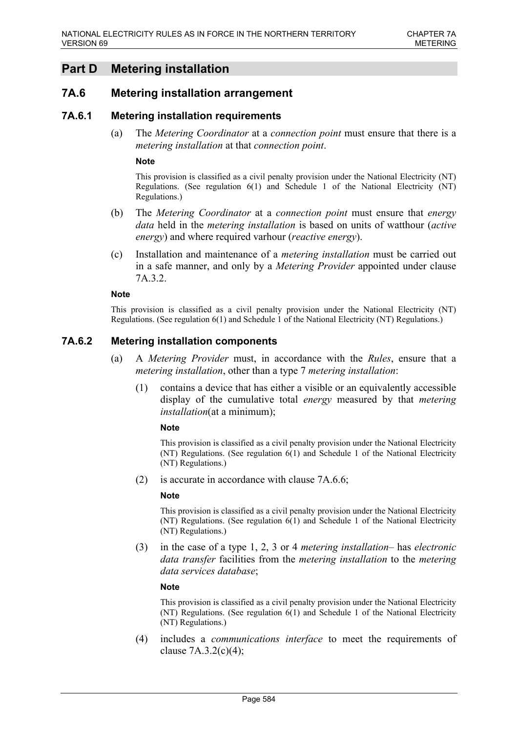# **Part D Metering installation**

# **7A.6 Metering installation arrangement**

### **7A.6.1 Metering installation requirements**

(a) The *Metering Coordinator* at a *connection point* must ensure that there is a *metering installation* at that *connection point*.

#### **Note**

This provision is classified as a civil penalty provision under the National Electricity (NT) Regulations. (See regulation 6(1) and Schedule 1 of the National Electricity (NT) Regulations.)

- (b) The *Metering Coordinator* at a *connection point* must ensure that *energy data* held in the *metering installation* is based on units of watthour (*active energy*) and where required varhour (*reactive energy*).
- (c) Installation and maintenance of a *metering installation* must be carried out in a safe manner, and only by a *Metering Provider* appointed under clause 7A.3.2.

#### **Note**

This provision is classified as a civil penalty provision under the National Electricity (NT) Regulations. (See regulation 6(1) and Schedule 1 of the National Electricity (NT) Regulations.)

#### **7A.6.2 Metering installation components**

- (a) A *Metering Provider* must, in accordance with the *Rules*, ensure that a *metering installation*, other than a type 7 *metering installation*:
	- (1) contains a device that has either a visible or an equivalently accessible display of the cumulative total *energy* measured by that *metering installation*(at a minimum);

#### **Note**

This provision is classified as a civil penalty provision under the National Electricity (NT) Regulations. (See regulation 6(1) and Schedule 1 of the National Electricity (NT) Regulations.)

(2) is accurate in accordance with clause 7A.6.6;

#### **Note**

This provision is classified as a civil penalty provision under the National Electricity (NT) Regulations. (See regulation 6(1) and Schedule 1 of the National Electricity (NT) Regulations.)

(3) in the case of a type 1, 2, 3 or 4 *metering installation*– has *electronic data transfer* facilities from the *metering installation* to the *metering data services database*;

#### **Note**

This provision is classified as a civil penalty provision under the National Electricity (NT) Regulations. (See regulation 6(1) and Schedule 1 of the National Electricity (NT) Regulations.)

(4) includes a *communications interface* to meet the requirements of clause  $7A.3.2(c)(4)$ ;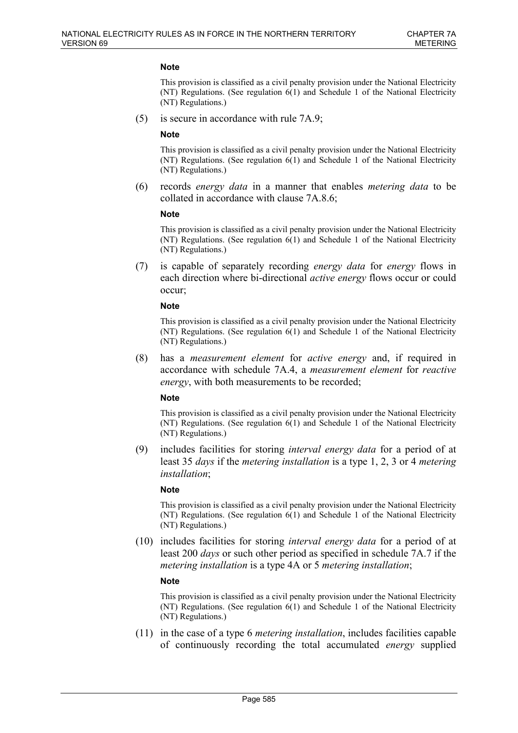This provision is classified as a civil penalty provision under the National Electricity (NT) Regulations. (See regulation 6(1) and Schedule 1 of the National Electricity (NT) Regulations.)

(5) is secure in accordance with rule 7A.9;

#### **Note**

This provision is classified as a civil penalty provision under the National Electricity (NT) Regulations. (See regulation 6(1) and Schedule 1 of the National Electricity (NT) Regulations.)

(6) records *energy data* in a manner that enables *metering data* to be collated in accordance with clause 7A.8.6;

#### **Note**

This provision is classified as a civil penalty provision under the National Electricity  $(NT)$  Regulations. (See regulation  $6(1)$  and Schedule 1 of the National Electricity (NT) Regulations.)

(7) is capable of separately recording *energy data* for *energy* flows in each direction where bi-directional *active energy* flows occur or could occur;

#### **Note**

This provision is classified as a civil penalty provision under the National Electricity (NT) Regulations. (See regulation 6(1) and Schedule 1 of the National Electricity (NT) Regulations.)

(8) has a *measurement element* for *active energy* and, if required in accordance with schedule 7A.4, a *measurement element* for *reactive energy*, with both measurements to be recorded;

#### **Note**

This provision is classified as a civil penalty provision under the National Electricity (NT) Regulations. (See regulation 6(1) and Schedule 1 of the National Electricity (NT) Regulations.)

(9) includes facilities for storing *interval energy data* for a period of at least 35 *days* if the *metering installation* is a type 1, 2, 3 or 4 *metering installation*;

#### **Note**

This provision is classified as a civil penalty provision under the National Electricity (NT) Regulations. (See regulation 6(1) and Schedule 1 of the National Electricity (NT) Regulations.)

(10) includes facilities for storing *interval energy data* for a period of at least 200 *days* or such other period as specified in schedule 7A.7 if the *metering installation* is a type 4A or 5 *metering installation*;

#### **Note**

This provision is classified as a civil penalty provision under the National Electricity (NT) Regulations. (See regulation 6(1) and Schedule 1 of the National Electricity (NT) Regulations.)

(11) in the case of a type 6 *metering installation*, includes facilities capable of continuously recording the total accumulated *energy* supplied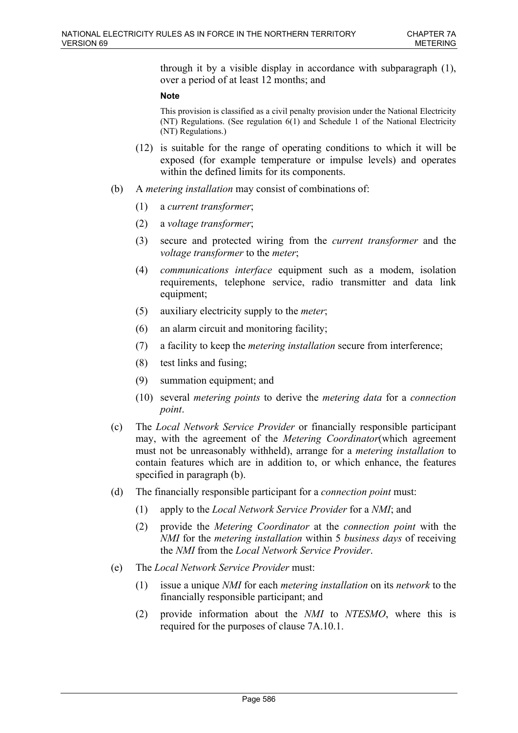through it by a visible display in accordance with subparagraph (1), over a period of at least 12 months; and

#### **Note**

This provision is classified as a civil penalty provision under the National Electricity (NT) Regulations. (See regulation 6(1) and Schedule 1 of the National Electricity (NT) Regulations.)

- (12) is suitable for the range of operating conditions to which it will be exposed (for example temperature or impulse levels) and operates within the defined limits for its components.
- (b) A *metering installation* may consist of combinations of:
	- (1) a *current transformer*;
	- (2) a *voltage transformer*;
	- (3) secure and protected wiring from the *current transformer* and the *voltage transformer* to the *meter*;
	- (4) *communications interface* equipment such as a modem, isolation requirements, telephone service, radio transmitter and data link equipment;
	- (5) auxiliary electricity supply to the *meter*;
	- (6) an alarm circuit and monitoring facility;
	- (7) a facility to keep the *metering installation* secure from interference;
	- (8) test links and fusing;
	- (9) summation equipment; and
	- (10) several *metering points* to derive the *metering data* for a *connection point*.
- (c) The *Local Network Service Provider* or financially responsible participant may, with the agreement of the *Metering Coordinator*(which agreement must not be unreasonably withheld), arrange for a *metering installation* to contain features which are in addition to, or which enhance, the features specified in paragraph (b).
- (d) The financially responsible participant for a *connection point* must:
	- (1) apply to the *Local Network Service Provider* for a *NMI*; and
	- (2) provide the *Metering Coordinator* at the *connection point* with the *NMI* for the *metering installation* within 5 *business days* of receiving the *NMI* from the *Local Network Service Provider*.
- (e) The *Local Network Service Provider* must:
	- (1) issue a unique *NMI* for each *metering installation* on its *network* to the financially responsible participant; and
	- (2) provide information about the *NMI* to *NTESMO*, where this is required for the purposes of clause 7A.10.1.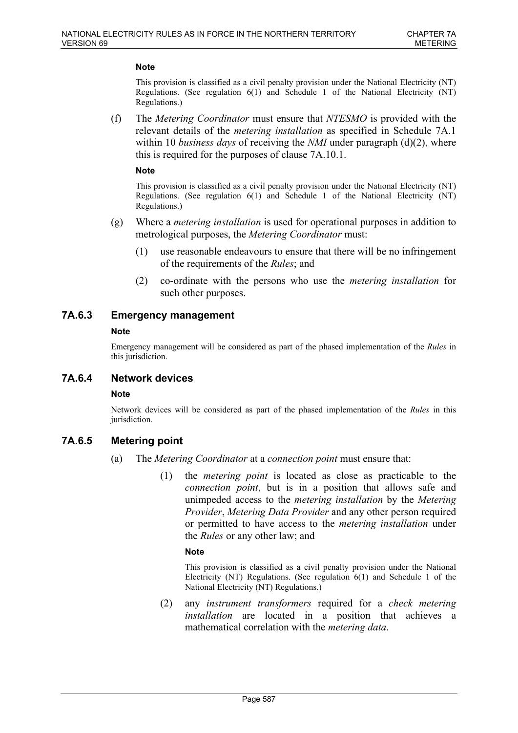This provision is classified as a civil penalty provision under the National Electricity (NT) Regulations. (See regulation  $6(1)$  and Schedule 1 of the National Electricity (NT) Regulations.)

(f) The *Metering Coordinator* must ensure that *NTESMO* is provided with the relevant details of the *metering installation* as specified in Schedule 7A.1 within 10 *business days* of receiving the *NMI* under paragraph (d)(2), where this is required for the purposes of clause 7A.10.1.

#### **Note**

This provision is classified as a civil penalty provision under the National Electricity (NT) Regulations. (See regulation 6(1) and Schedule 1 of the National Electricity (NT) Regulations.)

- (g) Where a *metering installation* is used for operational purposes in addition to metrological purposes, the *Metering Coordinator* must:
	- (1) use reasonable endeavours to ensure that there will be no infringement of the requirements of the *Rules*; and
	- (2) co-ordinate with the persons who use the *metering installation* for such other purposes.

# **7A.6.3 Emergency management**

#### **Note**

Emergency management will be considered as part of the phased implementation of the *Rules* in this jurisdiction.

### **7A.6.4 Network devices**

### **Note**

Network devices will be considered as part of the phased implementation of the *Rules* in this jurisdiction.

# **7A.6.5 Metering point**

- (a) The *Metering Coordinator* at a *connection point* must ensure that:
	- (1) the *metering point* is located as close as practicable to the *connection point*, but is in a position that allows safe and unimpeded access to the *metering installation* by the *Metering Provider*, *Metering Data Provider* and any other person required or permitted to have access to the *metering installation* under the *Rules* or any other law; and

#### **Note**

This provision is classified as a civil penalty provision under the National Electricity (NT) Regulations. (See regulation 6(1) and Schedule 1 of the National Electricity (NT) Regulations.)

(2) any *instrument transformers* required for a *check metering installation* are located in a position that achieves a mathematical correlation with the *metering data*.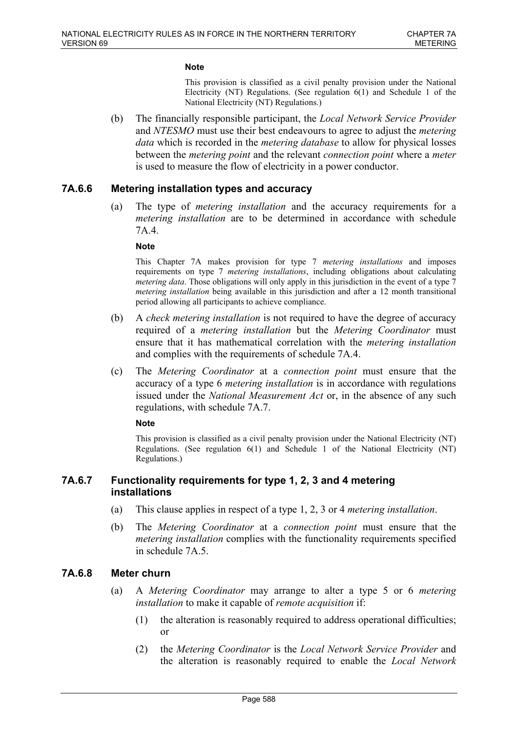This provision is classified as a civil penalty provision under the National Electricity (NT) Regulations. (See regulation 6(1) and Schedule 1 of the National Electricity (NT) Regulations.)

(b) The financially responsible participant, the *Local Network Service Provider* and *NTESMO* must use their best endeavours to agree to adjust the *metering data* which is recorded in the *metering database* to allow for physical losses between the *metering point* and the relevant *connection point* where a *meter* is used to measure the flow of electricity in a power conductor.

# **7A.6.6 Metering installation types and accuracy**

(a) The type of *metering installation* and the accuracy requirements for a *metering installation* are to be determined in accordance with schedule 7A.4.

#### **Note**

This Chapter 7A makes provision for type 7 *metering installations* and imposes requirements on type 7 *metering installations*, including obligations about calculating *metering data*. Those obligations will only apply in this jurisdiction in the event of a type 7 *metering installation* being available in this jurisdiction and after a 12 month transitional period allowing all participants to achieve compliance.

- (b) A *check metering installation* is not required to have the degree of accuracy required of a *metering installation* but the *Metering Coordinator* must ensure that it has mathematical correlation with the *metering installation* and complies with the requirements of schedule 7A.4.
- (c) The *Metering Coordinator* at a *connection point* must ensure that the accuracy of a type 6 *metering installation* is in accordance with regulations issued under the *National Measurement Act* or, in the absence of any such regulations, with schedule 7A.7.

#### **Note**

This provision is classified as a civil penalty provision under the National Electricity (NT) Regulations. (See regulation 6(1) and Schedule 1 of the National Electricity (NT) Regulations.)

# **7A.6.7 Functionality requirements for type 1, 2, 3 and 4 metering installations**

- (a) This clause applies in respect of a type 1, 2, 3 or 4 *metering installation*.
- (b) The *Metering Coordinator* at a *connection point* must ensure that the *metering installation* complies with the functionality requirements specified in schedule 7A.5.

# **7A.6.8 Meter churn**

- (a) A *Metering Coordinator* may arrange to alter a type 5 or 6 *metering installation* to make it capable of *remote acquisition* if:
	- (1) the alteration is reasonably required to address operational difficulties; or
	- (2) the *Metering Coordinator* is the *Local Network Service Provider* and the alteration is reasonably required to enable the *Local Network*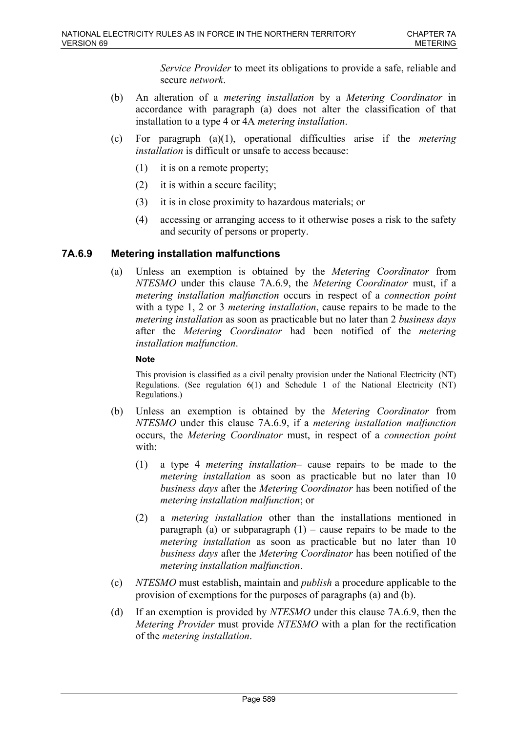*Service Provider* to meet its obligations to provide a safe, reliable and secure *network*.

- (b) An alteration of a *metering installation* by a *Metering Coordinator* in accordance with paragraph (a) does not alter the classification of that installation to a type 4 or 4A *metering installation*.
- (c) For paragraph (a)(1), operational difficulties arise if the *metering installation* is difficult or unsafe to access because:
	- (1) it is on a remote property;
	- (2) it is within a secure facility;
	- (3) it is in close proximity to hazardous materials; or
	- (4) accessing or arranging access to it otherwise poses a risk to the safety and security of persons or property.

### **7A.6.9 Metering installation malfunctions**

(a) Unless an exemption is obtained by the *Metering Coordinator* from *NTESMO* under this clause 7A.6.9, the *Metering Coordinator* must, if a *metering installation malfunction* occurs in respect of a *connection point* with a type 1, 2 or 3 *metering installation*, cause repairs to be made to the *metering installation* as soon as practicable but no later than 2 *business days* after the *Metering Coordinator* had been notified of the *metering installation malfunction*.

#### **Note**

This provision is classified as a civil penalty provision under the National Electricity (NT) Regulations. (See regulation 6(1) and Schedule 1 of the National Electricity (NT) Regulations.)

- (b) Unless an exemption is obtained by the *Metering Coordinator* from *NTESMO* under this clause 7A.6.9, if a *metering installation malfunction* occurs, the *Metering Coordinator* must, in respect of a *connection point* with:
	- (1) a type 4 *metering installation* cause repairs to be made to the *metering installation* as soon as practicable but no later than 10 *business days* after the *Metering Coordinator* has been notified of the *metering installation malfunction*; or
	- (2) a *metering installation* other than the installations mentioned in paragraph (a) or subparagraph  $(1)$  – cause repairs to be made to the *metering installation* as soon as practicable but no later than 10 *business days* after the *Metering Coordinator* has been notified of the *metering installation malfunction*.
- (c) *NTESMO* must establish, maintain and *publish* a procedure applicable to the provision of exemptions for the purposes of paragraphs (a) and (b).
- (d) If an exemption is provided by *NTESMO* under this clause 7A.6.9, then the *Metering Provider* must provide *NTESMO* with a plan for the rectification of the *metering installation*.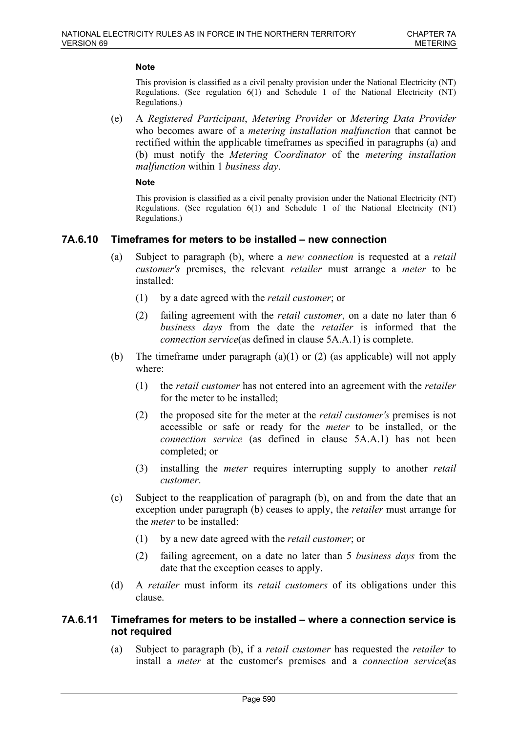This provision is classified as a civil penalty provision under the National Electricity (NT) Regulations. (See regulation  $6(1)$  and Schedule 1 of the National Electricity (NT) Regulations.)

(e) A *Registered Participant*, *Metering Provider* or *Metering Data Provider* who becomes aware of a *metering installation malfunction* that cannot be rectified within the applicable timeframes as specified in paragraphs (a) and (b) must notify the *Metering Coordinator* of the *metering installation malfunction* within 1 *business day*.

#### **Note**

This provision is classified as a civil penalty provision under the National Electricity (NT) Regulations. (See regulation 6(1) and Schedule 1 of the National Electricity (NT) Regulations.)

# **7A.6.10 Timeframes for meters to be installed – new connection**

- (a) Subject to paragraph (b), where a *new connection* is requested at a *retail customer's* premises, the relevant *retailer* must arrange a *meter* to be installed:
	- (1) by a date agreed with the *retail customer*; or
	- (2) failing agreement with the *retail customer*, on a date no later than 6 *business days* from the date the *retailer* is informed that the *connection service*(as defined in clause 5A.A.1) is complete.
- (b) The timeframe under paragraph (a)(1) or (2) (as applicable) will not apply where:
	- (1) the *retail customer* has not entered into an agreement with the *retailer* for the meter to be installed;
	- (2) the proposed site for the meter at the *retail customer's* premises is not accessible or safe or ready for the *meter* to be installed, or the *connection service* (as defined in clause 5A.A.1) has not been completed; or
	- (3) installing the *meter* requires interrupting supply to another *retail customer*.
- (c) Subject to the reapplication of paragraph (b), on and from the date that an exception under paragraph (b) ceases to apply, the *retailer* must arrange for the *meter* to be installed:
	- (1) by a new date agreed with the *retail customer*; or
	- (2) failing agreement, on a date no later than 5 *business days* from the date that the exception ceases to apply.
- (d) A *retailer* must inform its *retail customers* of its obligations under this clause.

### **7A.6.11 Timeframes for meters to be installed – where a connection service is not required**

(a) Subject to paragraph (b), if a *retail customer* has requested the *retailer* to install a *meter* at the customer's premises and a *connection service*(as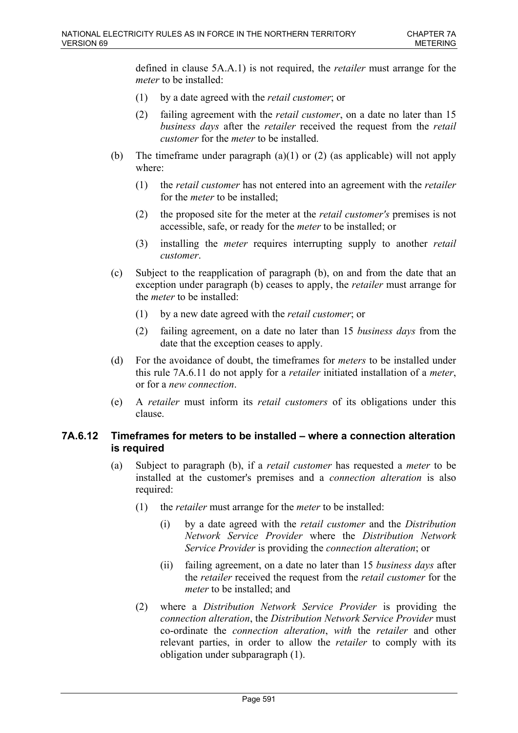defined in clause 5A.A.1) is not required, the *retailer* must arrange for the *meter* to be installed:

- (1) by a date agreed with the *retail customer*; or
- (2) failing agreement with the *retail customer*, on a date no later than 15 *business days* after the *retailer* received the request from the *retail customer* for the *meter* to be installed.
- (b) The timeframe under paragraph (a)(1) or (2) (as applicable) will not apply where:
	- (1) the *retail customer* has not entered into an agreement with the *retailer* for the *meter* to be installed;
	- (2) the proposed site for the meter at the *retail customer's* premises is not accessible, safe, or ready for the *meter* to be installed; or
	- (3) installing the *meter* requires interrupting supply to another *retail customer*.
- (c) Subject to the reapplication of paragraph (b), on and from the date that an exception under paragraph (b) ceases to apply, the *retailer* must arrange for the *meter* to be installed:
	- (1) by a new date agreed with the *retail customer*; or
	- (2) failing agreement, on a date no later than 15 *business days* from the date that the exception ceases to apply.
- (d) For the avoidance of doubt, the timeframes for *meters* to be installed under this rule 7A.6.11 do not apply for a *retailer* initiated installation of a *meter*, or for a *new connection*.
- (e) A *retailer* must inform its *retail customers* of its obligations under this clause.

# **7A.6.12 Timeframes for meters to be installed – where a connection alteration is required**

- (a) Subject to paragraph (b), if a *retail customer* has requested a *meter* to be installed at the customer's premises and a *connection alteration* is also required:
	- (1) the *retailer* must arrange for the *meter* to be installed:
		- (i) by a date agreed with the *retail customer* and the *Distribution Network Service Provider* where the *Distribution Network Service Provider* is providing the *connection alteration*; or
		- (ii) failing agreement, on a date no later than 15 *business days* after the *retailer* received the request from the *retail customer* for the *meter* to be installed; and
	- (2) where a *Distribution Network Service Provider* is providing the *connection alteration*, the *Distribution Network Service Provider* must co-ordinate the *connection alteration*, *with* the *retailer* and other relevant parties, in order to allow the *retailer* to comply with its obligation under subparagraph (1).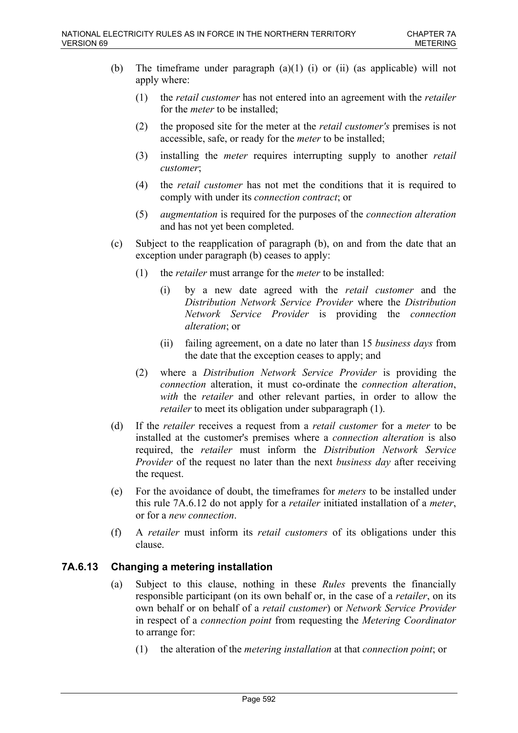- (b) The timeframe under paragraph (a)(1) (i) or (ii) (as applicable) will not apply where:
	- (1) the *retail customer* has not entered into an agreement with the *retailer* for the *meter* to be installed;
	- (2) the proposed site for the meter at the *retail customer's* premises is not accessible, safe, or ready for the *meter* to be installed;
	- (3) installing the *meter* requires interrupting supply to another *retail customer*;
	- (4) the *retail customer* has not met the conditions that it is required to comply with under its *connection contract*; or
	- (5) *augmentation* is required for the purposes of the *connection alteration* and has not yet been completed.
- (c) Subject to the reapplication of paragraph (b), on and from the date that an exception under paragraph (b) ceases to apply:
	- (1) the *retailer* must arrange for the *meter* to be installed:
		- (i) by a new date agreed with the *retail customer* and the *Distribution Network Service Provider* where the *Distribution Network Service Provider* is providing the *connection alteration*; or
		- (ii) failing agreement, on a date no later than 15 *business days* from the date that the exception ceases to apply; and
	- (2) where a *Distribution Network Service Provider* is providing the *connection* alteration, it must co-ordinate the *connection alteration*, *with* the *retailer* and other relevant parties, in order to allow the *retailer* to meet its obligation under subparagraph (1).
- (d) If the *retailer* receives a request from a *retail customer* for a *meter* to be installed at the customer's premises where a *connection alteration* is also required, the *retailer* must inform the *Distribution Network Service Provider* of the request no later than the next *business day* after receiving the request.
- (e) For the avoidance of doubt, the timeframes for *meters* to be installed under this rule 7A.6.12 do not apply for a *retailer* initiated installation of a *meter*, or for a *new connection*.
- (f) A *retailer* must inform its *retail customers* of its obligations under this clause.

# **7A.6.13 Changing a metering installation**

- (a) Subject to this clause, nothing in these *Rules* prevents the financially responsible participant (on its own behalf or, in the case of a *retailer*, on its own behalf or on behalf of a *retail customer*) or *Network Service Provider* in respect of a *connection point* from requesting the *Metering Coordinator* to arrange for:
	- (1) the alteration of the *metering installation* at that *connection point*; or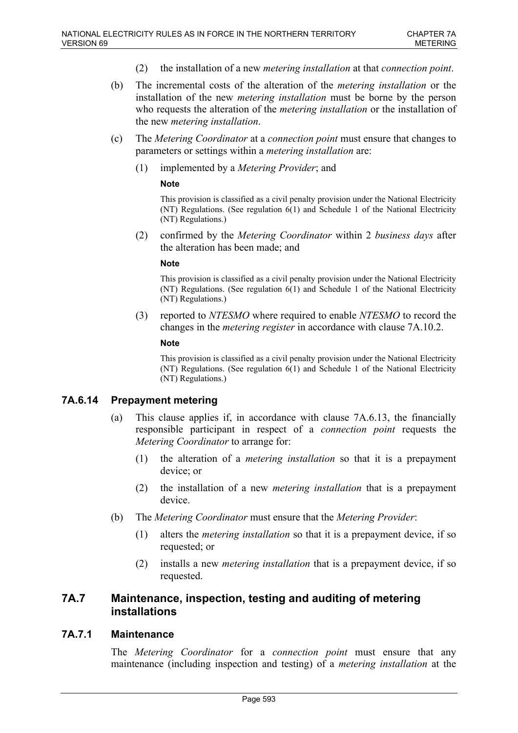- (2) the installation of a new *metering installation* at that *connection point*.
- (b) The incremental costs of the alteration of the *metering installation* or the installation of the new *metering installation* must be borne by the person who requests the alteration of the *metering installation* or the installation of the new *metering installation*.
- (c) The *Metering Coordinator* at a *connection point* must ensure that changes to parameters or settings within a *metering installation* are:
	- (1) implemented by a *Metering Provider*; and

This provision is classified as a civil penalty provision under the National Electricity (NT) Regulations. (See regulation  $6(1)$  and Schedule 1 of the National Electricity (NT) Regulations.)

(2) confirmed by the *Metering Coordinator* within 2 *business days* after the alteration has been made; and

#### **Note**

This provision is classified as a civil penalty provision under the National Electricity (NT) Regulations. (See regulation 6(1) and Schedule 1 of the National Electricity (NT) Regulations.)

(3) reported to *NTESMO* where required to enable *NTESMO* to record the changes in the *metering register* in accordance with clause 7A.10.2.

#### **Note**

This provision is classified as a civil penalty provision under the National Electricity (NT) Regulations. (See regulation 6(1) and Schedule 1 of the National Electricity (NT) Regulations.)

# **7A.6.14 Prepayment metering**

- (a) This clause applies if, in accordance with clause 7A.6.13, the financially responsible participant in respect of a *connection point* requests the *Metering Coordinator* to arrange for:
	- (1) the alteration of a *metering installation* so that it is a prepayment device; or
	- (2) the installation of a new *metering installation* that is a prepayment device.
- (b) The *Metering Coordinator* must ensure that the *Metering Provider*:
	- (1) alters the *metering installation* so that it is a prepayment device, if so requested; or
	- (2) installs a new *metering installation* that is a prepayment device, if so requested.

# **7A.7 Maintenance, inspection, testing and auditing of metering installations**

### **7A.7.1 Maintenance**

The *Metering Coordinator* for a *connection point* must ensure that any maintenance (including inspection and testing) of a *metering installation* at the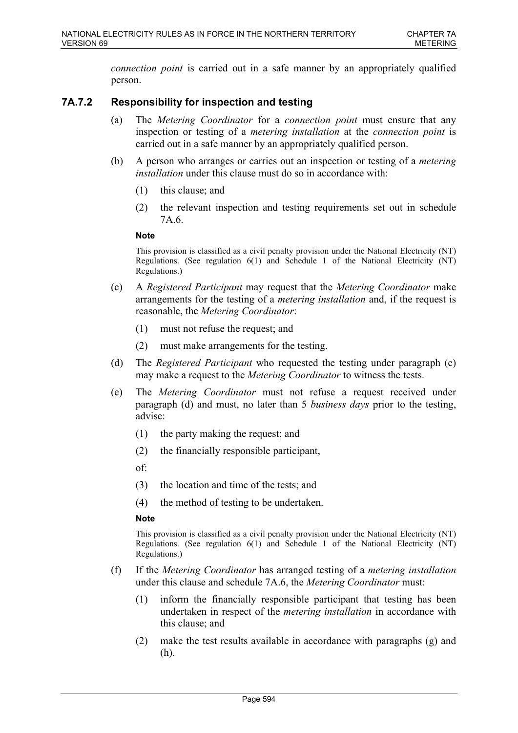*connection point* is carried out in a safe manner by an appropriately qualified person.

# **7A.7.2 Responsibility for inspection and testing**

- (a) The *Metering Coordinator* for a *connection point* must ensure that any inspection or testing of a *metering installation* at the *connection point* is carried out in a safe manner by an appropriately qualified person.
- (b) A person who arranges or carries out an inspection or testing of a *metering installation* under this clause must do so in accordance with:
	- (1) this clause; and
	- (2) the relevant inspection and testing requirements set out in schedule 7A.6.

#### **Note**

This provision is classified as a civil penalty provision under the National Electricity (NT) Regulations. (See regulation 6(1) and Schedule 1 of the National Electricity (NT) Regulations.)

- (c) A *Registered Participant* may request that the *Metering Coordinator* make arrangements for the testing of a *metering installation* and, if the request is reasonable, the *Metering Coordinator*:
	- (1) must not refuse the request; and
	- (2) must make arrangements for the testing.
- (d) The *Registered Participant* who requested the testing under paragraph (c) may make a request to the *Metering Coordinator* to witness the tests.
- (e) The *Metering Coordinator* must not refuse a request received under paragraph (d) and must, no later than 5 *business days* prior to the testing, advise:
	- (1) the party making the request; and
	- (2) the financially responsible participant,
	- of:
	- (3) the location and time of the tests; and
	- (4) the method of testing to be undertaken.

### **Note**

This provision is classified as a civil penalty provision under the National Electricity (NT) Regulations. (See regulation 6(1) and Schedule 1 of the National Electricity (NT) Regulations.)

- (f) If the *Metering Coordinator* has arranged testing of a *metering installation* under this clause and schedule 7A.6, the *Metering Coordinator* must:
	- (1) inform the financially responsible participant that testing has been undertaken in respect of the *metering installation* in accordance with this clause; and
	- (2) make the test results available in accordance with paragraphs (g) and (h).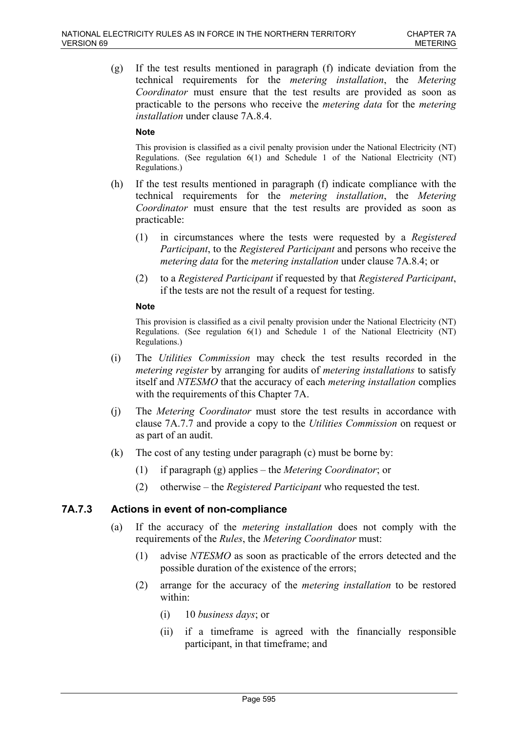(g) If the test results mentioned in paragraph (f) indicate deviation from the technical requirements for the *metering installation*, the *Metering Coordinator* must ensure that the test results are provided as soon as practicable to the persons who receive the *metering data* for the *metering installation* under clause 7A.8.4.

#### **Note**

This provision is classified as a civil penalty provision under the National Electricity (NT) Regulations. (See regulation 6(1) and Schedule 1 of the National Electricity (NT) Regulations.)

- (h) If the test results mentioned in paragraph (f) indicate compliance with the technical requirements for the *metering installation*, the *Metering Coordinator* must ensure that the test results are provided as soon as practicable:
	- (1) in circumstances where the tests were requested by a *Registered Participant*, to the *Registered Participant* and persons who receive the *metering data* for the *metering installation* under clause 7A.8.4; or
	- (2) to a *Registered Participant* if requested by that *Registered Participant*, if the tests are not the result of a request for testing.

#### **Note**

This provision is classified as a civil penalty provision under the National Electricity (NT) Regulations. (See regulation 6(1) and Schedule 1 of the National Electricity (NT) Regulations.)

- (i) The *Utilities Commission* may check the test results recorded in the *metering register* by arranging for audits of *metering installations* to satisfy itself and *NTESMO* that the accuracy of each *metering installation* complies with the requirements of this Chapter 7A.
- (j) The *Metering Coordinator* must store the test results in accordance with clause 7A.7.7 and provide a copy to the *Utilities Commission* on request or as part of an audit.
- (k) The cost of any testing under paragraph (c) must be borne by:
	- (1) if paragraph (g) applies the *Metering Coordinator*; or
	- (2) otherwise the *Registered Participant* who requested the test.

# **7A.7.3 Actions in event of non-compliance**

- (a) If the accuracy of the *metering installation* does not comply with the requirements of the *Rules*, the *Metering Coordinator* must:
	- (1) advise *NTESMO* as soon as practicable of the errors detected and the possible duration of the existence of the errors;
	- (2) arrange for the accuracy of the *metering installation* to be restored within:
		- (i) 10 *business days*; or
		- (ii) if a timeframe is agreed with the financially responsible participant, in that timeframe; and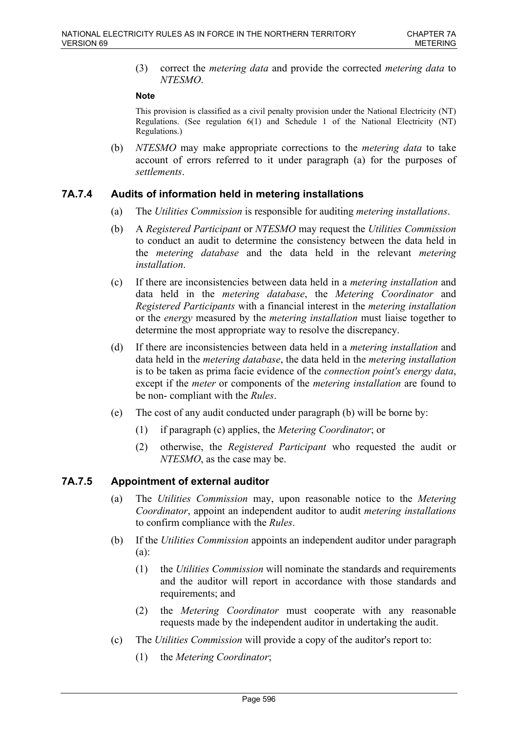(3) correct the *metering data* and provide the corrected *metering data* to *NTESMO*.

#### **Note**

This provision is classified as a civil penalty provision under the National Electricity (NT) Regulations. (See regulation 6(1) and Schedule 1 of the National Electricity (NT) Regulations.)

(b) *NTESMO* may make appropriate corrections to the *metering data* to take account of errors referred to it under paragraph (a) for the purposes of *settlements*.

### **7A.7.4 Audits of information held in metering installations**

- (a) The *Utilities Commission* is responsible for auditing *metering installations*.
- (b) A *Registered Participant* or *NTESMO* may request the *Utilities Commission* to conduct an audit to determine the consistency between the data held in the *metering database* and the data held in the relevant *metering installation*.
- (c) If there are inconsistencies between data held in a *metering installation* and data held in the *metering database*, the *Metering Coordinator* and *Registered Participants* with a financial interest in the *metering installation* or the *energy* measured by the *metering installation* must liaise together to determine the most appropriate way to resolve the discrepancy.
- (d) If there are inconsistencies between data held in a *metering installation* and data held in the *metering database*, the data held in the *metering installation* is to be taken as prima facie evidence of the *connection point's energy data*, except if the *meter* or components of the *metering installation* are found to be non- compliant with the *Rules*.
- (e) The cost of any audit conducted under paragraph (b) will be borne by:
	- (1) if paragraph (c) applies, the *Metering Coordinator*; or
	- (2) otherwise, the *Registered Participant* who requested the audit or *NTESMO*, as the case may be.

# **7A.7.5 Appointment of external auditor**

- (a) The *Utilities Commission* may, upon reasonable notice to the *Metering Coordinator*, appoint an independent auditor to audit *metering installations* to confirm compliance with the *Rules*.
- (b) If the *Utilities Commission* appoints an independent auditor under paragraph (a):
	- (1) the *Utilities Commission* will nominate the standards and requirements and the auditor will report in accordance with those standards and requirements; and
	- (2) the *Metering Coordinator* must cooperate with any reasonable requests made by the independent auditor in undertaking the audit.
- (c) The *Utilities Commission* will provide a copy of the auditor's report to:
	- (1) the *Metering Coordinator*;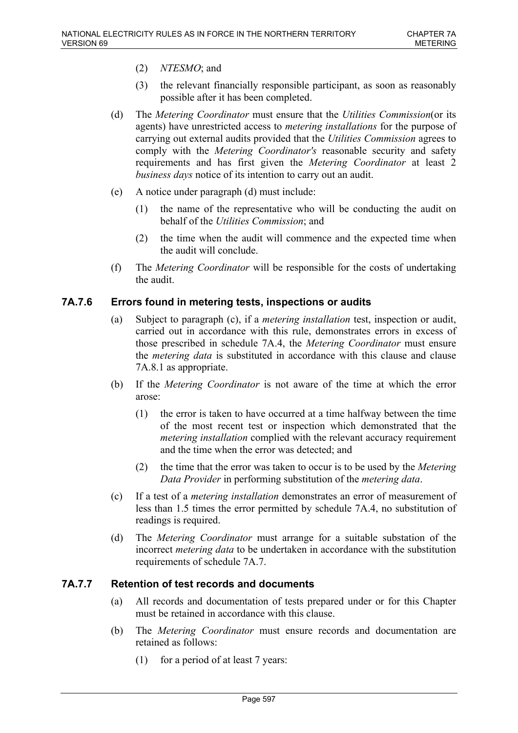- (2) *NTESMO*; and
- (3) the relevant financially responsible participant, as soon as reasonably possible after it has been completed.
- (d) The *Metering Coordinator* must ensure that the *Utilities Commission*(or its agents) have unrestricted access to *metering installations* for the purpose of carrying out external audits provided that the *Utilities Commission* agrees to comply with the *Metering Coordinator's* reasonable security and safety requirements and has first given the *Metering Coordinator* at least 2 *business days* notice of its intention to carry out an audit.
- (e) A notice under paragraph (d) must include:
	- (1) the name of the representative who will be conducting the audit on behalf of the *Utilities Commission*; and
	- (2) the time when the audit will commence and the expected time when the audit will conclude.
- (f) The *Metering Coordinator* will be responsible for the costs of undertaking the audit.

# **7A.7.6 Errors found in metering tests, inspections or audits**

- (a) Subject to paragraph (c), if a *metering installation* test, inspection or audit, carried out in accordance with this rule, demonstrates errors in excess of those prescribed in schedule 7A.4, the *Metering Coordinator* must ensure the *metering data* is substituted in accordance with this clause and clause 7A.8.1 as appropriate.
- (b) If the *Metering Coordinator* is not aware of the time at which the error arose:
	- (1) the error is taken to have occurred at a time halfway between the time of the most recent test or inspection which demonstrated that the *metering installation* complied with the relevant accuracy requirement and the time when the error was detected; and
	- (2) the time that the error was taken to occur is to be used by the *Metering Data Provider* in performing substitution of the *metering data*.
- (c) If a test of a *metering installation* demonstrates an error of measurement of less than 1.5 times the error permitted by schedule 7A.4, no substitution of readings is required.
- (d) The *Metering Coordinator* must arrange for a suitable substation of the incorrect *metering data* to be undertaken in accordance with the substitution requirements of schedule 7A.7.

# **7A.7.7 Retention of test records and documents**

- (a) All records and documentation of tests prepared under or for this Chapter must be retained in accordance with this clause.
- (b) The *Metering Coordinator* must ensure records and documentation are retained as follows:
	- (1) for a period of at least 7 years: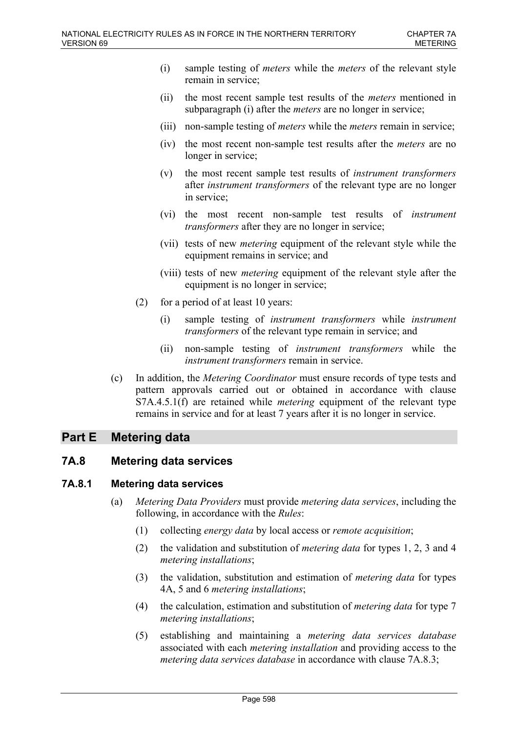- (i) sample testing of *meters* while the *meters* of the relevant style remain in service;
- (ii) the most recent sample test results of the *meters* mentioned in subparagraph (i) after the *meters* are no longer in service;
- (iii) non-sample testing of *meters* while the *meters* remain in service;
- (iv) the most recent non-sample test results after the *meters* are no longer in service;
- (v) the most recent sample test results of *instrument transformers* after *instrument transformers* of the relevant type are no longer in service;
- (vi) the most recent non-sample test results of *instrument transformers* after they are no longer in service;
- (vii) tests of new *metering* equipment of the relevant style while the equipment remains in service; and
- (viii) tests of new *metering* equipment of the relevant style after the equipment is no longer in service;
- (2) for a period of at least 10 years:
	- (i) sample testing of *instrument transformers* while *instrument transformers* of the relevant type remain in service; and
	- (ii) non-sample testing of *instrument transformers* while the *instrument transformers* remain in service.
- (c) In addition, the *Metering Coordinator* must ensure records of type tests and pattern approvals carried out or obtained in accordance with clause S7A.4.5.1(f) are retained while *metering* equipment of the relevant type remains in service and for at least 7 years after it is no longer in service.

# **Part E Metering data**

### **7A.8 Metering data services**

### **7A.8.1 Metering data services**

- (a) *Metering Data Providers* must provide *metering data services*, including the following, in accordance with the *Rules*:
	- (1) collecting *energy data* by local access or *remote acquisition*;
	- (2) the validation and substitution of *metering data* for types 1, 2, 3 and 4 *metering installations*;
	- (3) the validation, substitution and estimation of *metering data* for types 4A, 5 and 6 *metering installations*;
	- (4) the calculation, estimation and substitution of *metering data* for type 7 *metering installations*;
	- (5) establishing and maintaining a *metering data services database* associated with each *metering installation* and providing access to the *metering data services database* in accordance with clause 7A.8.3;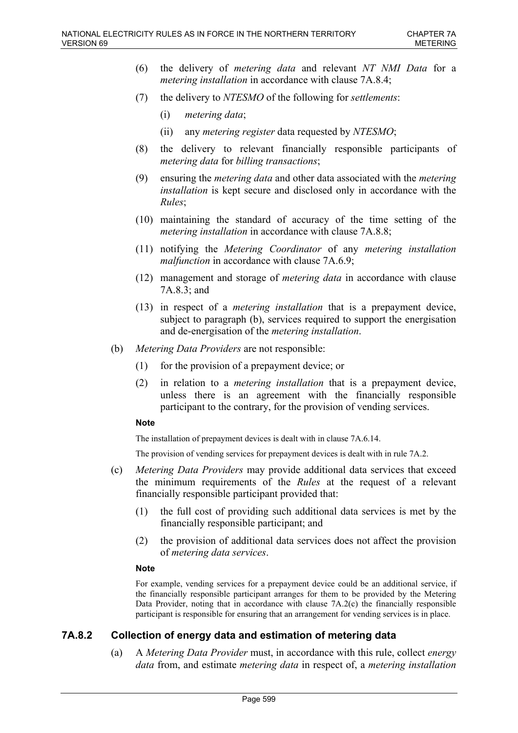- (6) the delivery of *metering data* and relevant *NT NMI Data* for a *metering installation* in accordance with clause 7A.8.4;
- (7) the delivery to *NTESMO* of the following for *settlements*:
	- (i) *metering data*;
	- (ii) any *metering register* data requested by *NTESMO*;
- (8) the delivery to relevant financially responsible participants of *metering data* for *billing transactions*;
- (9) ensuring the *metering data* and other data associated with the *metering installation* is kept secure and disclosed only in accordance with the *Rules*;
- (10) maintaining the standard of accuracy of the time setting of the *metering installation* in accordance with clause 7A.8.8;
- (11) notifying the *Metering Coordinator* of any *metering installation malfunction* in accordance with clause 7A.6.9;
- (12) management and storage of *metering data* in accordance with clause 7A.8.3; and
- (13) in respect of a *metering installation* that is a prepayment device, subject to paragraph (b), services required to support the energisation and de-energisation of the *metering installation*.
- (b) *Metering Data Providers* are not responsible:
	- (1) for the provision of a prepayment device; or
	- (2) in relation to a *metering installation* that is a prepayment device, unless there is an agreement with the financially responsible participant to the contrary, for the provision of vending services.

The installation of prepayment devices is dealt with in clause 7A.6.14.

The provision of vending services for prepayment devices is dealt with in rule 7A.2.

- (c) *Metering Data Providers* may provide additional data services that exceed the minimum requirements of the *Rules* at the request of a relevant financially responsible participant provided that:
	- (1) the full cost of providing such additional data services is met by the financially responsible participant; and
	- (2) the provision of additional data services does not affect the provision of *metering data services*.

#### **Note**

For example, vending services for a prepayment device could be an additional service, if the financially responsible participant arranges for them to be provided by the Metering Data Provider, noting that in accordance with clause 7A.2(c) the financially responsible participant is responsible for ensuring that an arrangement for vending services is in place.

# **7A.8.2 Collection of energy data and estimation of metering data**

(a) A *Metering Data Provider* must, in accordance with this rule, collect *energy data* from, and estimate *metering data* in respect of, a *metering installation*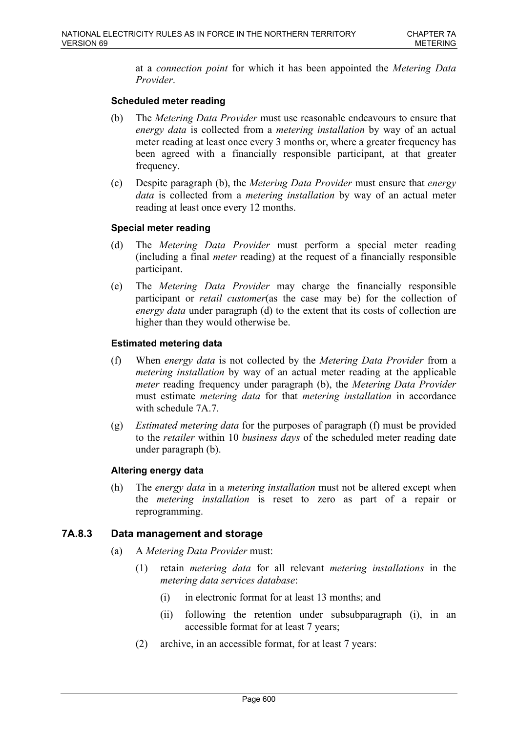at a *connection point* for which it has been appointed the *Metering Data Provider*.

### **Scheduled meter reading**

- (b) The *Metering Data Provider* must use reasonable endeavours to ensure that *energy data* is collected from a *metering installation* by way of an actual meter reading at least once every 3 months or, where a greater frequency has been agreed with a financially responsible participant, at that greater frequency.
- (c) Despite paragraph (b), the *Metering Data Provider* must ensure that *energy data* is collected from a *metering installation* by way of an actual meter reading at least once every 12 months.

### **Special meter reading**

- (d) The *Metering Data Provider* must perform a special meter reading (including a final *meter* reading) at the request of a financially responsible participant.
- (e) The *Metering Data Provider* may charge the financially responsible participant or *retail customer*(as the case may be) for the collection of *energy data* under paragraph (d) to the extent that its costs of collection are higher than they would otherwise be.

### **Estimated metering data**

- (f) When *energy data* is not collected by the *Metering Data Provider* from a *metering installation* by way of an actual meter reading at the applicable *meter* reading frequency under paragraph (b), the *Metering Data Provider* must estimate *metering data* for that *metering installation* in accordance with schedule 7A.7.
- (g) *Estimated metering data* for the purposes of paragraph (f) must be provided to the *retailer* within 10 *business days* of the scheduled meter reading date under paragraph (b).

### **Altering energy data**

(h) The *energy data* in a *metering installation* must not be altered except when the *metering installation* is reset to zero as part of a repair or reprogramming.

# **7A.8.3 Data management and storage**

- (a) A *Metering Data Provider* must:
	- (1) retain *metering data* for all relevant *metering installations* in the *metering data services database*:
		- (i) in electronic format for at least 13 months; and
		- (ii) following the retention under subsubparagraph (i), in an accessible format for at least 7 years;
	- (2) archive, in an accessible format, for at least 7 years: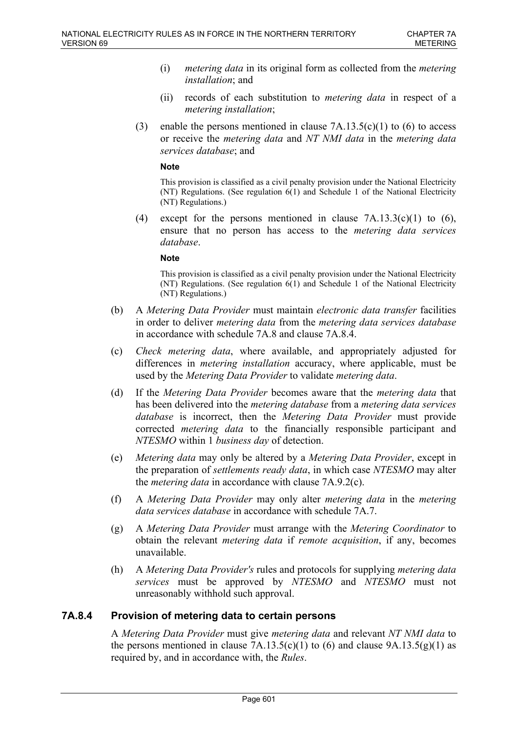- (i) *metering data* in its original form as collected from the *metering installation*; and
- (ii) records of each substitution to *metering data* in respect of a *metering installation*;
- (3) enable the persons mentioned in clause  $7A.13.5(c)(1)$  to (6) to access or receive the *metering data* and *NT NMI data* in the *metering data services database*; and

This provision is classified as a civil penalty provision under the National Electricity (NT) Regulations. (See regulation  $6(1)$  and Schedule 1 of the National Electricity (NT) Regulations.)

(4) except for the persons mentioned in clause  $7A.13.3(c)(1)$  to  $(6)$ , ensure that no person has access to the *metering data services database*.

#### **Note**

This provision is classified as a civil penalty provision under the National Electricity (NT) Regulations. (See regulation 6(1) and Schedule 1 of the National Electricity (NT) Regulations.)

- (b) A *Metering Data Provider* must maintain *electronic data transfer* facilities in order to deliver *metering data* from the *metering data services database* in accordance with schedule 7A.8 and clause 7A.8.4.
- (c) *Check metering data*, where available, and appropriately adjusted for differences in *metering installation* accuracy, where applicable, must be used by the *Metering Data Provider* to validate *metering data*.
- (d) If the *Metering Data Provider* becomes aware that the *metering data* that has been delivered into the *metering database* from a *metering data services database* is incorrect, then the *Metering Data Provider* must provide corrected *metering data* to the financially responsible participant and *NTESMO* within 1 *business day* of detection.
- (e) *Metering data* may only be altered by a *Metering Data Provider*, except in the preparation of *settlements ready data*, in which case *NTESMO* may alter the *metering data* in accordance with clause 7A.9.2(c).
- (f) A *Metering Data Provider* may only alter *metering data* in the *metering data services database* in accordance with schedule 7A.7.
- (g) A *Metering Data Provider* must arrange with the *Metering Coordinator* to obtain the relevant *metering data* if *remote acquisition*, if any, becomes unavailable.
- (h) A *Metering Data Provider's* rules and protocols for supplying *metering data services* must be approved by *NTESMO* and *NTESMO* must not unreasonably withhold such approval.

# **7A.8.4 Provision of metering data to certain persons**

A *Metering Data Provider* must give *metering data* and relevant *NT NMI data* to the persons mentioned in clause  $7A.13.5(c)(1)$  to (6) and clause  $9A.13.5(g)(1)$  as required by, and in accordance with, the *Rules*.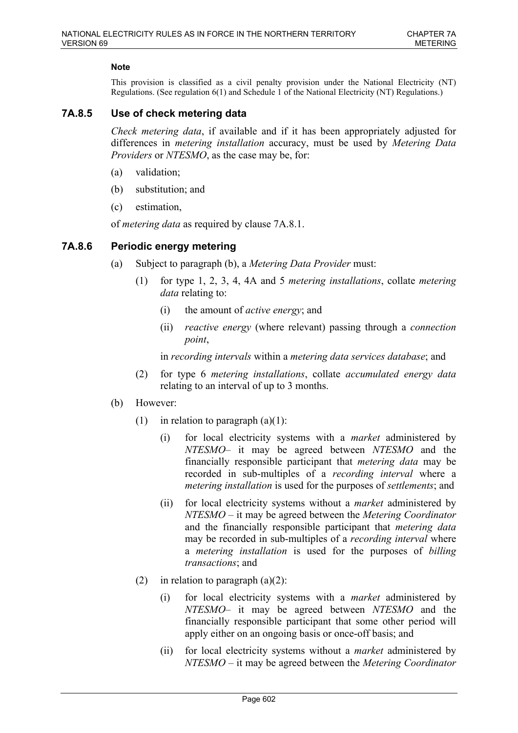This provision is classified as a civil penalty provision under the National Electricity (NT) Regulations. (See regulation 6(1) and Schedule 1 of the National Electricity (NT) Regulations.)

# **7A.8.5 Use of check metering data**

*Check metering data*, if available and if it has been appropriately adjusted for differences in *metering installation* accuracy, must be used by *Metering Data Providers* or *NTESMO*, as the case may be, for:

- (a) validation;
- (b) substitution; and
- (c) estimation,

of *metering data* as required by clause 7A.8.1.

# **7A.8.6 Periodic energy metering**

- (a) Subject to paragraph (b), a *Metering Data Provider* must:
	- (1) for type 1, 2, 3, 4, 4A and 5 *metering installations*, collate *metering data* relating to:
		- (i) the amount of *active energy*; and
		- (ii) *reactive energy* (where relevant) passing through a *connection point*,

in *recording intervals* within a *metering data services database*; and

- (2) for type 6 *metering installations*, collate *accumulated energy data* relating to an interval of up to 3 months.
- (b) However:
	- (1) in relation to paragraph  $(a)(1)$ :
		- (i) for local electricity systems with a *market* administered by *NTESMO*– it may be agreed between *NTESMO* and the financially responsible participant that *metering data* may be recorded in sub-multiples of a *recording interval* where a *metering installation* is used for the purposes of *settlements*; and
		- (ii) for local electricity systems without a *market* administered by *NTESMO* – it may be agreed between the *Metering Coordinator* and the financially responsible participant that *metering data* may be recorded in sub-multiples of a *recording interval* where a *metering installation* is used for the purposes of *billing transactions*; and
	- (2) in relation to paragraph  $(a)(2)$ :
		- (i) for local electricity systems with a *market* administered by *NTESMO*– it may be agreed between *NTESMO* and the financially responsible participant that some other period will apply either on an ongoing basis or once-off basis; and
		- (ii) for local electricity systems without a *market* administered by *NTESMO* – it may be agreed between the *Metering Coordinator*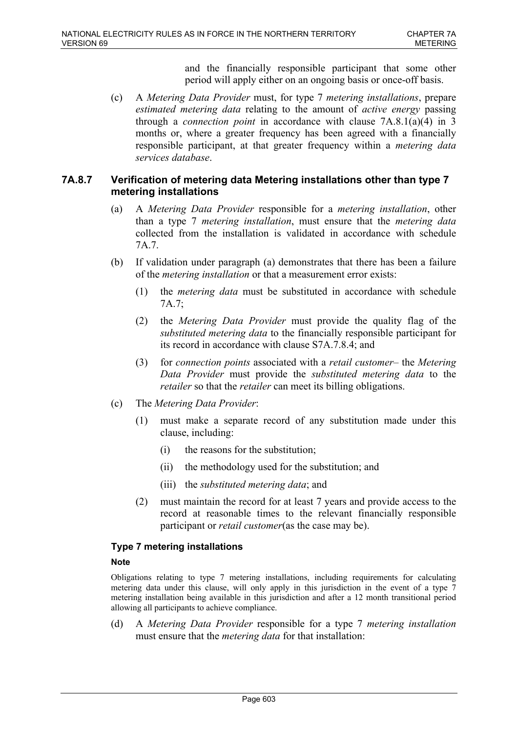and the financially responsible participant that some other period will apply either on an ongoing basis or once-off basis.

(c) A *Metering Data Provider* must, for type 7 *metering installations*, prepare *estimated metering data* relating to the amount of *active energy* passing through a *connection point* in accordance with clause 7A.8.1(a)(4) in 3 months or, where a greater frequency has been agreed with a financially responsible participant, at that greater frequency within a *metering data services database*.

### **7A.8.7 Verification of metering data Metering installations other than type 7 metering installations**

- (a) A *Metering Data Provider* responsible for a *metering installation*, other than a type 7 *metering installation*, must ensure that the *metering data* collected from the installation is validated in accordance with schedule 7A.7.
- (b) If validation under paragraph (a) demonstrates that there has been a failure of the *metering installation* or that a measurement error exists:
	- (1) the *metering data* must be substituted in accordance with schedule 7A.7;
	- (2) the *Metering Data Provider* must provide the quality flag of the *substituted metering data* to the financially responsible participant for its record in accordance with clause S7A.7.8.4; and
	- (3) for *connection points* associated with a *retail customer* the *Metering Data Provider* must provide the *substituted metering data* to the *retailer* so that the *retailer* can meet its billing obligations.
- (c) The *Metering Data Provider*:
	- (1) must make a separate record of any substitution made under this clause, including:
		- (i) the reasons for the substitution;
		- (ii) the methodology used for the substitution; and
		- (iii) the *substituted metering data*; and
	- (2) must maintain the record for at least 7 years and provide access to the record at reasonable times to the relevant financially responsible participant or *retail customer*(as the case may be).

# **Type 7 metering installations**

### **Note**

Obligations relating to type 7 metering installations, including requirements for calculating metering data under this clause, will only apply in this jurisdiction in the event of a type 7 metering installation being available in this jurisdiction and after a 12 month transitional period allowing all participants to achieve compliance.

(d) A *Metering Data Provider* responsible for a type 7 *metering installation* must ensure that the *metering data* for that installation: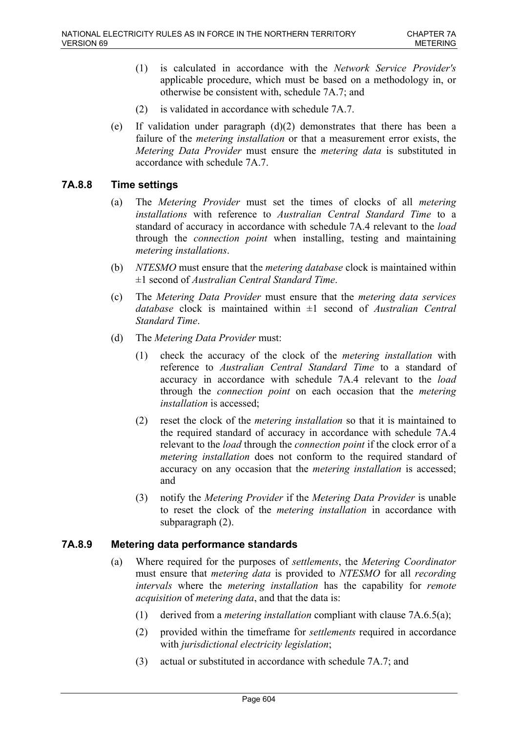- (1) is calculated in accordance with the *Network Service Provider's* applicable procedure, which must be based on a methodology in, or otherwise be consistent with, schedule 7A.7; and
- (2) is validated in accordance with schedule 7A.7.
- (e) If validation under paragraph (d)(2) demonstrates that there has been a failure of the *metering installation* or that a measurement error exists, the *Metering Data Provider* must ensure the *metering data* is substituted in accordance with schedule 7A.7.

# **7A.8.8 Time settings**

- (a) The *Metering Provider* must set the times of clocks of all *metering installations* with reference to *Australian Central Standard Time* to a standard of accuracy in accordance with schedule 7A.4 relevant to the *load* through the *connection point* when installing, testing and maintaining *metering installations*.
- (b) *NTESMO* must ensure that the *metering database* clock is maintained within ±1 second of *Australian Central Standard Time*.
- (c) The *Metering Data Provider* must ensure that the *metering data services database* clock is maintained within ±1 second of *Australian Central Standard Time*.
- (d) The *Metering Data Provider* must:
	- (1) check the accuracy of the clock of the *metering installation* with reference to *Australian Central Standard Time* to a standard of accuracy in accordance with schedule 7A.4 relevant to the *load* through the *connection point* on each occasion that the *metering installation* is accessed;
	- (2) reset the clock of the *metering installation* so that it is maintained to the required standard of accuracy in accordance with schedule 7A.4 relevant to the *load* through the *connection point* if the clock error of a *metering installation* does not conform to the required standard of accuracy on any occasion that the *metering installation* is accessed; and
	- (3) notify the *Metering Provider* if the *Metering Data Provider* is unable to reset the clock of the *metering installation* in accordance with subparagraph (2).

# **7A.8.9 Metering data performance standards**

- (a) Where required for the purposes of *settlements*, the *Metering Coordinator* must ensure that *metering data* is provided to *NTESMO* for all *recording intervals* where the *metering installation* has the capability for *remote acquisition* of *metering data*, and that the data is:
	- (1) derived from a *metering installation* compliant with clause 7A.6.5(a);
	- (2) provided within the timeframe for *settlements* required in accordance with *jurisdictional electricity legislation*;
	- (3) actual or substituted in accordance with schedule 7A.7; and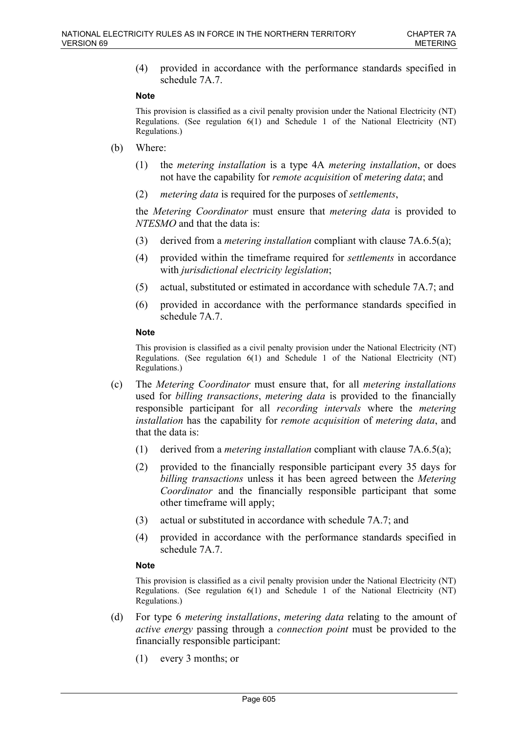(4) provided in accordance with the performance standards specified in schedule 7A.7.

#### **Note**

This provision is classified as a civil penalty provision under the National Electricity (NT) Regulations. (See regulation 6(1) and Schedule 1 of the National Electricity (NT) Regulations.)

- (b) Where:
	- (1) the *metering installation* is a type 4A *metering installation*, or does not have the capability for *remote acquisition* of *metering data*; and
	- (2) *metering data* is required for the purposes of *settlements*,

the *Metering Coordinator* must ensure that *metering data* is provided to *NTESMO* and that the data is:

- (3) derived from a *metering installation* compliant with clause 7A.6.5(a);
- (4) provided within the timeframe required for *settlements* in accordance with *jurisdictional electricity legislation*;
- (5) actual, substituted or estimated in accordance with schedule 7A.7; and
- (6) provided in accordance with the performance standards specified in schedule 7A.7.

#### **Note**

This provision is classified as a civil penalty provision under the National Electricity (NT) Regulations. (See regulation 6(1) and Schedule 1 of the National Electricity (NT) Regulations.)

- (c) The *Metering Coordinator* must ensure that, for all *metering installations* used for *billing transactions*, *metering data* is provided to the financially responsible participant for all *recording intervals* where the *metering installation* has the capability for *remote acquisition* of *metering data*, and that the data is:
	- (1) derived from a *metering installation* compliant with clause 7A.6.5(a);
	- (2) provided to the financially responsible participant every 35 days for *billing transactions* unless it has been agreed between the *Metering Coordinator* and the financially responsible participant that some other timeframe will apply;
	- (3) actual or substituted in accordance with schedule 7A.7; and
	- (4) provided in accordance with the performance standards specified in schedule 7A.7.

#### **Note**

This provision is classified as a civil penalty provision under the National Electricity (NT) Regulations. (See regulation 6(1) and Schedule 1 of the National Electricity (NT) Regulations.)

- (d) For type 6 *metering installations*, *metering data* relating to the amount of *active energy* passing through a *connection point* must be provided to the financially responsible participant:
	- (1) every 3 months; or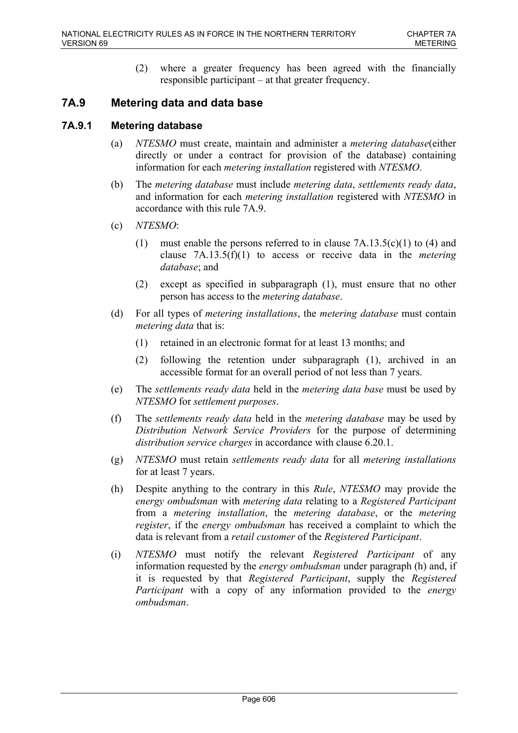(2) where a greater frequency has been agreed with the financially responsible participant – at that greater frequency.

# **7A.9 Metering data and data base**

# **7A.9.1 Metering database**

- (a) *NTESMO* must create, maintain and administer a *metering database*(either directly or under a contract for provision of the database) containing information for each *metering installation* registered with *NTESMO*.
- (b) The *metering database* must include *metering data*, *settlements ready data*, and information for each *metering installation* registered with *NTESMO* in accordance with this rule 7A.9.
- (c) *NTESMO*:
	- (1) must enable the persons referred to in clause  $7A.13.5(c)(1)$  to (4) and clause 7A.13.5(f)(1) to access or receive data in the *metering database*; and
	- (2) except as specified in subparagraph (1), must ensure that no other person has access to the *metering database*.
- (d) For all types of *metering installations*, the *metering database* must contain *metering data* that is:
	- (1) retained in an electronic format for at least 13 months; and
	- (2) following the retention under subparagraph (1), archived in an accessible format for an overall period of not less than 7 years.
- (e) The *settlements ready data* held in the *metering data base* must be used by *NTESMO* for *settlement purposes*.
- (f) The *settlements ready data* held in the *metering database* may be used by *Distribution Network Service Providers* for the purpose of determining *distribution service charges* in accordance with clause 6.20.1.
- (g) *NTESMO* must retain *settlements ready data* for all *metering installations* for at least 7 years.
- (h) Despite anything to the contrary in this *Rule*, *NTESMO* may provide the *energy ombudsman* with *metering data* relating to a *Registered Participant* from a *metering installation*, the *metering database*, or the *metering register*, if the *energy ombudsman* has received a complaint to which the data is relevant from a *retail customer* of the *Registered Participant*.
- (i) *NTESMO* must notify the relevant *Registered Participant* of any information requested by the *energy ombudsman* under paragraph (h) and, if it is requested by that *Registered Participant*, supply the *Registered Participant* with a copy of any information provided to the *energy ombudsman*.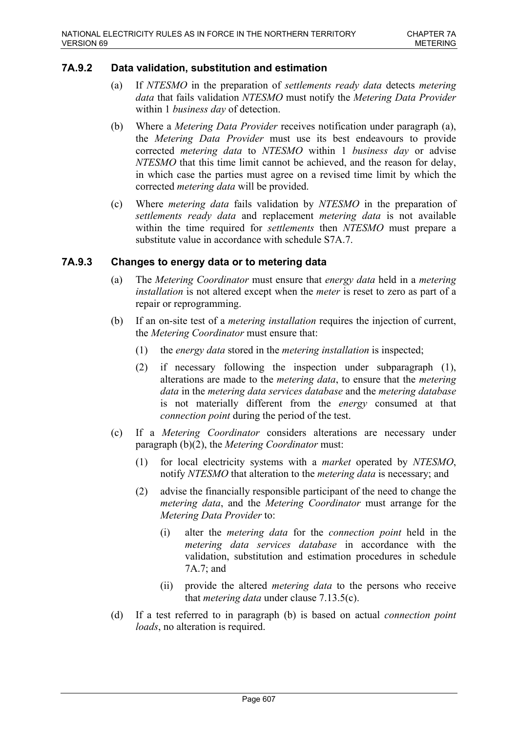### **7A.9.2 Data validation, substitution and estimation**

- (a) If *NTESMO* in the preparation of *settlements ready data* detects *metering data* that fails validation *NTESMO* must notify the *Metering Data Provider* within 1 *business day* of detection.
- (b) Where a *Metering Data Provider* receives notification under paragraph (a), the *Metering Data Provider* must use its best endeavours to provide corrected *metering data* to *NTESMO* within 1 *business day* or advise *NTESMO* that this time limit cannot be achieved, and the reason for delay, in which case the parties must agree on a revised time limit by which the corrected *metering data* will be provided.
- (c) Where *metering data* fails validation by *NTESMO* in the preparation of *settlements ready data* and replacement *metering data* is not available within the time required for *settlements* then *NTESMO* must prepare a substitute value in accordance with schedule S7A.7.

### **7A.9.3 Changes to energy data or to metering data**

- (a) The *Metering Coordinator* must ensure that *energy data* held in a *metering installation* is not altered except when the *meter* is reset to zero as part of a repair or reprogramming.
- (b) If an on-site test of a *metering installation* requires the injection of current, the *Metering Coordinator* must ensure that:
	- (1) the *energy data* stored in the *metering installation* is inspected;
	- (2) if necessary following the inspection under subparagraph (1), alterations are made to the *metering data*, to ensure that the *metering data* in the *metering data services database* and the *metering database* is not materially different from the *energy* consumed at that *connection point* during the period of the test.
- (c) If a *Metering Coordinator* considers alterations are necessary under paragraph (b)(2), the *Metering Coordinator* must:
	- (1) for local electricity systems with a *market* operated by *NTESMO*, notify *NTESMO* that alteration to the *metering data* is necessary; and
	- (2) advise the financially responsible participant of the need to change the *metering data*, and the *Metering Coordinator* must arrange for the *Metering Data Provider* to:
		- (i) alter the *metering data* for the *connection point* held in the *metering data services database* in accordance with the validation, substitution and estimation procedures in schedule 7A.7; and
		- (ii) provide the altered *metering data* to the persons who receive that *metering data* under clause 7.13.5(c).
- (d) If a test referred to in paragraph (b) is based on actual *connection point loads*, no alteration is required.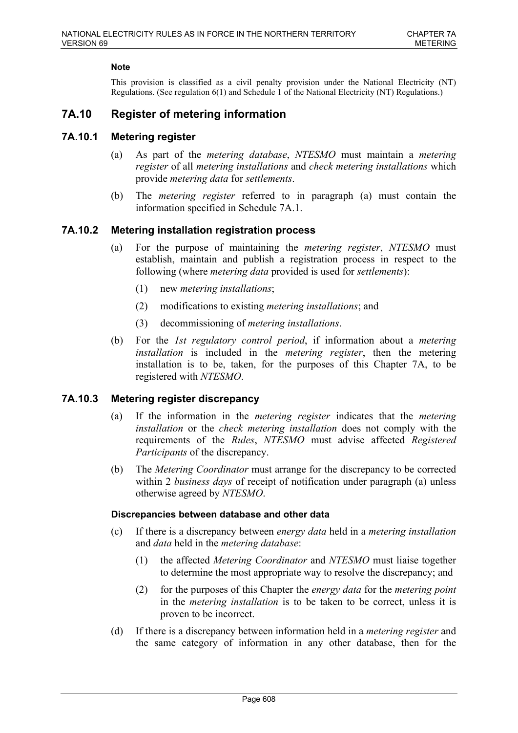This provision is classified as a civil penalty provision under the National Electricity (NT) Regulations. (See regulation 6(1) and Schedule 1 of the National Electricity (NT) Regulations.)

# **7A.10 Register of metering information**

### **7A.10.1 Metering register**

- (a) As part of the *metering database*, *NTESMO* must maintain a *metering register* of all *metering installations* and *check metering installations* which provide *metering data* for *settlements*.
- (b) The *metering register* referred to in paragraph (a) must contain the information specified in Schedule 7A.1.

### **7A.10.2 Metering installation registration process**

- (a) For the purpose of maintaining the *metering register*, *NTESMO* must establish, maintain and publish a registration process in respect to the following (where *metering data* provided is used for *settlements*):
	- (1) new *metering installations*;
	- (2) modifications to existing *metering installations*; and
	- (3) decommissioning of *metering installations*.
- (b) For the *1st regulatory control period*, if information about a *metering installation* is included in the *metering register*, then the metering installation is to be, taken, for the purposes of this Chapter 7A, to be registered with *NTESMO*.

### **7A.10.3 Metering register discrepancy**

- (a) If the information in the *metering register* indicates that the *metering installation* or the *check metering installation* does not comply with the requirements of the *Rules*, *NTESMO* must advise affected *Registered Participants* of the discrepancy.
- (b) The *Metering Coordinator* must arrange for the discrepancy to be corrected within 2 *business days* of receipt of notification under paragraph (a) unless otherwise agreed by *NTESMO*.

#### **Discrepancies between database and other data**

- (c) If there is a discrepancy between *energy data* held in a *metering installation* and *data* held in the *metering database*:
	- (1) the affected *Metering Coordinator* and *NTESMO* must liaise together to determine the most appropriate way to resolve the discrepancy; and
	- (2) for the purposes of this Chapter the *energy data* for the *metering point* in the *metering installation* is to be taken to be correct, unless it is proven to be incorrect.
- (d) If there is a discrepancy between information held in a *metering register* and the same category of information in any other database, then for the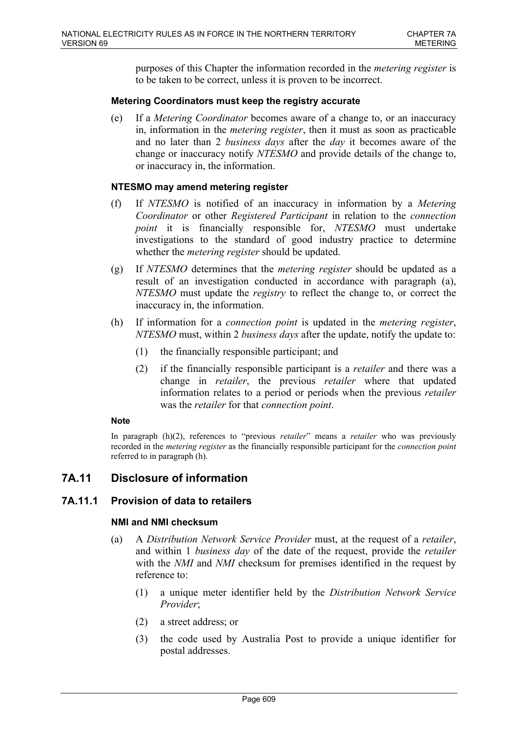purposes of this Chapter the information recorded in the *metering register* is to be taken to be correct, unless it is proven to be incorrect.

### **Metering Coordinators must keep the registry accurate**

(e) If a *Metering Coordinator* becomes aware of a change to, or an inaccuracy in, information in the *metering register*, then it must as soon as practicable and no later than 2 *business days* after the *day* it becomes aware of the change or inaccuracy notify *NTESMO* and provide details of the change to, or inaccuracy in, the information.

### **NTESMO may amend metering register**

- (f) If *NTESMO* is notified of an inaccuracy in information by a *Metering Coordinator* or other *Registered Participant* in relation to the *connection point* it is financially responsible for, *NTESMO* must undertake investigations to the standard of good industry practice to determine whether the *metering register* should be updated.
- (g) If *NTESMO* determines that the *metering register* should be updated as a result of an investigation conducted in accordance with paragraph (a), *NTESMO* must update the *registry* to reflect the change to, or correct the inaccuracy in, the information.
- (h) If information for a *connection point* is updated in the *metering register*, *NTESMO* must, within 2 *business days* after the update, notify the update to:
	- (1) the financially responsible participant; and
	- (2) if the financially responsible participant is a *retailer* and there was a change in *retailer*, the previous *retailer* where that updated information relates to a period or periods when the previous *retailer* was the *retailer* for that *connection point*.

#### **Note**

In paragraph (h)(2), references to "previous *retailer*" means a *retailer* who was previously recorded in the *metering register* as the financially responsible participant for the *connection point* referred to in paragraph (h).

# **7A.11 Disclosure of information**

# **7A.11.1 Provision of data to retailers**

### **NMI and NMI checksum**

- (a) A *Distribution Network Service Provider* must, at the request of a *retailer*, and within 1 *business day* of the date of the request, provide the *retailer* with the *NMI* and *NMI* checksum for premises identified in the request by reference to:
	- (1) a unique meter identifier held by the *Distribution Network Service Provider*;
	- (2) a street address; or
	- (3) the code used by Australia Post to provide a unique identifier for postal addresses.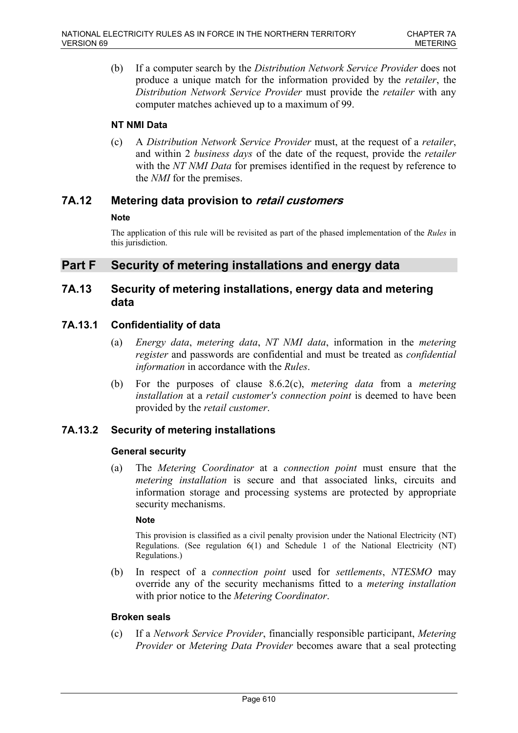(b) If a computer search by the *Distribution Network Service Provider* does not produce a unique match for the information provided by the *retailer*, the *Distribution Network Service Provider* must provide the *retailer* with any computer matches achieved up to a maximum of 99.

### **NT NMI Data**

(c) A *Distribution Network Service Provider* must, at the request of a *retailer*, and within 2 *business days* of the date of the request, provide the *retailer* with the *NT NMI Data* for premises identified in the request by reference to the *NMI* for the premises.

# **7A.12 Metering data provision to** *retail customers*

### **Note**

The application of this rule will be revisited as part of the phased implementation of the *Rules* in this jurisdiction.

# **Part F Security of metering installations and energy data**

# **7A.13 Security of metering installations, energy data and metering data**

# **7A.13.1 Confidentiality of data**

- (a) *Energy data*, *metering data*, *NT NMI data*, information in the *metering register* and passwords are confidential and must be treated as *confidential information* in accordance with the *Rules*.
- (b) For the purposes of clause 8.6.2(c), *metering data* from a *metering installation* at a *retail customer's connection point* is deemed to have been provided by the *retail customer*.

# **7A.13.2 Security of metering installations**

### **General security**

(a) The *Metering Coordinator* at a *connection point* must ensure that the *metering installation* is secure and that associated links, circuits and information storage and processing systems are protected by appropriate security mechanisms.

### **Note**

This provision is classified as a civil penalty provision under the National Electricity (NT) Regulations. (See regulation 6(1) and Schedule 1 of the National Electricity (NT) Regulations.)

(b) In respect of a *connection point* used for *settlements*, *NTESMO* may override any of the security mechanisms fitted to a *metering installation* with prior notice to the *Metering Coordinator*.

# **Broken seals**

(c) If a *Network Service Provider*, financially responsible participant, *Metering Provider* or *Metering Data Provider* becomes aware that a seal protecting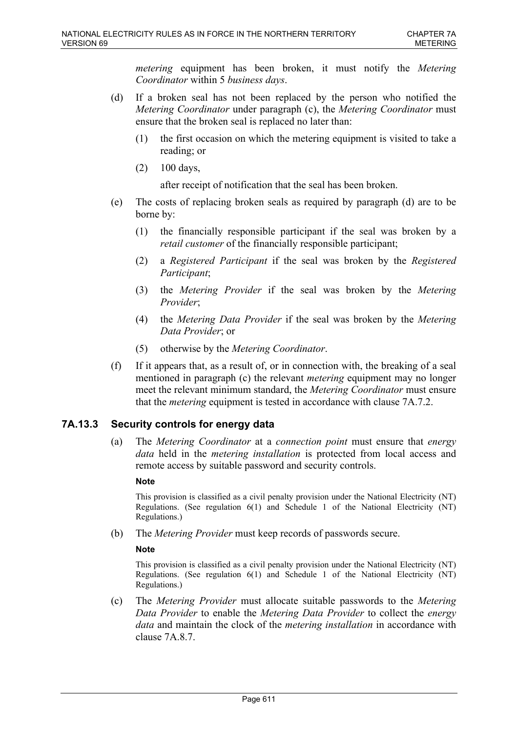*metering* equipment has been broken, it must notify the *Metering Coordinator* within 5 *business days*.

- (d) If a broken seal has not been replaced by the person who notified the *Metering Coordinator* under paragraph (c), the *Metering Coordinator* must ensure that the broken seal is replaced no later than:
	- (1) the first occasion on which the metering equipment is visited to take a reading; or
	- (2) 100 days,

after receipt of notification that the seal has been broken.

- (e) The costs of replacing broken seals as required by paragraph (d) are to be borne by:
	- (1) the financially responsible participant if the seal was broken by a *retail customer* of the financially responsible participant;
	- (2) a *Registered Participant* if the seal was broken by the *Registered Participant*;
	- (3) the *Metering Provider* if the seal was broken by the *Metering Provider*;
	- (4) the *Metering Data Provider* if the seal was broken by the *Metering Data Provider*; or
	- (5) otherwise by the *Metering Coordinator*.
- (f) If it appears that, as a result of, or in connection with, the breaking of a seal mentioned in paragraph (c) the relevant *metering* equipment may no longer meet the relevant minimum standard, the *Metering Coordinator* must ensure that the *metering* equipment is tested in accordance with clause 7A.7.2.

# **7A.13.3 Security controls for energy data**

(a) The *Metering Coordinator* at a *connection point* must ensure that *energy data* held in the *metering installation* is protected from local access and remote access by suitable password and security controls.

## **Note**

This provision is classified as a civil penalty provision under the National Electricity (NT) Regulations. (See regulation 6(1) and Schedule 1 of the National Electricity (NT) Regulations.)

(b) The *Metering Provider* must keep records of passwords secure.

### **Note**

This provision is classified as a civil penalty provision under the National Electricity (NT) Regulations. (See regulation 6(1) and Schedule 1 of the National Electricity (NT) Regulations.)

(c) The *Metering Provider* must allocate suitable passwords to the *Metering Data Provider* to enable the *Metering Data Provider* to collect the *energy data* and maintain the clock of the *metering installation* in accordance with clause 7A.8.7.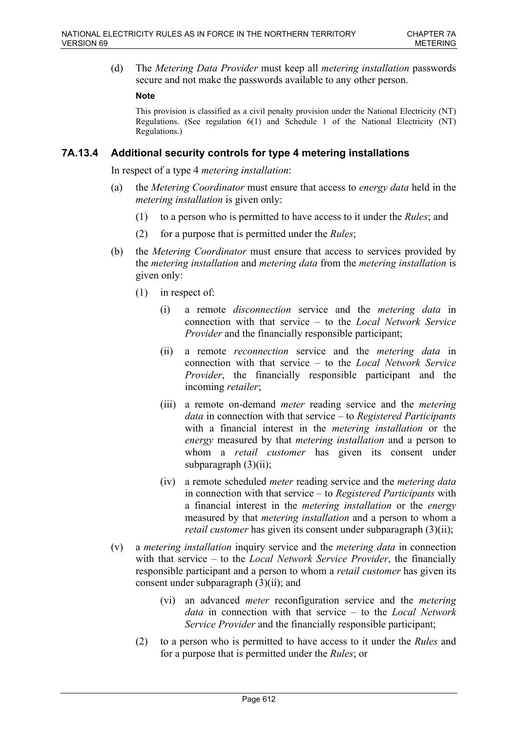(d) The *Metering Data Provider* must keep all *metering installation* passwords secure and not make the passwords available to any other person.

### **Note**

This provision is classified as a civil penalty provision under the National Electricity (NT) Regulations. (See regulation 6(1) and Schedule 1 of the National Electricity (NT) Regulations.)

## **7A.13.4 Additional security controls for type 4 metering installations**

In respect of a type 4 *metering installation*:

- (a) the *Metering Coordinator* must ensure that access to *energy data* held in the *metering installation* is given only:
	- (1) to a person who is permitted to have access to it under the *Rules*; and
	- (2) for a purpose that is permitted under the *Rules*;
- (b) the *Metering Coordinator* must ensure that access to services provided by the *metering installation* and *metering data* from the *metering installation* is given only:
	- (1) in respect of:
		- (i) a remote *disconnection* service and the *metering data* in connection with that service – to the *Local Network Service Provider* and the financially responsible participant;
		- (ii) a remote *reconnection* service and the *metering data* in connection with that service – to the *Local Network Service Provider*, the financially responsible participant and the incoming *retailer*;
		- (iii) a remote on-demand *meter* reading service and the *metering data* in connection with that service – to *Registered Participants* with a financial interest in the *metering installation* or the *energy* measured by that *metering installation* and a person to whom a *retail customer* has given its consent under subparagraph (3)(ii);
		- (iv) a remote scheduled *meter* reading service and the *metering data* in connection with that service – to *Registered Participants* with a financial interest in the *metering installation* or the *energy* measured by that *metering installation* and a person to whom a *retail customer* has given its consent under subparagraph (3)(ii);
- (v) a *metering installation* inquiry service and the *metering data* in connection with that service – to the *Local Network Service Provider*, the financially responsible participant and a person to whom a *retail customer* has given its consent under subparagraph (3)(ii); and
	- (vi) an advanced *meter* reconfiguration service and the *metering data* in connection with that service – to the *Local Network Service Provider* and the financially responsible participant;
	- (2) to a person who is permitted to have access to it under the *Rules* and for a purpose that is permitted under the *Rules*; or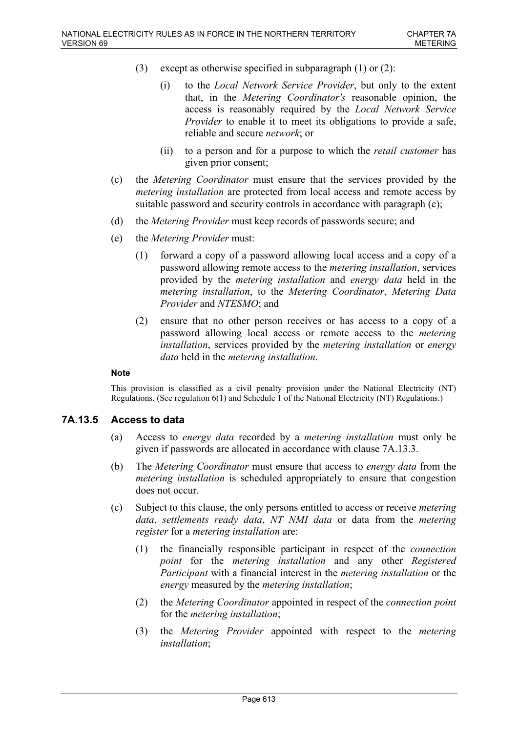- (3) except as otherwise specified in subparagraph (1) or (2):
	- (i) to the *Local Network Service Provider*, but only to the extent that, in the *Metering Coordinator's* reasonable opinion, the access is reasonably required by the *Local Network Service Provider* to enable it to meet its obligations to provide a safe, reliable and secure *network*; or
	- (ii) to a person and for a purpose to which the *retail customer* has given prior consent;
- (c) the *Metering Coordinator* must ensure that the services provided by the *metering installation* are protected from local access and remote access by suitable password and security controls in accordance with paragraph (e);
- (d) the *Metering Provider* must keep records of passwords secure; and
- (e) the *Metering Provider* must:
	- (1) forward a copy of a password allowing local access and a copy of a password allowing remote access to the *metering installation*, services provided by the *metering installation* and *energy data* held in the *metering installation*, to the *Metering Coordinator*, *Metering Data Provider* and *NTESMO*; and
	- (2) ensure that no other person receives or has access to a copy of a password allowing local access or remote access to the *metering installation*, services provided by the *metering installation* or *energy data* held in the *metering installation*.

## **Note**

This provision is classified as a civil penalty provision under the National Electricity (NT) Regulations. (See regulation 6(1) and Schedule 1 of the National Electricity (NT) Regulations.)

## **7A.13.5 Access to data**

- (a) Access to *energy data* recorded by a *metering installation* must only be given if passwords are allocated in accordance with clause 7A.13.3.
- (b) The *Metering Coordinator* must ensure that access to *energy data* from the *metering installation* is scheduled appropriately to ensure that congestion does not occur.
- (c) Subject to this clause, the only persons entitled to access or receive *metering data*, *settlements ready data*, *NT NMI data* or data from the *metering register* for a *metering installation* are:
	- (1) the financially responsible participant in respect of the *connection point* for the *metering installation* and any other *Registered Participant* with a financial interest in the *metering installation* or the *energy* measured by the *metering installation*;
	- (2) the *Metering Coordinator* appointed in respect of the *connection point* for the *metering installation*;
	- (3) the *Metering Provider* appointed with respect to the *metering installation*;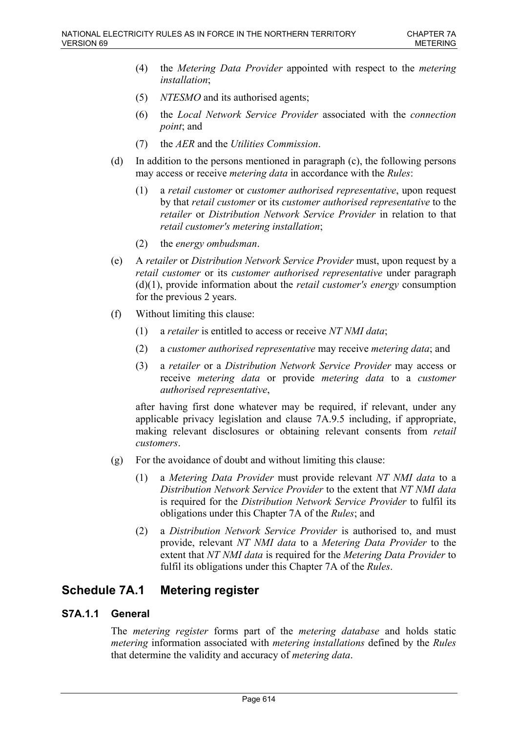- (4) the *Metering Data Provider* appointed with respect to the *metering installation*;
- (5) *NTESMO* and its authorised agents;
- (6) the *Local Network Service Provider* associated with the *connection point*; and
- (7) the *AER* and the *Utilities Commission*.
- (d) In addition to the persons mentioned in paragraph (c), the following persons may access or receive *metering data* in accordance with the *Rules*:
	- (1) a *retail customer* or *customer authorised representative*, upon request by that *retail customer* or its *customer authorised representative* to the *retailer* or *Distribution Network Service Provider* in relation to that *retail customer's metering installation*;
	- (2) the *energy ombudsman*.
- (e) A *retailer* or *Distribution Network Service Provider* must, upon request by a *retail customer* or its *customer authorised representative* under paragraph (d)(1), provide information about the *retail customer's energy* consumption for the previous 2 years.
- (f) Without limiting this clause:
	- (1) a *retailer* is entitled to access or receive *NT NMI data*;
	- (2) a *customer authorised representative* may receive *metering data*; and
	- (3) a *retailer* or a *Distribution Network Service Provider* may access or receive *metering data* or provide *metering data* to a *customer authorised representative*,

after having first done whatever may be required, if relevant, under any applicable privacy legislation and clause 7A.9.5 including, if appropriate, making relevant disclosures or obtaining relevant consents from *retail customers*.

- (g) For the avoidance of doubt and without limiting this clause:
	- (1) a *Metering Data Provider* must provide relevant *NT NMI data* to a *Distribution Network Service Provider* to the extent that *NT NMI data* is required for the *Distribution Network Service Provider* to fulfil its obligations under this Chapter 7A of the *Rules*; and
	- (2) a *Distribution Network Service Provider* is authorised to, and must provide, relevant *NT NMI data* to a *Metering Data Provider* to the extent that *NT NMI data* is required for the *Metering Data Provider* to fulfil its obligations under this Chapter 7A of the *Rules*.

# **Schedule 7A.1 Metering register**

# **S7A.1.1 General**

The *metering register* forms part of the *metering database* and holds static *metering* information associated with *metering installations* defined by the *Rules* that determine the validity and accuracy of *metering data*.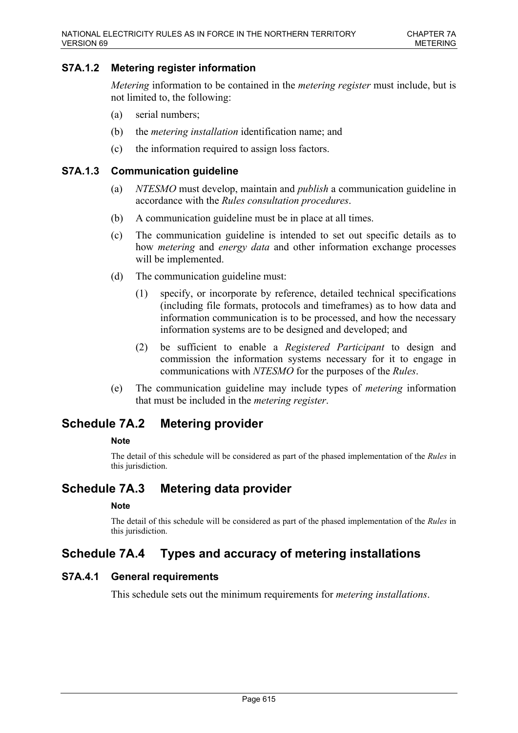## **S7A.1.2 Metering register information**

*Metering* information to be contained in the *metering register* must include, but is not limited to, the following:

- (a) serial numbers;
- (b) the *metering installation* identification name; and
- (c) the information required to assign loss factors.

### **S7A.1.3 Communication guideline**

- (a) *NTESMO* must develop, maintain and *publish* a communication guideline in accordance with the *Rules consultation procedures*.
- (b) A communication guideline must be in place at all times.
- (c) The communication guideline is intended to set out specific details as to how *metering* and *energy data* and other information exchange processes will be implemented.
- (d) The communication guideline must:
	- (1) specify, or incorporate by reference, detailed technical specifications (including file formats, protocols and timeframes) as to how data and information communication is to be processed, and how the necessary information systems are to be designed and developed; and
	- (2) be sufficient to enable a *Registered Participant* to design and commission the information systems necessary for it to engage in communications with *NTESMO* for the purposes of the *Rules*.
- (e) The communication guideline may include types of *metering* information that must be included in the *metering register*.

# **Schedule 7A.2 Metering provider**

### **Note**

The detail of this schedule will be considered as part of the phased implementation of the *Rules* in this jurisdiction.

# **Schedule 7A.3 Metering data provider**

### **Note**

The detail of this schedule will be considered as part of the phased implementation of the *Rules* in this jurisdiction.

# **Schedule 7A.4 Types and accuracy of metering installations**

## **S7A.4.1 General requirements**

This schedule sets out the minimum requirements for *metering installations*.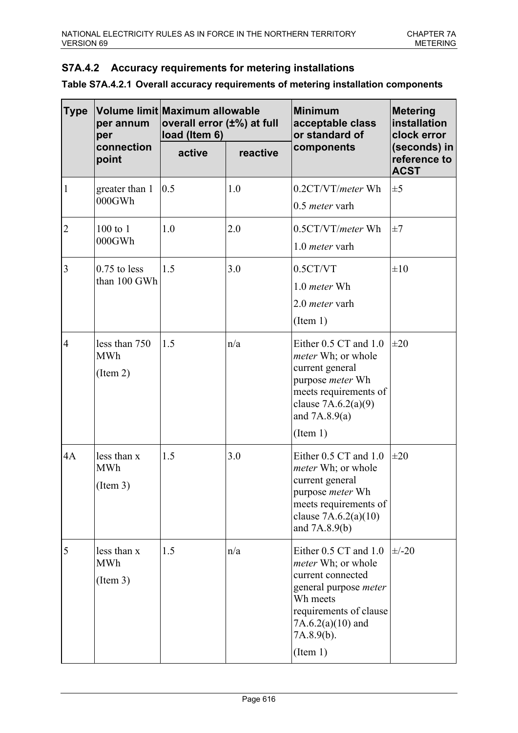# **S7A.4.2 Accuracy requirements for metering installations**

| <b>Type</b>    | per annum<br>per                        | Volume limit Maximum allowable<br>overall error (±%) at full<br>load (Item 6) |          | <b>Minimum</b><br>acceptable class<br>or standard of                                                                                                                                           | <b>Metering</b><br>installation<br>clock error |
|----------------|-----------------------------------------|-------------------------------------------------------------------------------|----------|------------------------------------------------------------------------------------------------------------------------------------------------------------------------------------------------|------------------------------------------------|
|                | connection<br>point                     | active                                                                        | reactive | components                                                                                                                                                                                     | (seconds) in<br>reference to<br><b>ACST</b>    |
| 1              | greater than 1<br>000GWh                | 0.5                                                                           | 1.0      | 0.2CT/VT/meter Wh<br>$0.5$ meter varh                                                                                                                                                          | $\pm 5$                                        |
| $\overline{2}$ | $100$ to $1$<br>000GWh                  | 1.0                                                                           | 2.0      | $0.5CT/VT/meter$ Wh<br>1.0 <i>meter</i> varh                                                                                                                                                   | $\pm 7$                                        |
| 3              | $0.75$ to less<br>than 100 GWh          | 1.5                                                                           | 3.0      | 0.5CT/VT<br>$1.0$ meter Wh<br>2.0 <i>meter</i> varh<br>(Item 1)                                                                                                                                | $\pm 10$                                       |
| $\overline{4}$ | less than 750<br><b>MWh</b><br>(Item 2) | 1.5                                                                           | n/a      | Either 0.5 CT and 1.0<br><i>meter</i> Wh; or whole<br>current general<br>purpose <i>meter</i> Wh<br>meets requirements of<br>clause $7A.6.2(a)(9)$<br>and $7A.8.9(a)$<br>(Item 1)              | $\pm 20$                                       |
| 4A             | less than x<br><b>MWh</b><br>(Item 3)   | 1.5                                                                           | 3.0      | Either 0.5 CT and 1.0<br><i>meter</i> Wh; or whole<br>current general<br>purpose <i>meter</i> Wh<br>meets requirements of<br>clause $7A.6.2(a)(10)$<br>and $7A.8.9(b)$                         | $\pm 20$                                       |
| 5              | less than x<br><b>MWh</b><br>(Item 3)   | 1.5                                                                           | n/a      | Either 0.5 CT and 1.0<br><i>meter</i> Wh; or whole<br>current connected<br>general purpose <i>meter</i><br>Wh meets<br>requirements of clause<br>$7A.6.2(a)(10)$ and<br>7A.8.9(b).<br>(Item 1) | $\pm$ /-20                                     |

| Table S7A.4.2.1 Overall accuracy requirements of metering installation components |
|-----------------------------------------------------------------------------------|
|-----------------------------------------------------------------------------------|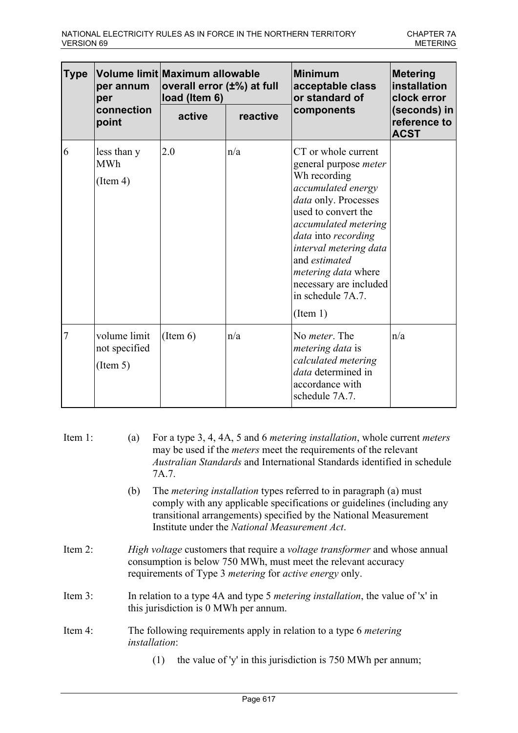| <b>Type</b> | per annum<br>per                          | Volume limit Maximum allowable<br>overall error (±%) at full<br>load (Item 6) |                        | <b>Minimum</b><br>acceptable class<br>or standard of                                                                                                                                                                                                                                                                 | <b>Metering</b><br>installation<br>clock error |
|-------------|-------------------------------------------|-------------------------------------------------------------------------------|------------------------|----------------------------------------------------------------------------------------------------------------------------------------------------------------------------------------------------------------------------------------------------------------------------------------------------------------------|------------------------------------------------|
|             | connection<br>point                       | active                                                                        | components<br>reactive |                                                                                                                                                                                                                                                                                                                      | (seconds) in<br>reference to<br><b>ACST</b>    |
| 6           | less than y<br><b>MWh</b><br>(Item 4)     | 2.0                                                                           | n/a                    | CT or whole current<br>general purpose <i>meter</i><br>Wh recording<br>accumulated energy<br>data only. Processes<br>used to convert the<br>accumulated metering<br>data into recording<br>interval metering data<br>and estimated<br>metering data where<br>necessary are included<br>in schedule 7A.7.<br>(Item 1) |                                                |
| 7           | volume limit<br>not specified<br>(Item 5) | (Item 6)                                                                      | n/a                    | No <i>meter</i> . The<br><i>metering data</i> is<br>calculated metering<br>data determined in<br>accordance with<br>schedule 7A.7.                                                                                                                                                                                   | n/a                                            |

| Item $1$ : | For a type 3, 4, 4A, 5 and 6 <i>metering installation</i> , whole current <i>meters</i><br>(a)<br>may be used if the <i>meters</i> meet the requirements of the relevant<br><i>Australian Standards</i> and International Standards identified in schedule<br>7A.7.            |  |  |  |  |
|------------|--------------------------------------------------------------------------------------------------------------------------------------------------------------------------------------------------------------------------------------------------------------------------------|--|--|--|--|
|            | The <i>metering installation</i> types referred to in paragraph (a) must<br>(b)<br>comply with any applicable specifications or guidelines (including any<br>transitional arrangements) specified by the National Measurement<br>Institute under the National Measurement Act. |  |  |  |  |
| Item $2$ : | High voltage customers that require a voltage transformer and whose annual<br>consumption is below 750 MWh, must meet the relevant accuracy<br>requirements of Type 3 <i>metering</i> for <i>active energy</i> only.                                                           |  |  |  |  |
| Item $3$ : | In relation to a type 4A and type 5 <i>metering installation</i> , the value of 'x' in<br>this jurisdiction is 0 MWh per annum.                                                                                                                                                |  |  |  |  |
| Item $4$ : | The following requirements apply in relation to a type 6 <i>metering</i><br><i>installation</i> :<br>the value of 'y' in this jurisdiction is 750 MWh per annum;<br>(1)                                                                                                        |  |  |  |  |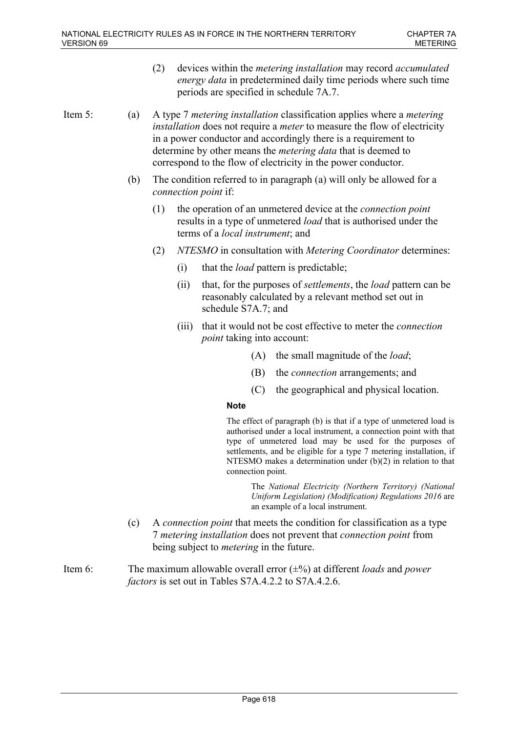(2) devices within the *metering installation* may record *accumulated energy data* in predetermined daily time periods where such time periods are specified in schedule 7A.7.

Item 5: (a) A type 7 *metering installation* classification applies where a *metering installation* does not require a *meter* to measure the flow of electricity in a power conductor and accordingly there is a requirement to determine by other means the *metering data* that is deemed to correspond to the flow of electricity in the power conductor.

- (b) The condition referred to in paragraph (a) will only be allowed for a *connection point* if:
	- (1) the operation of an unmetered device at the *connection point* results in a type of unmetered *load* that is authorised under the terms of a *local instrument*; and
	- (2) *NTESMO* in consultation with *Metering Coordinator* determines:
		- (i) that the *load* pattern is predictable;
		- (ii) that, for the purposes of *settlements*, the *load* pattern can be reasonably calculated by a relevant method set out in schedule S7A.7; and
		- (iii) that it would not be cost effective to meter the *connection point* taking into account:
			- (A) the small magnitude of the *load*;
			- (B) the *connection* arrangements; and
			- (C) the geographical and physical location.

### **Note**

The effect of paragraph (b) is that if a type of unmetered load is authorised under a local instrument, a connection point with that type of unmetered load may be used for the purposes of settlements, and be eligible for a type 7 metering installation, if NTESMO makes a determination under (b)(2) in relation to that connection point.

> The *National Electricity (Northern Territory) (National Uniform Legislation) (Modification) Regulations 2016* are an example of a local instrument.

- (c) A *connection point* that meets the condition for classification as a type 7 *metering installation* does not prevent that *connection point* from being subject to *metering* in the future.
- Item 6: The maximum allowable overall error (±%) at different *loads* and *power factors* is set out in Tables S7A.4.2.2 to S7A.4.2.6.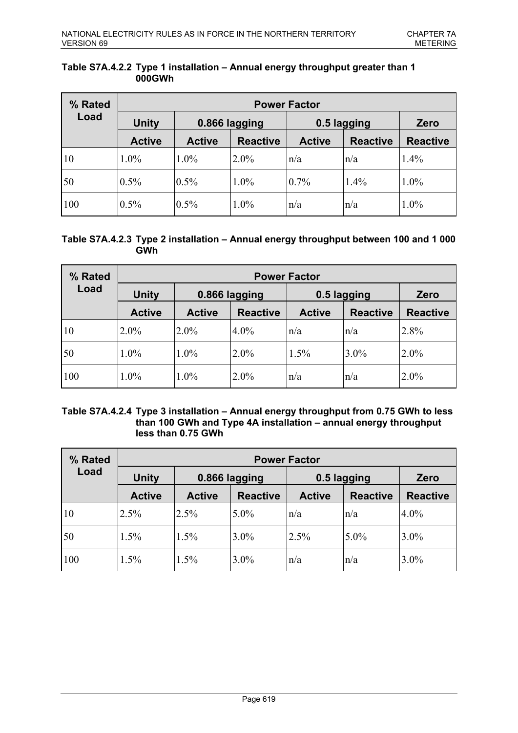| % Rated         | <b>Power Factor</b> |               |                 |               |                 |                 |  |
|-----------------|---------------------|---------------|-----------------|---------------|-----------------|-----------------|--|
| Load            | <b>Unity</b>        | 0.866 lagging |                 | 0.5 lagging   |                 | Zero            |  |
|                 | <b>Active</b>       | <b>Active</b> | <b>Reactive</b> | <b>Active</b> | <b>Reactive</b> | <b>Reactive</b> |  |
| $ 10\rangle$    | $1.0\%$             | 1.0%          | 2.0%            | n/a           | n/a             | 1.4%            |  |
| $\overline{50}$ | $0.5\%$             | 0.5%          | 1.0%            | $0.7\%$       | 1.4%            | 1.0%            |  |
| 100             | $0.5\%$             | 0.5%          | 1.0%            | n/a           | n/a             | 1.0%            |  |

### **Table S7A.4.2.2 Type 1 installation – Annual energy throughput greater than 1 000GWh**

## **Table S7A.4.2.3 Type 2 installation – Annual energy throughput between 100 and 1 000 GWh**

| % Rated      | <b>Power Factor</b> |               |                 |               |                 |                 |  |
|--------------|---------------------|---------------|-----------------|---------------|-----------------|-----------------|--|
| Load         | <b>Unity</b>        | 0.866 lagging |                 | 0.5 lagging   |                 | Zero            |  |
|              | <b>Active</b>       | <b>Active</b> | <b>Reactive</b> | <b>Active</b> | <b>Reactive</b> | <b>Reactive</b> |  |
| $ 10\rangle$ | $2.0\%$             | $2.0\%$       | $4.0\%$         | n/a           | $\ln/a$         | 2.8%            |  |
| 50           | $1.0\%$             | $1.0\%$       | $2.0\%$         | 1.5%          | $3.0\%$         | 2.0%            |  |
| 100          | $1.0\%$             | 1.0%          | $2.0\%$         | n/a           | n/a             | 2.0%            |  |

## **Table S7A.4.2.4 Type 3 installation – Annual energy throughput from 0.75 GWh to less than 100 GWh and Type 4A installation – annual energy throughput less than 0.75 GWh**

| % Rated         | <b>Power Factor</b> |               |                 |               |                 |                 |  |
|-----------------|---------------------|---------------|-----------------|---------------|-----------------|-----------------|--|
| Load            | <b>Unity</b>        | 0.866 lagging |                 | 0.5 lagging   |                 | Zero            |  |
|                 | <b>Active</b>       | <b>Active</b> | <b>Reactive</b> | <b>Active</b> | <b>Reactive</b> | <b>Reactive</b> |  |
| 10              | 2.5%                | 2.5%          | $5.0\%$         | n/a           | n/a             | $4.0\%$         |  |
| $\overline{50}$ | $1.5\%$             | 1.5%          | $3.0\%$         | 2.5%          | $5.0\%$         | $3.0\%$         |  |
| 100             | 1.5%                | 1.5%          | $3.0\%$         | n/a           | n/a             | 3.0%            |  |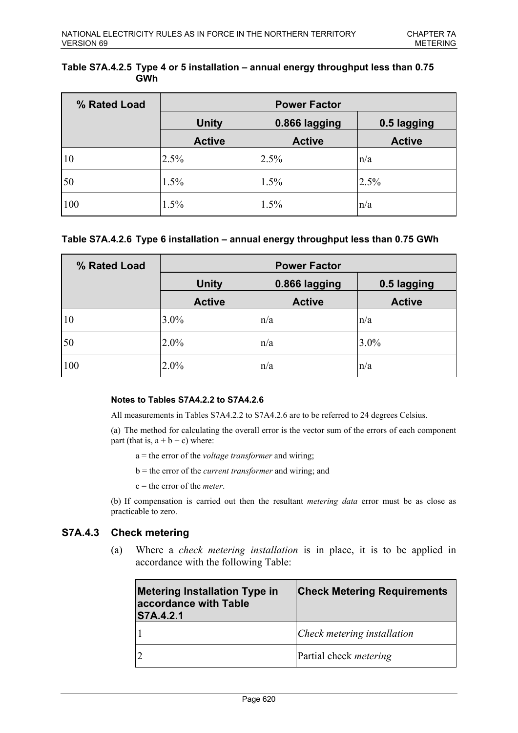### **Table S7A.4.2.5 Type 4 or 5 installation – annual energy throughput less than 0.75 GWh**

| % Rated Load | <b>Power Factor</b> |                              |               |
|--------------|---------------------|------------------------------|---------------|
|              | <b>Unity</b>        | 0.866 lagging<br>0.5 lagging |               |
|              | <b>Active</b>       | <b>Active</b>                | <b>Active</b> |
| 10           | 2.5%                | 2.5%                         | n/a           |
| 50           | 1.5%                | 1.5%                         | 2.5%          |
| 100          | 1.5%                | 1.5%                         | n/a           |

## **Table S7A.4.2.6 Type 6 installation – annual energy throughput less than 0.75 GWh**

| % Rated Load    | <b>Power Factor</b>           |               |               |  |  |
|-----------------|-------------------------------|---------------|---------------|--|--|
|                 | <b>Unity</b><br>0.866 lagging |               | 0.5 lagging   |  |  |
|                 | <b>Active</b>                 | <b>Active</b> | <b>Active</b> |  |  |
| $ 10\rangle$    | $3.0\%$                       | n/a           | n/a           |  |  |
| $\overline{50}$ | $ 2.0\% $                     | n/a           | 3.0%          |  |  |
| 100             | $2.0\%$                       | n/a           | n/a           |  |  |

### **Notes to Tables S7A4.2.2 to S7A4.2.6**

All measurements in Tables S7A4.2.2 to S7A4.2.6 are to be referred to 24 degrees Celsius.

(a) The method for calculating the overall error is the vector sum of the errors of each component part (that is,  $a + b + c$ ) where:

- a = the error of the *voltage transformer* and wiring;
- b = the error of the *current transformer* and wiring; and
- c = the error of the *meter*.

(b) If compensation is carried out then the resultant *metering data* error must be as close as practicable to zero.

## **S7A.4.3 Check metering**

(a) Where a *check metering installation* is in place, it is to be applied in accordance with the following Table:

| <b>Metering Installation Type in</b><br>accordance with Table<br><b>S7A.4.2.1</b> | <b>Check Metering Requirements</b> |
|-----------------------------------------------------------------------------------|------------------------------------|
|                                                                                   | Check metering installation        |
|                                                                                   | Partial check metering             |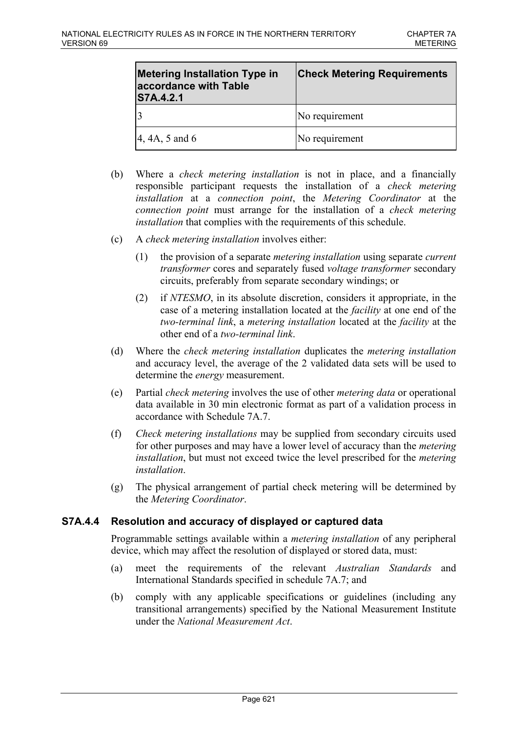| <b>Metering Installation Type in</b><br>accordance with Table<br><b>S7A.4.2.1</b> | <b>Check Metering Requirements</b> |
|-----------------------------------------------------------------------------------|------------------------------------|
|                                                                                   | No requirement                     |
| $ 4, 4A, 5 \text{ and } 6$                                                        | No requirement                     |

- (b) Where a *check metering installation* is not in place, and a financially responsible participant requests the installation of a *check metering installation* at a *connection point*, the *Metering Coordinator* at the *connection point* must arrange for the installation of a *check metering installation* that complies with the requirements of this schedule.
- (c) A *check metering installation* involves either:
	- (1) the provision of a separate *metering installation* using separate *current transformer* cores and separately fused *voltage transformer* secondary circuits, preferably from separate secondary windings; or
	- (2) if *NTESMO*, in its absolute discretion, considers it appropriate, in the case of a metering installation located at the *facility* at one end of the *two-terminal link*, a *metering installation* located at the *facility* at the other end of a *two-terminal link*.
- (d) Where the *check metering installation* duplicates the *metering installation* and accuracy level, the average of the 2 validated data sets will be used to determine the *energy* measurement.
- (e) Partial *check metering* involves the use of other *metering data* or operational data available in 30 min electronic format as part of a validation process in accordance with Schedule 7A.7.
- (f) *Check metering installations* may be supplied from secondary circuits used for other purposes and may have a lower level of accuracy than the *metering installation*, but must not exceed twice the level prescribed for the *metering installation*.
- (g) The physical arrangement of partial check metering will be determined by the *Metering Coordinator*.

# **S7A.4.4 Resolution and accuracy of displayed or captured data**

Programmable settings available within a *metering installation* of any peripheral device, which may affect the resolution of displayed or stored data, must:

- (a) meet the requirements of the relevant *Australian Standards* and International Standards specified in schedule 7A.7; and
- (b) comply with any applicable specifications or guidelines (including any transitional arrangements) specified by the National Measurement Institute under the *National Measurement Act*.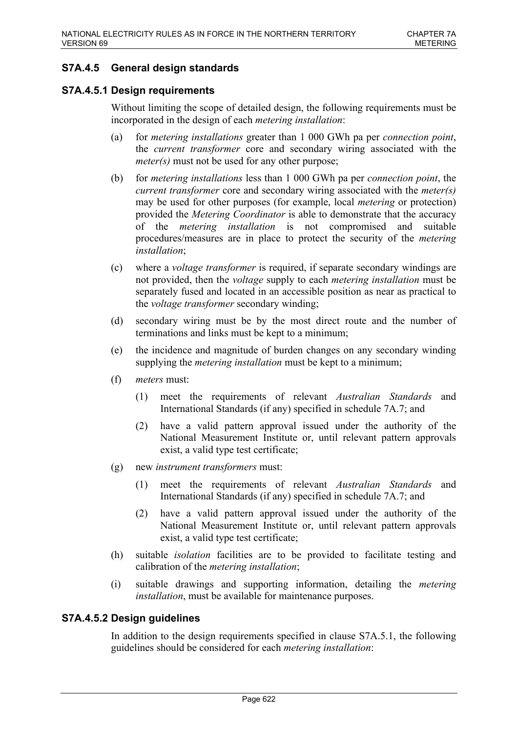# **S7A.4.5 General design standards**

## **S7A.4.5.1 Design requirements**

Without limiting the scope of detailed design, the following requirements must be incorporated in the design of each *metering installation*:

- (a) for *metering installations* greater than 1 000 GWh pa per *connection point*, the *current transformer* core and secondary wiring associated with the *meter(s)* must not be used for any other purpose;
- (b) for *metering installations* less than 1 000 GWh pa per *connection point*, the *current transformer* core and secondary wiring associated with the *meter(s)* may be used for other purposes (for example, local *metering* or protection) provided the *Metering Coordinator* is able to demonstrate that the accuracy of the *metering installation* is not compromised and suitable procedures/measures are in place to protect the security of the *metering installation*;
- (c) where a *voltage transformer* is required, if separate secondary windings are not provided, then the *voltage* supply to each *metering installation* must be separately fused and located in an accessible position as near as practical to the *voltage transformer* secondary winding;
- (d) secondary wiring must be by the most direct route and the number of terminations and links must be kept to a minimum;
- (e) the incidence and magnitude of burden changes on any secondary winding supplying the *metering installation* must be kept to a minimum;
- (f) *meters* must:
	- (1) meet the requirements of relevant *Australian Standards* and International Standards (if any) specified in schedule 7A.7; and
	- (2) have a valid pattern approval issued under the authority of the National Measurement Institute or, until relevant pattern approvals exist, a valid type test certificate;
- (g) new *instrument transformers* must:
	- (1) meet the requirements of relevant *Australian Standards* and International Standards (if any) specified in schedule 7A.7; and
	- (2) have a valid pattern approval issued under the authority of the National Measurement Institute or, until relevant pattern approvals exist, a valid type test certificate;
- (h) suitable *isolation* facilities are to be provided to facilitate testing and calibration of the *metering installation*;
- (i) suitable drawings and supporting information, detailing the *metering installation*, must be available for maintenance purposes.

# **S7A.4.5.2 Design guidelines**

In addition to the design requirements specified in clause S7A.5.1, the following guidelines should be considered for each *metering installation*: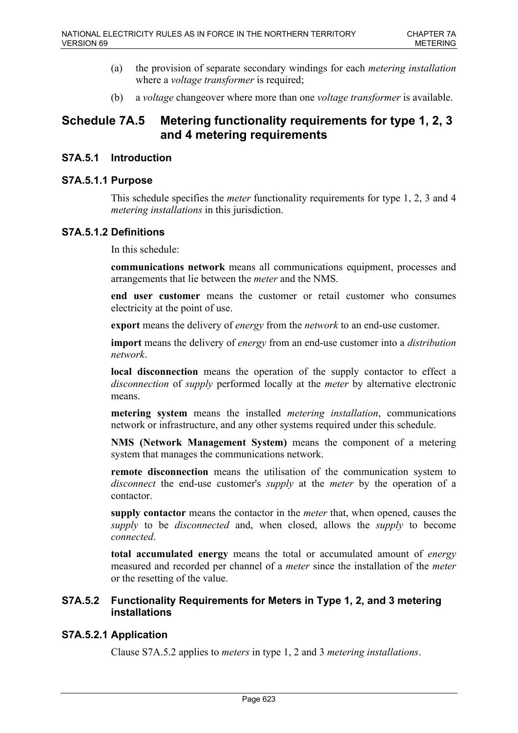- (a) the provision of separate secondary windings for each *metering installation* where a *voltage transformer* is required;
- (b) a *voltage* changeover where more than one *voltage transformer* is available.

# **Schedule 7A.5 Metering functionality requirements for type 1, 2, 3 and 4 metering requirements**

# **S7A.5.1 Introduction**

# **S7A.5.1.1 Purpose**

This schedule specifies the *meter* functionality requirements for type 1, 2, 3 and 4 *metering installations* in this jurisdiction.

# **S7A.5.1.2 Definitions**

In this schedule:

**communications network** means all communications equipment, processes and arrangements that lie between the *meter* and the NMS.

**end user customer** means the customer or retail customer who consumes electricity at the point of use.

**export** means the delivery of *energy* from the *network* to an end-use customer.

**import** means the delivery of *energy* from an end-use customer into a *distribution network*.

**local disconnection** means the operation of the supply contactor to effect a *disconnection* of *supply* performed locally at the *meter* by alternative electronic means.

**metering system** means the installed *metering installation*, communications network or infrastructure, and any other systems required under this schedule.

**NMS (Network Management System)** means the component of a metering system that manages the communications network.

**remote disconnection** means the utilisation of the communication system to *disconnect* the end-use customer's *supply* at the *meter* by the operation of a contactor.

**supply contactor** means the contactor in the *meter* that, when opened, causes the *supply* to be *disconnected* and, when closed, allows the *supply* to become *connected*.

**total accumulated energy** means the total or accumulated amount of *energy* measured and recorded per channel of a *meter* since the installation of the *meter* or the resetting of the value.

# **S7A.5.2 Functionality Requirements for Meters in Type 1, 2, and 3 metering installations**

# **S7A.5.2.1 Application**

Clause S7A.5.2 applies to *meters* in type 1, 2 and 3 *metering installations*.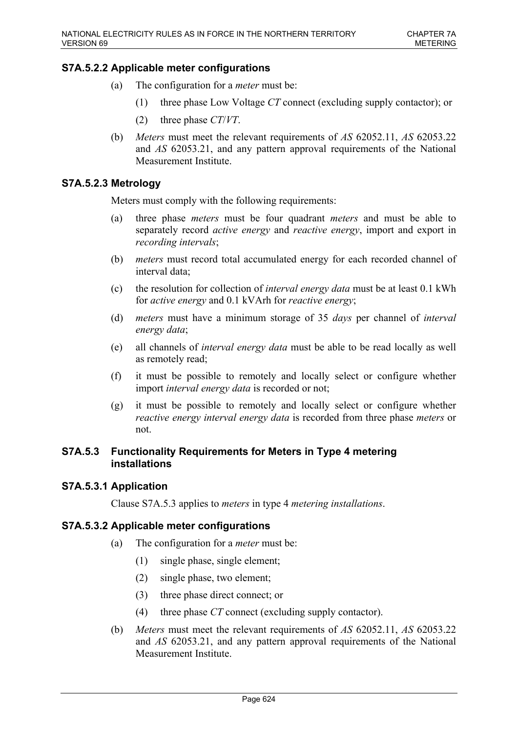# **S7A.5.2.2 Applicable meter configurations**

- (a) The configuration for a *meter* must be:
	- (1) three phase Low Voltage *CT* connect (excluding supply contactor); or
	- (2) three phase *CT*/*VT*.
- (b) *Meters* must meet the relevant requirements of *AS* 62052.11, *AS* 62053.22 and *AS* 62053.21, and any pattern approval requirements of the National Measurement Institute.

# **S7A.5.2.3 Metrology**

Meters must comply with the following requirements:

- (a) three phase *meters* must be four quadrant *meters* and must be able to separately record *active energy* and *reactive energy*, import and export in *recording intervals*;
- (b) *meters* must record total accumulated energy for each recorded channel of interval data;
- (c) the resolution for collection of *interval energy data* must be at least 0.1 kWh for *active energy* and 0.1 kVArh for *reactive energy*;
- (d) *meters* must have a minimum storage of 35 *days* per channel of *interval energy data*;
- (e) all channels of *interval energy data* must be able to be read locally as well as remotely read;
- (f) it must be possible to remotely and locally select or configure whether import *interval energy data* is recorded or not;
- (g) it must be possible to remotely and locally select or configure whether *reactive energy interval energy data* is recorded from three phase *meters* or not.

## **S7A.5.3 Functionality Requirements for Meters in Type 4 metering installations**

## **S7A.5.3.1 Application**

Clause S7A.5.3 applies to *meters* in type 4 *metering installations*.

## **S7A.5.3.2 Applicable meter configurations**

- (a) The configuration for a *meter* must be:
	- (1) single phase, single element;
	- (2) single phase, two element;
	- (3) three phase direct connect; or
	- (4) three phase *CT* connect (excluding supply contactor).
- (b) *Meters* must meet the relevant requirements of *AS* 62052.11, *AS* 62053.22 and *AS* 62053.21, and any pattern approval requirements of the National Measurement Institute.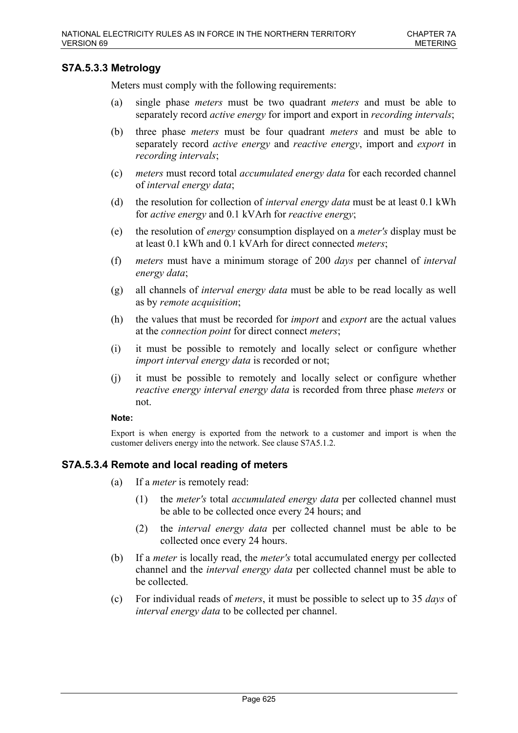## **S7A.5.3.3 Metrology**

Meters must comply with the following requirements:

- (a) single phase *meters* must be two quadrant *meters* and must be able to separately record *active energy* for import and export in *recording intervals*;
- (b) three phase *meters* must be four quadrant *meters* and must be able to separately record *active energy* and *reactive energy*, import and *export* in *recording intervals*;
- (c) *meters* must record total *accumulated energy data* for each recorded channel of *interval energy data*;
- (d) the resolution for collection of *interval energy data* must be at least 0.1 kWh for *active energy* and 0.1 kVArh for *reactive energy*;
- (e) the resolution of *energy* consumption displayed on a *meter's* display must be at least 0.1 kWh and 0.1 kVArh for direct connected *meters*;
- (f) *meters* must have a minimum storage of 200 *days* per channel of *interval energy data*;
- (g) all channels of *interval energy data* must be able to be read locally as well as by *remote acquisition*;
- (h) the values that must be recorded for *import* and *export* are the actual values at the *connection point* for direct connect *meters*;
- (i) it must be possible to remotely and locally select or configure whether *import interval energy data* is recorded or not;
- (j) it must be possible to remotely and locally select or configure whether *reactive energy interval energy data* is recorded from three phase *meters* or not.

### **Note:**

Export is when energy is exported from the network to a customer and import is when the customer delivers energy into the network. See clause S7A5.1.2.

## **S7A.5.3.4 Remote and local reading of meters**

- (a) If a *meter* is remotely read:
	- (1) the *meter's* total *accumulated energy data* per collected channel must be able to be collected once every 24 hours; and
	- (2) the *interval energy data* per collected channel must be able to be collected once every 24 hours.
- (b) If a *meter* is locally read, the *meter's* total accumulated energy per collected channel and the *interval energy data* per collected channel must be able to be collected.
- (c) For individual reads of *meters*, it must be possible to select up to 35 *days* of *interval energy data* to be collected per channel.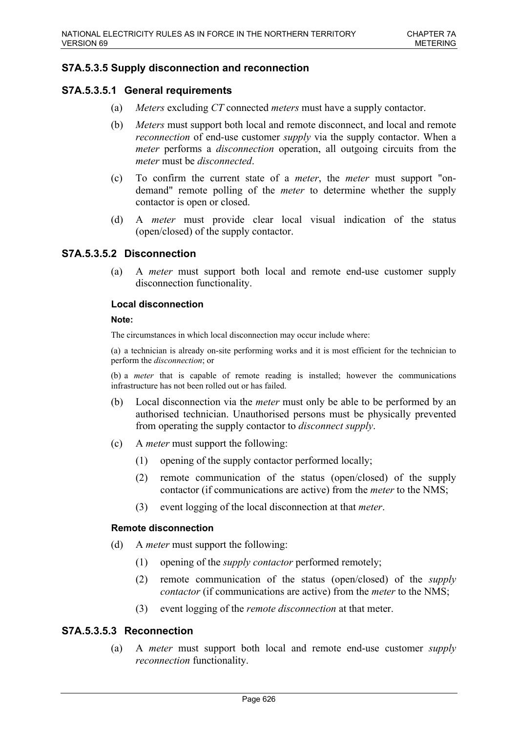## **S7A.5.3.5 Supply disconnection and reconnection**

## **S7A.5.3.5.1 General requirements**

- (a) *Meters* excluding *CT* connected *meters* must have a supply contactor.
- (b) *Meters* must support both local and remote disconnect, and local and remote *reconnection* of end-use customer *supply* via the supply contactor. When a *meter* performs a *disconnection* operation, all outgoing circuits from the *meter* must be *disconnected*.
- (c) To confirm the current state of a *meter*, the *meter* must support "ondemand" remote polling of the *meter* to determine whether the supply contactor is open or closed.
- (d) A *meter* must provide clear local visual indication of the status (open/closed) of the supply contactor.

## **S7A.5.3.5.2 Disconnection**

(a) A *meter* must support both local and remote end-use customer supply disconnection functionality.

## **Local disconnection**

### **Note:**

The circumstances in which local disconnection may occur include where:

(a) a technician is already on-site performing works and it is most efficient for the technician to perform the *disconnection*; or

(b) a *meter* that is capable of remote reading is installed; however the communications infrastructure has not been rolled out or has failed.

- (b) Local disconnection via the *meter* must only be able to be performed by an authorised technician. Unauthorised persons must be physically prevented from operating the supply contactor to *disconnect supply*.
- (c) A *meter* must support the following:
	- (1) opening of the supply contactor performed locally;
	- (2) remote communication of the status (open/closed) of the supply contactor (if communications are active) from the *meter* to the NMS;
	- (3) event logging of the local disconnection at that *meter*.

### **Remote disconnection**

- (d) A *meter* must support the following:
	- (1) opening of the *supply contactor* performed remotely;
	- (2) remote communication of the status (open/closed) of the *supply contactor* (if communications are active) from the *meter* to the NMS;
	- (3) event logging of the *remote disconnection* at that meter.

## **S7A.5.3.5.3 Reconnection**

(a) A *meter* must support both local and remote end-use customer *supply reconnection* functionality.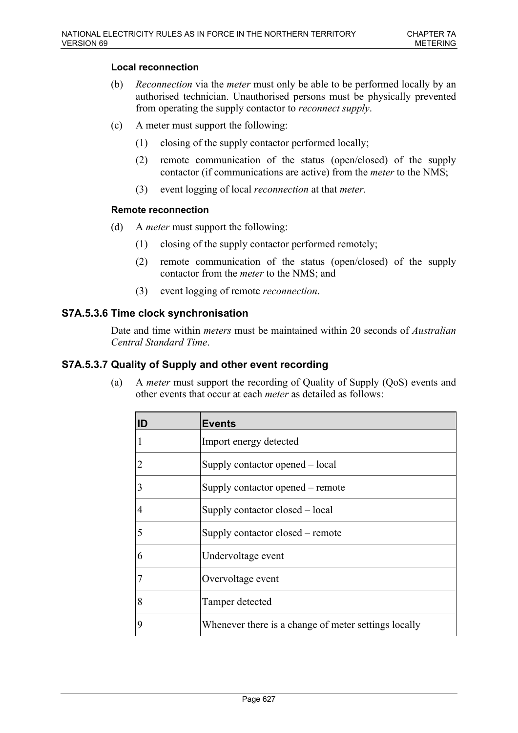## **Local reconnection**

- (b) *Reconnection* via the *meter* must only be able to be performed locally by an authorised technician. Unauthorised persons must be physically prevented from operating the supply contactor to *reconnect supply*.
- (c) A meter must support the following:
	- (1) closing of the supply contactor performed locally;
	- (2) remote communication of the status (open/closed) of the supply contactor (if communications are active) from the *meter* to the NMS;
	- (3) event logging of local *reconnection* at that *meter*.

### **Remote reconnection**

- (d) A *meter* must support the following:
	- (1) closing of the supply contactor performed remotely;
	- (2) remote communication of the status (open/closed) of the supply contactor from the *meter* to the NMS; and
	- (3) event logging of remote *reconnection*.

## **S7A.5.3.6 Time clock synchronisation**

Date and time within *meters* must be maintained within 20 seconds of *Australian Central Standard Time*.

## **S7A.5.3.7 Quality of Supply and other event recording**

(a) A *meter* must support the recording of Quality of Supply (QoS) events and other events that occur at each *meter* as detailed as follows:

| lID            | <b>Events</b>                                        |
|----------------|------------------------------------------------------|
|                | Import energy detected                               |
|                | Supply contactor opened – local                      |
| $\overline{3}$ | Supply contactor opened – remote                     |
| 4              | Supply contactor closed – local                      |
| 5              | Supply contactor closed – remote                     |
| 6              | Undervoltage event                                   |
|                | Overvoltage event                                    |
| 8              | Tamper detected                                      |
| 9              | Whenever there is a change of meter settings locally |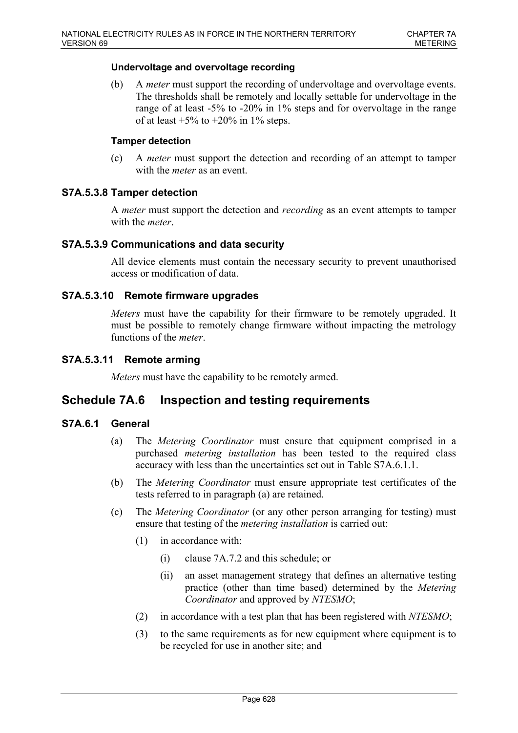### **Undervoltage and overvoltage recording**

(b) A *meter* must support the recording of undervoltage and overvoltage events. The thresholds shall be remotely and locally settable for undervoltage in the range of at least -5% to -20% in 1% steps and for overvoltage in the range of at least  $+5\%$  to  $+20\%$  in 1% steps.

### **Tamper detection**

(c) A *meter* must support the detection and recording of an attempt to tamper with the *meter* as an event.

## **S7A.5.3.8 Tamper detection**

A *meter* must support the detection and *recording* as an event attempts to tamper with the *meter*.

## **S7A.5.3.9 Communications and data security**

All device elements must contain the necessary security to prevent unauthorised access or modification of data.

## **S7A.5.3.10 Remote firmware upgrades**

*Meters* must have the capability for their firmware to be remotely upgraded. It must be possible to remotely change firmware without impacting the metrology functions of the *meter*.

## **S7A.5.3.11 Remote arming**

*Meters* must have the capability to be remotely armed.

# **Schedule 7A.6 Inspection and testing requirements**

# **S7A.6.1 General**

- (a) The *Metering Coordinator* must ensure that equipment comprised in a purchased *metering installation* has been tested to the required class accuracy with less than the uncertainties set out in Table S7A.6.1.1.
- (b) The *Metering Coordinator* must ensure appropriate test certificates of the tests referred to in paragraph (a) are retained.
- (c) The *Metering Coordinator* (or any other person arranging for testing) must ensure that testing of the *metering installation* is carried out:
	- (1) in accordance with:
		- (i) clause 7A.7.2 and this schedule; or
		- (ii) an asset management strategy that defines an alternative testing practice (other than time based) determined by the *Metering Coordinator* and approved by *NTESMO*;
	- (2) in accordance with a test plan that has been registered with *NTESMO*;
	- (3) to the same requirements as for new equipment where equipment is to be recycled for use in another site; and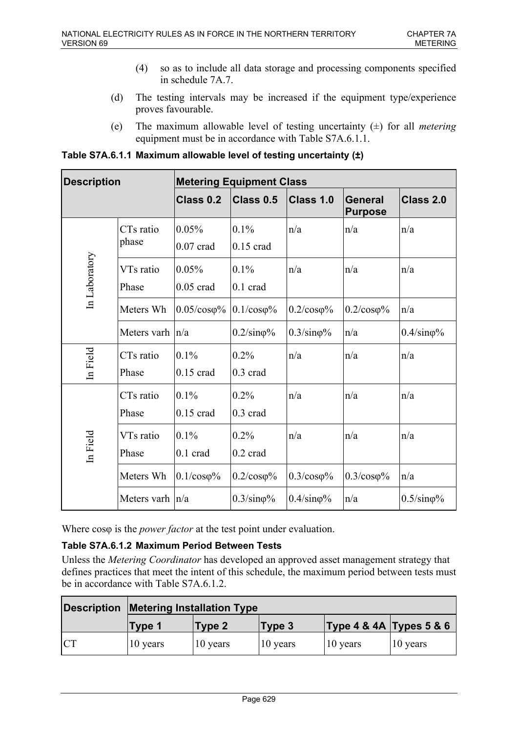- (4) so as to include all data storage and processing components specified in schedule 7A.7.
- (d) The testing intervals may be increased if the equipment type/experience proves favourable.
- (e) The maximum allowable level of testing uncertainty (±) for all *metering* equipment must be in accordance with Table S7A.6.1.1.

**Table S7A.6.1.1 Maximum allowable level of testing uncertainty (±)**

| <b>Description</b> |                                | <b>Metering Equipment Class</b>       |                            |                           |                                  |                           |  |
|--------------------|--------------------------------|---------------------------------------|----------------------------|---------------------------|----------------------------------|---------------------------|--|
|                    |                                | Class 0.2                             | Class 0.5                  | Class 1.0                 | <b>General</b><br><b>Purpose</b> | Class 2.0                 |  |
|                    | CT <sub>s</sub> ratio<br>phase | 0.05%<br>$0.07$ crad                  | 0.1%<br>$0.15$ crad        | n/a                       | n/a                              | n/a                       |  |
| In Laboratory      | VTs ratio<br>Phase             | 0.05%<br>$0.05$ crad                  | 0.1%<br>$0.1$ crad         | n/a                       | n/a                              | n/a                       |  |
|                    | Meters Wh                      | $0.05/\cos\phi\%$   0.1/ $\cos\phi\%$ |                            | $0.2/\cos\varphi\%$       | $0.2/\cos\varphi\%$              | n/a                       |  |
|                    | Meters varh $ n/a$             |                                       | $0.2/\text{sin}\varphi\%$  | $0.3/\text{sin}\varphi\%$ | n/a                              | $0.4/\text{sin}\varphi\%$ |  |
| In Field           | CT <sub>s</sub> ratio<br>Phase | 0.1%<br>$0.15$ crad                   | 0.2%<br>$0.3 \text{ crad}$ | n/a                       | n/a                              | n/a                       |  |
|                    | CT <sub>s</sub> ratio<br>Phase | 0.1%<br>$0.15$ crad                   | 0.2%<br>0.3 crad           | n/a                       | n/a                              | n/a                       |  |
| In Field           | VTs ratio<br>Phase             | 0.1%<br>$0.1$ crad                    | 0.2%<br>$0.2 \text{ card}$ | n/a                       | n/a                              | n/a                       |  |
|                    | Meters Wh                      | $0.1/\cos\varphi\%$                   | $0.2$ / $\cos \varphi$ %   | $0.3/\cos\varphi\%$       | $0.3/\cos\varphi\%$              | n/a                       |  |
|                    | Meters varh $ n/a$             |                                       | $0.3/\text{sin}\varphi\%$  | $0.4/\text{sin}\varphi\%$ | n/a                              | $0.5/\text{sin}\varphi\%$ |  |

Where cos<sub> $\varphi$ </sub> is the *power factor* at the test point under evaluation.

# **Table S7A.6.1.2 Maximum Period Between Tests**

Unless the *Metering Coordinator* has developed an approved asset management strategy that defines practices that meet the intent of this schedule, the maximum period between tests must be in accordance with Table S7A.6.1.2.

|           | <b>Description Metering Installation Type</b> |          |          |                         |          |
|-----------|-----------------------------------------------|----------|----------|-------------------------|----------|
|           | Type 1                                        | Type 2   | Type 3   | Type 4 & 4A Types 5 & 6 |          |
| <b>CT</b> | 10 years                                      | 10 years | 10 years | 10 years                | 10 years |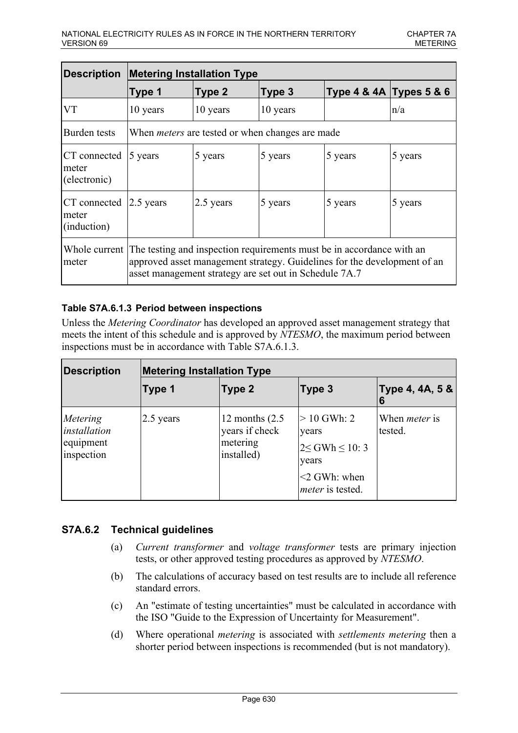| Description                           | <b>Metering Installation Type</b>                                                                                                                                                                                         |           |          |                         |           |
|---------------------------------------|---------------------------------------------------------------------------------------------------------------------------------------------------------------------------------------------------------------------------|-----------|----------|-------------------------|-----------|
|                                       | Type 1                                                                                                                                                                                                                    | Type 2    | Type 3   | Type 4 & 4A Types 5 & 6 |           |
| <b>VT</b>                             | 10 years                                                                                                                                                                                                                  | 10 years  | 10 years |                         | n/a       |
| Burden tests                          | When <i>meters</i> are tested or when changes are made                                                                                                                                                                    |           |          |                         |           |
| CT connected<br>meter<br>(electronic) | $5$ years                                                                                                                                                                                                                 | 5 years   | 5 years  | 5 years                 | $5$ years |
| CT connected<br>meter<br>(induction)  | $ 2.5 \text{ years} $                                                                                                                                                                                                     | 2.5 years | 5 years  | 5 years                 | 5 years   |
| meter                                 | Whole current The testing and inspection requirements must be in accordance with an<br>approved asset management strategy. Guidelines for the development of an<br>asset management strategy are set out in Schedule 7A.7 |           |          |                         |           |

# **Table S7A.6.1.3 Period between inspections**

Unless the *Metering Coordinator* has developed an approved asset management strategy that meets the intent of this schedule and is approved by *NTESMO*, the maximum period between inspections must be in accordance with Table S7A.6.1.3.

| <b>Description</b>                                         | <b>Metering Installation Type</b> |                                                               |                                                                                                            |                                 |  |
|------------------------------------------------------------|-----------------------------------|---------------------------------------------------------------|------------------------------------------------------------------------------------------------------------|---------------------------------|--|
|                                                            | Type 1                            | Type 2                                                        | Type 3                                                                                                     | Type 4, 4A, 5 &                 |  |
| Metering<br><i>installation</i><br>equipment<br>inspection | 2.5 years                         | 12 months $(2.5)$<br>years if check<br>metering<br>installed) | $> 10$ GWh: 2<br>years<br>$2 \leq$ GWh $\leq$ 10: 3<br>years<br>$<$ 2 GWh: when<br><i>meter</i> is tested. | When <i>meter</i> is<br>tested. |  |

# **S7A.6.2 Technical guidelines**

- (a) *Current transformer* and *voltage transformer* tests are primary injection tests, or other approved testing procedures as approved by *NTESMO*.
- (b) The calculations of accuracy based on test results are to include all reference standard errors.
- (c) An "estimate of testing uncertainties" must be calculated in accordance with the ISO "Guide to the Expression of Uncertainty for Measurement".
- (d) Where operational *metering* is associated with *settlements metering* then a shorter period between inspections is recommended (but is not mandatory).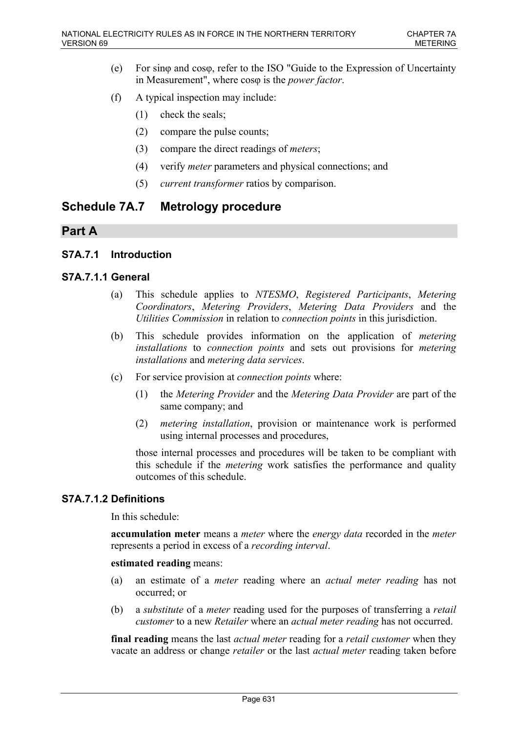- (e) For sinφ and cosφ, refer to the ISO "Guide to the Expression of Uncertainty in Measurement", where cosφ is the *power factor*.
- (f) A typical inspection may include:
	- (1) check the seals;
	- (2) compare the pulse counts;
	- (3) compare the direct readings of *meters*;
	- (4) verify *meter* parameters and physical connections; and
	- (5) *current transformer* ratios by comparison.

# **Schedule 7A.7 Metrology procedure**

# **Part A**

## **S7A.7.1 Introduction**

## **S7A.7.1.1 General**

- (a) This schedule applies to *NTESMO*, *Registered Participants*, *Metering Coordinators*, *Metering Providers*, *Metering Data Providers* and the *Utilities Commission* in relation to *connection points* in this jurisdiction.
- (b) This schedule provides information on the application of *metering installations* to *connection points* and sets out provisions for *metering installations* and *metering data services*.
- (c) For service provision at *connection points* where:
	- (1) the *Metering Provider* and the *Metering Data Provider* are part of the same company; and
	- (2) *metering installation*, provision or maintenance work is performed using internal processes and procedures,

those internal processes and procedures will be taken to be compliant with this schedule if the *metering* work satisfies the performance and quality outcomes of this schedule.

## **S7A.7.1.2 Definitions**

In this schedule:

**accumulation meter** means a *meter* where the *energy data* recorded in the *meter* represents a period in excess of a *recording interval*.

### **estimated reading** means:

- (a) an estimate of a *meter* reading where an *actual meter reading* has not occurred; or
- (b) a *substitute* of a *meter* reading used for the purposes of transferring a *retail customer* to a new *Retailer* where an *actual meter reading* has not occurred.

**final reading** means the last *actual meter* reading for a *retail customer* when they vacate an address or change *retailer* or the last *actual meter* reading taken before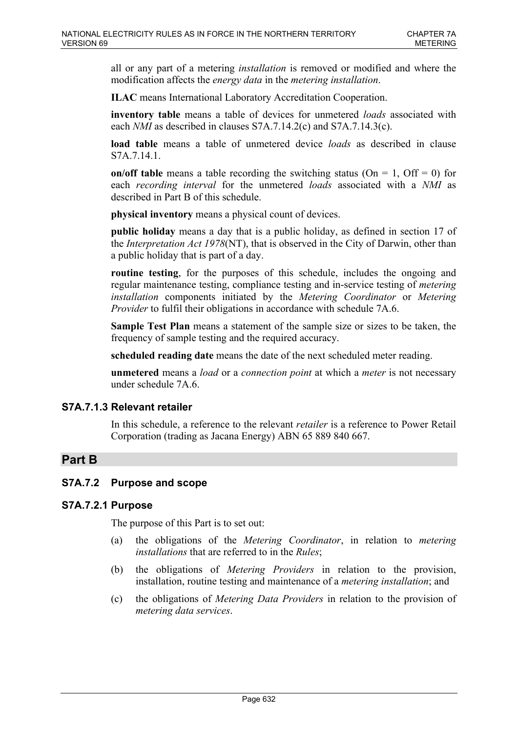all or any part of a metering *installation* is removed or modified and where the modification affects the *energy data* in the *metering installation*.

**ILAC** means International Laboratory Accreditation Cooperation.

**inventory table** means a table of devices for unmetered *loads* associated with each *NMI* as described in clauses S7A.7.14.2(c) and S7A.7.14.3(c).

**load table** means a table of unmetered device *loads* as described in clause S7A.7.14.1.

**on/off table** means a table recording the switching status ( $On = 1$ ,  $Off = 0$ ) for each *recording interval* for the unmetered *loads* associated with a *NMI* as described in Part B of this schedule.

**physical inventory** means a physical count of devices.

**public holiday** means a day that is a public holiday, as defined in section 17 of the *Interpretation Act 1978*(NT), that is observed in the City of Darwin, other than a public holiday that is part of a day.

**routine testing**, for the purposes of this schedule, includes the ongoing and regular maintenance testing, compliance testing and in-service testing of *metering installation* components initiated by the *Metering Coordinator* or *Metering Provider* to fulfil their obligations in accordance with schedule 7A.6.

**Sample Test Plan** means a statement of the sample size or sizes to be taken, the frequency of sample testing and the required accuracy.

**scheduled reading date** means the date of the next scheduled meter reading.

**unmetered** means a *load* or a *connection point* at which a *meter* is not necessary under schedule 7A.6.

# **S7A.7.1.3 Relevant retailer**

In this schedule, a reference to the relevant *retailer* is a reference to Power Retail Corporation (trading as Jacana Energy) ABN 65 889 840 667.

# **Part B**

# **S7A.7.2 Purpose and scope**

## **S7A.7.2.1 Purpose**

The purpose of this Part is to set out:

- (a) the obligations of the *Metering Coordinator*, in relation to *metering installations* that are referred to in the *Rules*;
- (b) the obligations of *Metering Providers* in relation to the provision, installation, routine testing and maintenance of a *metering installation*; and
- (c) the obligations of *Metering Data Providers* in relation to the provision of *metering data services*.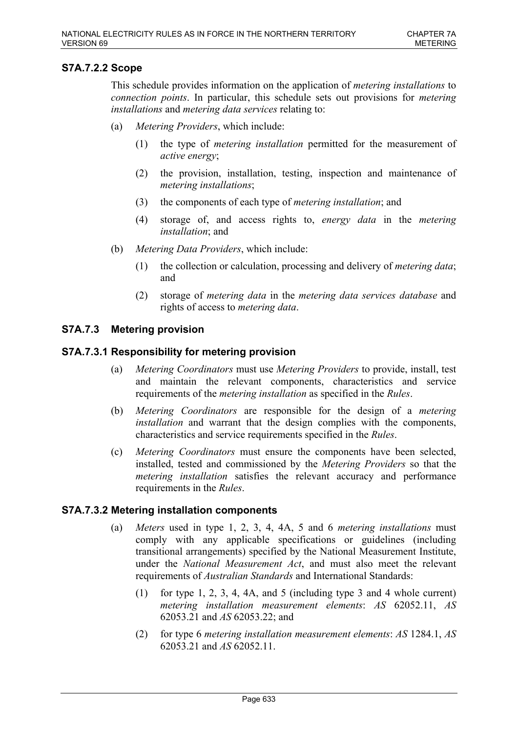# **S7A.7.2.2 Scope**

This schedule provides information on the application of *metering installations* to *connection points*. In particular, this schedule sets out provisions for *metering installations* and *metering data services* relating to:

- (a) *Metering Providers*, which include:
	- (1) the type of *metering installation* permitted for the measurement of *active energy*;
	- (2) the provision, installation, testing, inspection and maintenance of *metering installations*;
	- (3) the components of each type of *metering installation*; and
	- (4) storage of, and access rights to, *energy data* in the *metering installation*; and
- (b) *Metering Data Providers*, which include:
	- (1) the collection or calculation, processing and delivery of *metering data*; and
	- (2) storage of *metering data* in the *metering data services database* and rights of access to *metering data*.

# **S7A.7.3 Metering provision**

## **S7A.7.3.1 Responsibility for metering provision**

- (a) *Metering Coordinators* must use *Metering Providers* to provide, install, test and maintain the relevant components, characteristics and service requirements of the *metering installation* as specified in the *Rules*.
- (b) *Metering Coordinators* are responsible for the design of a *metering installation* and warrant that the design complies with the components, characteristics and service requirements specified in the *Rules*.
- (c) *Metering Coordinators* must ensure the components have been selected, installed, tested and commissioned by the *Metering Providers* so that the *metering installation* satisfies the relevant accuracy and performance requirements in the *Rules*.

## **S7A.7.3.2 Metering installation components**

- (a) *Meters* used in type 1, 2, 3, 4, 4A, 5 and 6 *metering installations* must comply with any applicable specifications or guidelines (including transitional arrangements) specified by the National Measurement Institute, under the *National Measurement Act*, and must also meet the relevant requirements of *Australian Standards* and International Standards:
	- (1) for type 1, 2, 3, 4, 4A, and 5 (including type 3 and 4 whole current) *metering installation measurement elements*: *AS* 62052.11, *AS* 62053.21 and *AS* 62053.22; and
	- (2) for type 6 *metering installation measurement elements*: *AS* 1284.1, *AS* 62053.21 and *AS* 62052.11.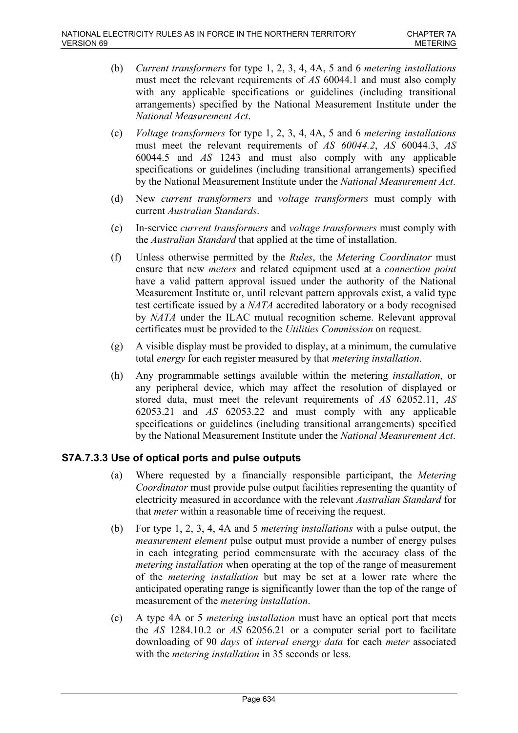- (b) *Current transformers* for type 1, 2, 3, 4, 4A, 5 and 6 *metering installations* must meet the relevant requirements of *AS* 60044.1 and must also comply with any applicable specifications or guidelines (including transitional arrangements) specified by the National Measurement Institute under the *National Measurement Act*.
- (c) *Voltage transformers* for type 1, 2, 3, 4, 4A, 5 and 6 *metering installations* must meet the relevant requirements of *AS 60044.2*, *AS* 60044.3, *AS* 60044.5 and *AS* 1243 and must also comply with any applicable specifications or guidelines (including transitional arrangements) specified by the National Measurement Institute under the *National Measurement Act*.
- (d) New *current transformers* and *voltage transformers* must comply with current *Australian Standards*.
- (e) In-service *current transformers* and *voltage transformers* must comply with the *Australian Standard* that applied at the time of installation.
- (f) Unless otherwise permitted by the *Rules*, the *Metering Coordinator* must ensure that new *meters* and related equipment used at a *connection point* have a valid pattern approval issued under the authority of the National Measurement Institute or, until relevant pattern approvals exist, a valid type test certificate issued by a *NATA* accredited laboratory or a body recognised by *NATA* under the ILAC mutual recognition scheme. Relevant approval certificates must be provided to the *Utilities Commission* on request.
- (g) A visible display must be provided to display, at a minimum, the cumulative total *energy* for each register measured by that *metering installation*.
- (h) Any programmable settings available within the metering *installation*, or any peripheral device, which may affect the resolution of displayed or stored data, must meet the relevant requirements of *AS* 62052.11, *AS* 62053.21 and *AS* 62053.22 and must comply with any applicable specifications or guidelines (including transitional arrangements) specified by the National Measurement Institute under the *National Measurement Act*.

# **S7A.7.3.3 Use of optical ports and pulse outputs**

- (a) Where requested by a financially responsible participant, the *Metering Coordinator* must provide pulse output facilities representing the quantity of electricity measured in accordance with the relevant *Australian Standard* for that *meter* within a reasonable time of receiving the request.
- (b) For type 1, 2, 3, 4, 4A and 5 *metering installations* with a pulse output, the *measurement element* pulse output must provide a number of energy pulses in each integrating period commensurate with the accuracy class of the *metering installation* when operating at the top of the range of measurement of the *metering installation* but may be set at a lower rate where the anticipated operating range is significantly lower than the top of the range of measurement of the *metering installation*.
- (c) A type 4A or 5 *metering installation* must have an optical port that meets the *AS* 1284.10.2 or *AS* 62056.21 or a computer serial port to facilitate downloading of 90 *days* of *interval energy data* for each *meter* associated with the *metering installation* in 35 seconds or less.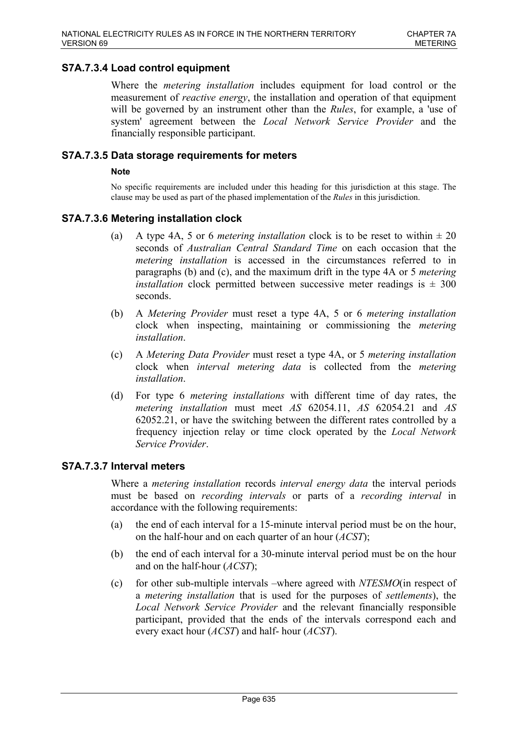## **S7A.7.3.4 Load control equipment**

Where the *metering installation* includes equipment for load control or the measurement of *reactive energy*, the installation and operation of that equipment will be governed by an instrument other than the *Rules*, for example, a 'use of system' agreement between the *Local Network Service Provider* and the financially responsible participant.

### **S7A.7.3.5 Data storage requirements for meters**

### **Note**

No specific requirements are included under this heading for this jurisdiction at this stage. The clause may be used as part of the phased implementation of the *Rules* in this jurisdiction.

## **S7A.7.3.6 Metering installation clock**

- (a) A type 4A, 5 or 6 *metering installation* clock is to be reset to within  $\pm 20$ seconds of *Australian Central Standard Time* on each occasion that the *metering installation* is accessed in the circumstances referred to in paragraphs (b) and (c), and the maximum drift in the type 4A or 5 *metering installation* clock permitted between successive meter readings is  $\pm 300$ seconds.
- (b) A *Metering Provider* must reset a type 4A, 5 or 6 *metering installation* clock when inspecting, maintaining or commissioning the *metering installation*.
- (c) A *Metering Data Provider* must reset a type 4A, or 5 *metering installation* clock when *interval metering data* is collected from the *metering installation*.
- (d) For type 6 *metering installations* with different time of day rates, the *metering installation* must meet *AS* 62054.11, *AS* 62054.21 and *AS* 62052.21, or have the switching between the different rates controlled by a frequency injection relay or time clock operated by the *Local Network Service Provider*.

### **S7A.7.3.7 Interval meters**

Where a *metering installation* records *interval energy data* the interval periods must be based on *recording intervals* or parts of a *recording interval* in accordance with the following requirements:

- (a) the end of each interval for a 15-minute interval period must be on the hour, on the half-hour and on each quarter of an hour (*ACST*);
- (b) the end of each interval for a 30-minute interval period must be on the hour and on the half-hour (*ACST*);
- (c) for other sub-multiple intervals –where agreed with *NTESMO*(in respect of a *metering installation* that is used for the purposes of *settlements*), the *Local Network Service Provider* and the relevant financially responsible participant, provided that the ends of the intervals correspond each and every exact hour (*ACST*) and half- hour (*ACST*).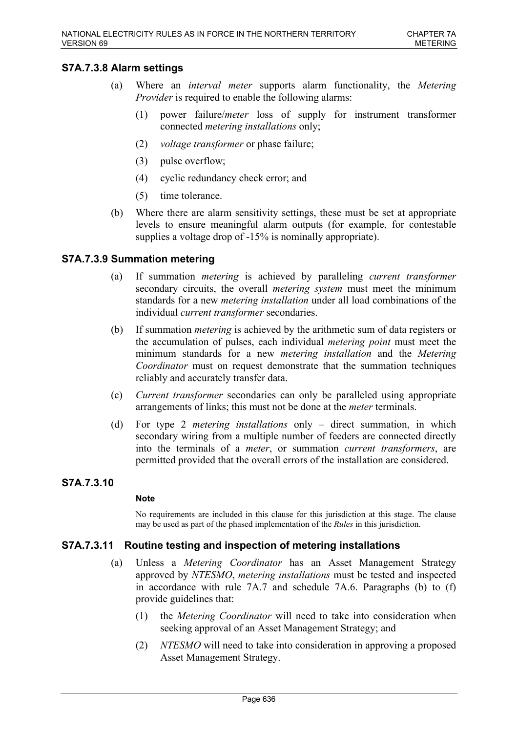## **S7A.7.3.8 Alarm settings**

- (a) Where an *interval meter* supports alarm functionality, the *Metering Provider* is required to enable the following alarms:
	- (1) power failure/*meter* loss of supply for instrument transformer connected *metering installations* only;
	- (2) *voltage transformer* or phase failure;
	- (3) pulse overflow;
	- (4) cyclic redundancy check error; and
	- (5) time tolerance.
- (b) Where there are alarm sensitivity settings, these must be set at appropriate levels to ensure meaningful alarm outputs (for example, for contestable supplies a voltage drop of  $-15\%$  is nominally appropriate).

# **S7A.7.3.9 Summation metering**

- (a) If summation *metering* is achieved by paralleling *current transformer* secondary circuits, the overall *metering system* must meet the minimum standards for a new *metering installation* under all load combinations of the individual *current transformer* secondaries.
- (b) If summation *metering* is achieved by the arithmetic sum of data registers or the accumulation of pulses, each individual *metering point* must meet the minimum standards for a new *metering installation* and the *Metering Coordinator* must on request demonstrate that the summation techniques reliably and accurately transfer data.
- (c) *Current transformer* secondaries can only be paralleled using appropriate arrangements of links; this must not be done at the *meter* terminals.
- (d) For type 2 *metering installations* only direct summation, in which secondary wiring from a multiple number of feeders are connected directly into the terminals of a *meter*, or summation *current transformers*, are permitted provided that the overall errors of the installation are considered.

# **S7A.7.3.10**

### **Note**

No requirements are included in this clause for this jurisdiction at this stage. The clause may be used as part of the phased implementation of the *Rules* in this jurisdiction.

## **S7A.7.3.11 Routine testing and inspection of metering installations**

- (a) Unless a *Metering Coordinator* has an Asset Management Strategy approved by *NTESMO*, *metering installations* must be tested and inspected in accordance with rule 7A.7 and schedule 7A.6. Paragraphs (b) to (f) provide guidelines that:
	- (1) the *Metering Coordinator* will need to take into consideration when seeking approval of an Asset Management Strategy; and
	- (2) *NTESMO* will need to take into consideration in approving a proposed Asset Management Strategy.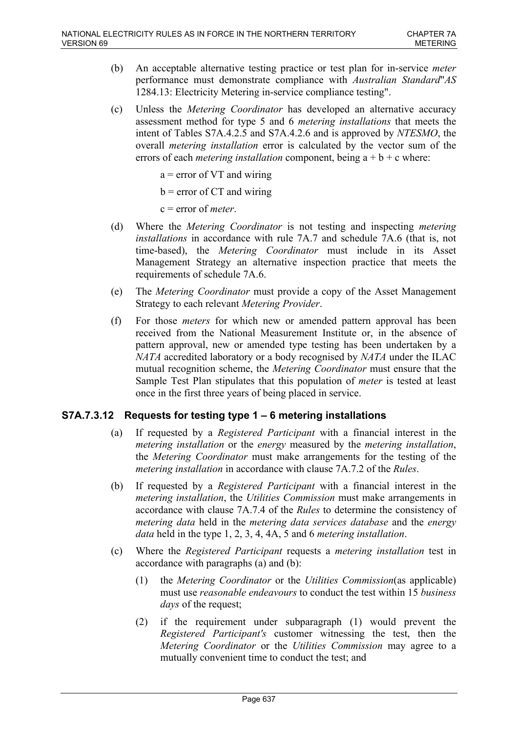- (b) An acceptable alternative testing practice or test plan for in-service *meter* performance must demonstrate compliance with *Australian Standard*"*AS* 1284.13: Electricity Metering in-service compliance testing".
- (c) Unless the *Metering Coordinator* has developed an alternative accuracy assessment method for type 5 and 6 *metering installations* that meets the intent of Tables S7A.4.2.5 and S7A.4.2.6 and is approved by *NTESMO*, the overall *metering installation* error is calculated by the vector sum of the errors of each *metering installation* component, being  $a + b + c$  where:

 $a =$  error of VT and wiring

 $b =$  error of CT and wiring

c = error of *meter*.

- (d) Where the *Metering Coordinator* is not testing and inspecting *metering installations* in accordance with rule 7A.7 and schedule 7A.6 (that is, not time-based), the *Metering Coordinator* must include in its Asset Management Strategy an alternative inspection practice that meets the requirements of schedule 7A.6.
- (e) The *Metering Coordinator* must provide a copy of the Asset Management Strategy to each relevant *Metering Provider*.
- (f) For those *meters* for which new or amended pattern approval has been received from the National Measurement Institute or, in the absence of pattern approval, new or amended type testing has been undertaken by a *NATA* accredited laboratory or a body recognised by *NATA* under the ILAC mutual recognition scheme, the *Metering Coordinator* must ensure that the Sample Test Plan stipulates that this population of *meter* is tested at least once in the first three years of being placed in service.

# **S7A.7.3.12 Requests for testing type 1 – 6 metering installations**

- (a) If requested by a *Registered Participant* with a financial interest in the *metering installation* or the *energy* measured by the *metering installation*, the *Metering Coordinator* must make arrangements for the testing of the *metering installation* in accordance with clause 7A.7.2 of the *Rules*.
- (b) If requested by a *Registered Participant* with a financial interest in the *metering installation*, the *Utilities Commission* must make arrangements in accordance with clause 7A.7.4 of the *Rules* to determine the consistency of *metering data* held in the *metering data services database* and the *energy data* held in the type 1, 2, 3, 4, 4A, 5 and 6 *metering installation*.
- (c) Where the *Registered Participant* requests a *metering installation* test in accordance with paragraphs (a) and (b):
	- (1) the *Metering Coordinator* or the *Utilities Commission*(as applicable) must use *reasonable endeavours* to conduct the test within 15 *business days* of the request;
	- (2) if the requirement under subparagraph (1) would prevent the *Registered Participant's* customer witnessing the test, then the *Metering Coordinator* or the *Utilities Commission* may agree to a mutually convenient time to conduct the test; and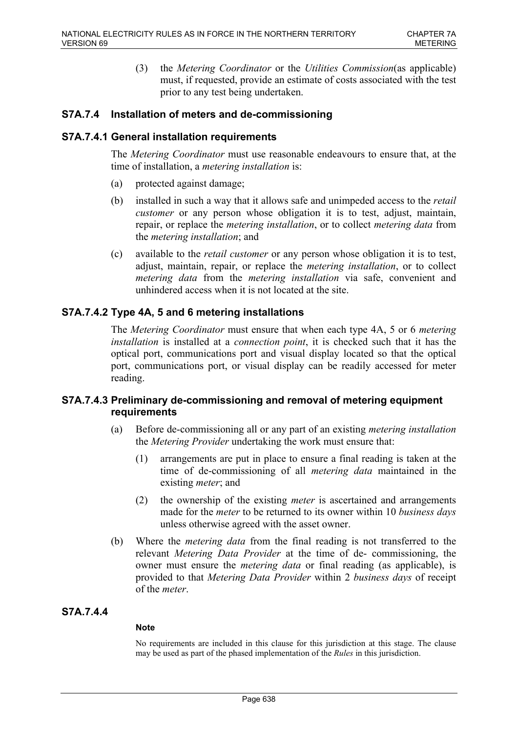(3) the *Metering Coordinator* or the *Utilities Commission*(as applicable) must, if requested, provide an estimate of costs associated with the test prior to any test being undertaken.

# **S7A.7.4 Installation of meters and de-commissioning**

## **S7A.7.4.1 General installation requirements**

The *Metering Coordinator* must use reasonable endeavours to ensure that, at the time of installation, a *metering installation* is:

- (a) protected against damage;
- (b) installed in such a way that it allows safe and unimpeded access to the *retail customer* or any person whose obligation it is to test, adjust, maintain, repair, or replace the *metering installation*, or to collect *metering data* from the *metering installation*; and
- (c) available to the *retail customer* or any person whose obligation it is to test, adjust, maintain, repair, or replace the *metering installation*, or to collect *metering data* from the *metering installation* via safe, convenient and unhindered access when it is not located at the site.

# **S7A.7.4.2 Type 4A, 5 and 6 metering installations**

The *Metering Coordinator* must ensure that when each type 4A, 5 or 6 *metering installation* is installed at a *connection point*, it is checked such that it has the optical port, communications port and visual display located so that the optical port, communications port, or visual display can be readily accessed for meter reading.

# **S7A.7.4.3 Preliminary de-commissioning and removal of metering equipment requirements**

- (a) Before de-commissioning all or any part of an existing *metering installation* the *Metering Provider* undertaking the work must ensure that:
	- (1) arrangements are put in place to ensure a final reading is taken at the time of de-commissioning of all *metering data* maintained in the existing *meter*; and
	- (2) the ownership of the existing *meter* is ascertained and arrangements made for the *meter* to be returned to its owner within 10 *business days* unless otherwise agreed with the asset owner.
- (b) Where the *metering data* from the final reading is not transferred to the relevant *Metering Data Provider* at the time of de- commissioning, the owner must ensure the *metering data* or final reading (as applicable), is provided to that *Metering Data Provider* within 2 *business days* of receipt of the *meter*.

## **S7A.7.4.4**

## **Note**

No requirements are included in this clause for this jurisdiction at this stage. The clause may be used as part of the phased implementation of the *Rules* in this jurisdiction.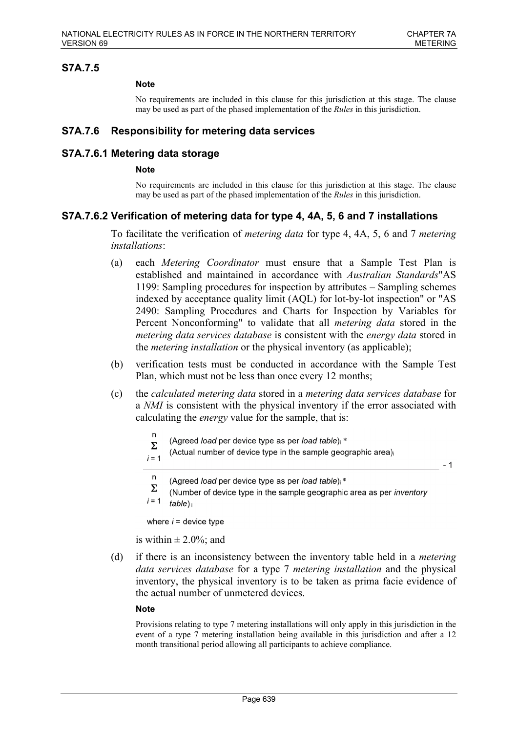$-1$ 

## **S7A.7.5**

### **Note**

No requirements are included in this clause for this jurisdiction at this stage. The clause may be used as part of the phased implementation of the *Rules* in this jurisdiction.

## **S7A.7.6 Responsibility for metering data services**

### **S7A.7.6.1 Metering data storage**

### **Note**

No requirements are included in this clause for this jurisdiction at this stage. The clause may be used as part of the phased implementation of the *Rules* in this jurisdiction.

## **S7A.7.6.2 Verification of metering data for type 4, 4A, 5, 6 and 7 installations**

To facilitate the verification of *metering data* for type 4, 4A, 5, 6 and 7 *metering installations*:

- (a) each *Metering Coordinator* must ensure that a Sample Test Plan is established and maintained in accordance with *Australian Standards*"AS 1199: Sampling procedures for inspection by attributes – Sampling schemes indexed by acceptance quality limit (AQL) for lot-by-lot inspection" or "AS 2490: Sampling Procedures and Charts for Inspection by Variables for Percent Nonconforming" to validate that all *metering data* stored in the *metering data services database* is consistent with the *energy data* stored in the *metering installation* or the physical inventory (as applicable);
- (b) verification tests must be conducted in accordance with the Sample Test Plan, which must not be less than once every 12 months;
- (c) the *calculated metering data* stored in a *metering data services database* for a *NMI* is consistent with the physical inventory if the error associated with calculating the *energy* value for the sample, that is:
	- $\overline{p}$ (Agreed load per device type as per load table); \*  $\Sigma$
	- (Actual number of device type in the sample geographic area)
	- $i = 1$
	- n (Agreed load per device type as per load table) \*
	- Σ (Number of device type in the sample geographic area as per inventory  $i = 1$  $table)$

where  $i =$  device type

is within  $\pm 2.0\%$ ; and

(d) if there is an inconsistency between the inventory table held in a *metering data services database* for a type 7 *metering installation* and the physical inventory, the physical inventory is to be taken as prima facie evidence of the actual number of unmetered devices.

### **Note**

Provisions relating to type 7 metering installations will only apply in this jurisdiction in the event of a type 7 metering installation being available in this jurisdiction and after a 12 month transitional period allowing all participants to achieve compliance.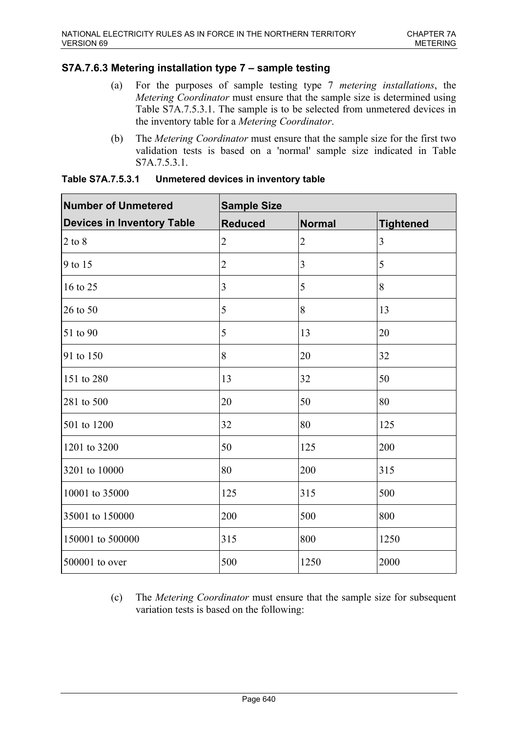# **S7A.7.6.3 Metering installation type 7 – sample testing**

- (a) For the purposes of sample testing type 7 *metering installations*, the *Metering Coordinator* must ensure that the sample size is determined using Table S7A.7.5.3.1. The sample is to be selected from unmetered devices in the inventory table for a *Metering Coordinator*.
- (b) The *Metering Coordinator* must ensure that the sample size for the first two validation tests is based on a 'normal' sample size indicated in Table S7A.7.5.3.1.

| Number of Unmetered               | <b>Sample Size</b> |                |                  |  |
|-----------------------------------|--------------------|----------------|------------------|--|
| <b>Devices in Inventory Table</b> | <b>Reduced</b>     | <b>Normal</b>  | <b>Tightened</b> |  |
| $2$ to $8$                        | $\overline{2}$     | $\overline{2}$ | 3                |  |
| 9 to 15                           | $\overline{2}$     | 3              | 5                |  |
| 16 to 25                          | 3                  | 5              | $\overline{8}$   |  |
| $26$ to 50                        | 5                  | 8              | 13               |  |
| 51 to 90                          | 5                  | 13             | 20               |  |
| 91 to 150                         | 8                  | 20             | 32               |  |
| 151 to 280                        | 13                 | 32             | 50               |  |
| 281 to 500                        | 20                 | 50             | 80               |  |
| 501 to 1200                       | 32                 | 80             | 125              |  |
| 1201 to 3200                      | 50                 | 125            | 200              |  |
| 3201 to 10000                     | 80                 | 200            | 315              |  |
| 10001 to 35000                    | 125                | 315            | 500              |  |
| 35001 to 150000                   | 200                | 500            | 800              |  |
| 150001 to 500000                  | 315                | 800            | 1250             |  |
| $500001$ to over                  | 500                | 1250           | 2000             |  |

| Table S7A.7.5.3.1 | Unmetered devices in inventory table |  |
|-------------------|--------------------------------------|--|
|-------------------|--------------------------------------|--|

(c) The *Metering Coordinator* must ensure that the sample size for subsequent variation tests is based on the following: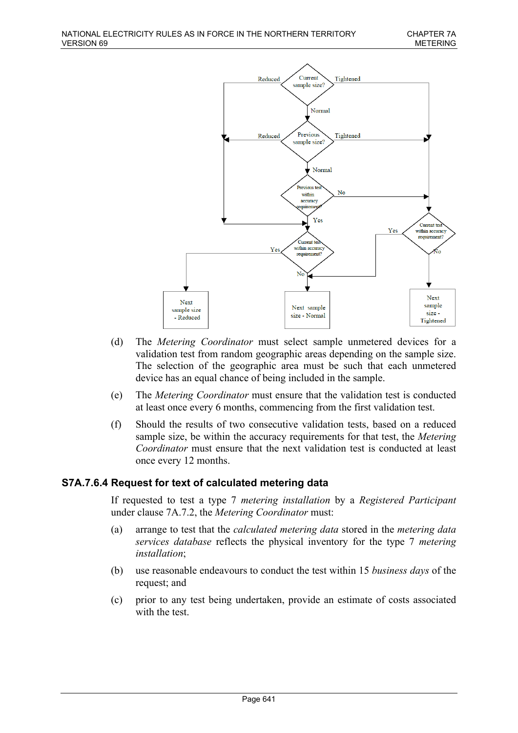

- (d) The *Metering Coordinator* must select sample unmetered devices for a validation test from random geographic areas depending on the sample size. The selection of the geographic area must be such that each unmetered device has an equal chance of being included in the sample.
- (e) The *Metering Coordinator* must ensure that the validation test is conducted at least once every 6 months, commencing from the first validation test.
- (f) Should the results of two consecutive validation tests, based on a reduced sample size, be within the accuracy requirements for that test, the *Metering Coordinator* must ensure that the next validation test is conducted at least once every 12 months.

## **S7A.7.6.4 Request for text of calculated metering data**

If requested to test a type 7 *metering installation* by a *Registered Participant* under clause 7A.7.2, the *Metering Coordinator* must:

- (a) arrange to test that the *calculated metering data* stored in the *metering data services database* reflects the physical inventory for the type 7 *metering installation*;
- (b) use reasonable endeavours to conduct the test within 15 *business days* of the request; and
- (c) prior to any test being undertaken, provide an estimate of costs associated with the test.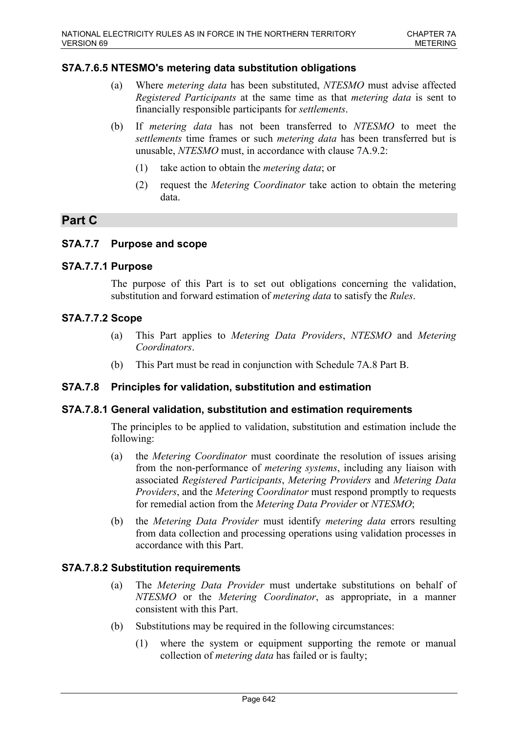# **S7A.7.6.5 NTESMO's metering data substitution obligations**

- (a) Where *metering data* has been substituted, *NTESMO* must advise affected *Registered Participants* at the same time as that *metering data* is sent to financially responsible participants for *settlements*.
- (b) If *metering data* has not been transferred to *NTESMO* to meet the *settlements* time frames or such *metering data* has been transferred but is unusable, *NTESMO* must, in accordance with clause 7A.9.2:
	- (1) take action to obtain the *metering data*; or
	- (2) request the *Metering Coordinator* take action to obtain the metering data.

# **Part C**

## **S7A.7.7 Purpose and scope**

## **S7A.7.7.1 Purpose**

The purpose of this Part is to set out obligations concerning the validation, substitution and forward estimation of *metering data* to satisfy the *Rules*.

## **S7A.7.7.2 Scope**

- (a) This Part applies to *Metering Data Providers*, *NTESMO* and *Metering Coordinators*.
- (b) This Part must be read in conjunction with Schedule 7A.8 Part B.

## **S7A.7.8 Principles for validation, substitution and estimation**

## **S7A.7.8.1 General validation, substitution and estimation requirements**

The principles to be applied to validation, substitution and estimation include the following:

- (a) the *Metering Coordinator* must coordinate the resolution of issues arising from the non-performance of *metering systems*, including any liaison with associated *Registered Participants*, *Metering Providers* and *Metering Data Providers*, and the *Metering Coordinator* must respond promptly to requests for remedial action from the *Metering Data Provider* or *NTESMO*;
- (b) the *Metering Data Provider* must identify *metering data* errors resulting from data collection and processing operations using validation processes in accordance with this Part.

## **S7A.7.8.2 Substitution requirements**

- (a) The *Metering Data Provider* must undertake substitutions on behalf of *NTESMO* or the *Metering Coordinator*, as appropriate, in a manner consistent with this Part.
- (b) Substitutions may be required in the following circumstances:
	- (1) where the system or equipment supporting the remote or manual collection of *metering data* has failed or is faulty;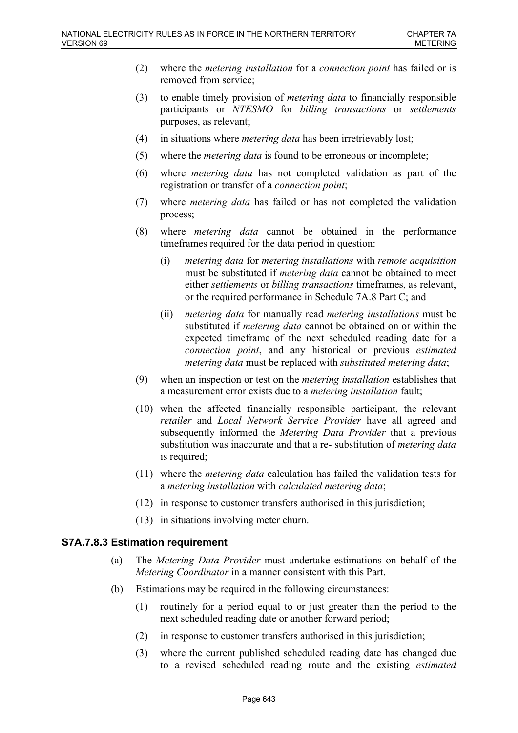- (2) where the *metering installation* for a *connection point* has failed or is removed from service;
- (3) to enable timely provision of *metering data* to financially responsible participants or *NTESMO* for *billing transactions* or *settlements* purposes, as relevant;
- (4) in situations where *metering data* has been irretrievably lost;
- (5) where the *metering data* is found to be erroneous or incomplete;
- (6) where *metering data* has not completed validation as part of the registration or transfer of a *connection point*;
- (7) where *metering data* has failed or has not completed the validation process;
- (8) where *metering data* cannot be obtained in the performance timeframes required for the data period in question:
	- (i) *metering data* for *metering installations* with *remote acquisition* must be substituted if *metering data* cannot be obtained to meet either *settlements* or *billing transactions* timeframes, as relevant, or the required performance in Schedule 7A.8 Part C; and
	- (ii) *metering data* for manually read *metering installations* must be substituted if *metering data* cannot be obtained on or within the expected timeframe of the next scheduled reading date for a *connection point*, and any historical or previous *estimated metering data* must be replaced with *substituted metering data*;
- (9) when an inspection or test on the *metering installation* establishes that a measurement error exists due to a *metering installation* fault;
- (10) when the affected financially responsible participant, the relevant *retailer* and *Local Network Service Provider* have all agreed and subsequently informed the *Metering Data Provider* that a previous substitution was inaccurate and that a re- substitution of *metering data* is required;
- (11) where the *metering data* calculation has failed the validation tests for a *metering installation* with *calculated metering data*;
- (12) in response to customer transfers authorised in this jurisdiction;
- (13) in situations involving meter churn.

## **S7A.7.8.3 Estimation requirement**

- (a) The *Metering Data Provider* must undertake estimations on behalf of the *Metering Coordinator* in a manner consistent with this Part.
- (b) Estimations may be required in the following circumstances:
	- (1) routinely for a period equal to or just greater than the period to the next scheduled reading date or another forward period;
	- (2) in response to customer transfers authorised in this jurisdiction;
	- (3) where the current published scheduled reading date has changed due to a revised scheduled reading route and the existing *estimated*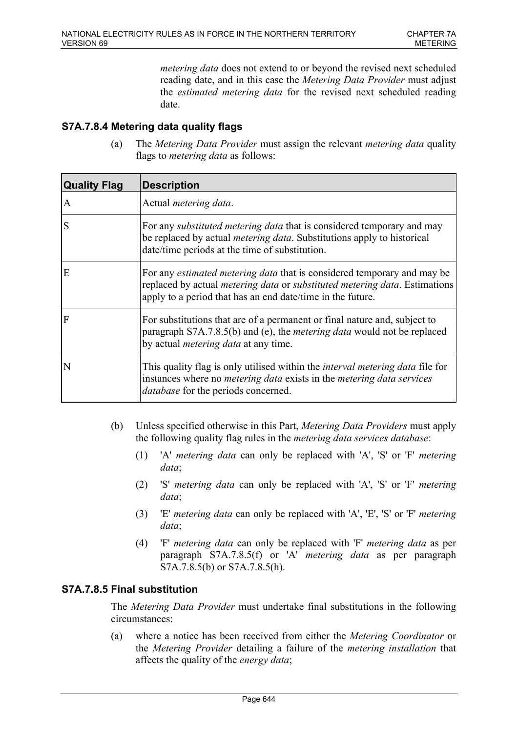*metering data* does not extend to or beyond the revised next scheduled reading date, and in this case the *Metering Data Provider* must adjust the *estimated metering data* for the revised next scheduled reading date.

# **S7A.7.8.4 Metering data quality flags**

(a) The *Metering Data Provider* must assign the relevant *metering data* quality flags to *metering data* as follows:

| <b>Quality Flag</b>   | <b>Description</b>                                                                                                                                                                                                                        |
|-----------------------|-------------------------------------------------------------------------------------------------------------------------------------------------------------------------------------------------------------------------------------------|
| A                     | Actual <i>metering data</i> .                                                                                                                                                                                                             |
| $\vert S$             | For any substituted metering data that is considered temporary and may<br>be replaced by actual <i>metering data</i> . Substitutions apply to historical<br>date/time periods at the time of substitution.                                |
| E                     | For any <i>estimated metering data</i> that is considered temporary and may be<br>replaced by actual <i>metering data</i> or <i>substituted metering data</i> . Estimations<br>apply to a period that has an end date/time in the future. |
| $\overline{F}$        | For substitutions that are of a permanent or final nature and, subject to<br>paragraph S7A.7.8.5(b) and (e), the <i>metering data</i> would not be replaced<br>by actual <i>metering data</i> at any time.                                |
| $\overline{\text{N}}$ | This quality flag is only utilised within the <i>interval metering data</i> file for<br>instances where no <i>metering data</i> exists in the <i>metering data services</i><br><i>database</i> for the periods concerned.                 |

- (b) Unless specified otherwise in this Part, *Metering Data Providers* must apply the following quality flag rules in the *metering data services database*:
	- (1) 'A' *metering data* can only be replaced with 'A', 'S' or 'F' *metering data*;
	- (2) 'S' *metering data* can only be replaced with 'A', 'S' or 'F' *metering data*;
	- (3) 'E' *metering data* can only be replaced with 'A', 'E', 'S' or 'F' *metering data*;
	- (4) 'F' *metering data* can only be replaced with 'F' *metering data* as per paragraph S7A.7.8.5(f) or 'A' *metering data* as per paragraph S7A.7.8.5(b) or S7A.7.8.5(h).

# **S7A.7.8.5 Final substitution**

The *Metering Data Provider* must undertake final substitutions in the following circumstances:

(a) where a notice has been received from either the *Metering Coordinator* or the *Metering Provider* detailing a failure of the *metering installation* that affects the quality of the *energy data*;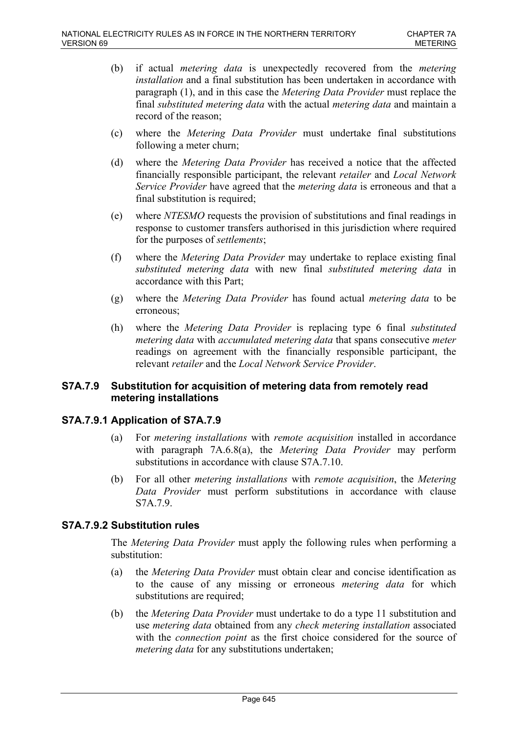- (b) if actual *metering data* is unexpectedly recovered from the *metering installation* and a final substitution has been undertaken in accordance with paragraph (1), and in this case the *Metering Data Provider* must replace the final *substituted metering data* with the actual *metering data* and maintain a record of the reason;
- (c) where the *Metering Data Provider* must undertake final substitutions following a meter churn;
- (d) where the *Metering Data Provider* has received a notice that the affected financially responsible participant, the relevant *retailer* and *Local Network Service Provider* have agreed that the *metering data* is erroneous and that a final substitution is required;
- (e) where *NTESMO* requests the provision of substitutions and final readings in response to customer transfers authorised in this jurisdiction where required for the purposes of *settlements*;
- (f) where the *Metering Data Provider* may undertake to replace existing final *substituted metering data* with new final *substituted metering data* in accordance with this Part;
- (g) where the *Metering Data Provider* has found actual *metering data* to be erroneous;
- (h) where the *Metering Data Provider* is replacing type 6 final *substituted metering data* with *accumulated metering data* that spans consecutive *meter* readings on agreement with the financially responsible participant, the relevant *retailer* and the *Local Network Service Provider*.

# **S7A.7.9 Substitution for acquisition of metering data from remotely read metering installations**

# **S7A.7.9.1 Application of S7A.7.9**

- (a) For *metering installations* with *remote acquisition* installed in accordance with paragraph 7A.6.8(a), the *Metering Data Provider* may perform substitutions in accordance with clause S7A.7.10.
- (b) For all other *metering installations* with *remote acquisition*, the *Metering Data Provider* must perform substitutions in accordance with clause S7A.7.9.

# **S7A.7.9.2 Substitution rules**

The *Metering Data Provider* must apply the following rules when performing a substitution:

- (a) the *Metering Data Provider* must obtain clear and concise identification as to the cause of any missing or erroneous *metering data* for which substitutions are required:
- (b) the *Metering Data Provider* must undertake to do a type 11 substitution and use *metering data* obtained from any *check metering installation* associated with the *connection point* as the first choice considered for the source of *metering data* for any substitutions undertaken;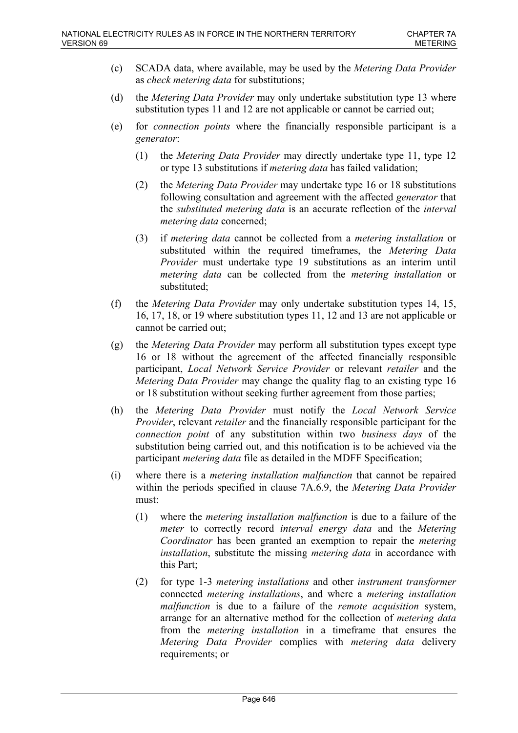- (c) SCADA data, where available, may be used by the *Metering Data Provider* as *check metering data* for substitutions;
- (d) the *Metering Data Provider* may only undertake substitution type 13 where substitution types 11 and 12 are not applicable or cannot be carried out;
- (e) for *connection points* where the financially responsible participant is a *generator*:
	- (1) the *Metering Data Provider* may directly undertake type 11, type 12 or type 13 substitutions if *metering data* has failed validation;
	- (2) the *Metering Data Provider* may undertake type 16 or 18 substitutions following consultation and agreement with the affected *generator* that the *substituted metering data* is an accurate reflection of the *interval metering data* concerned;
	- (3) if *metering data* cannot be collected from a *metering installation* or substituted within the required timeframes, the *Metering Data Provider* must undertake type 19 substitutions as an interim until *metering data* can be collected from the *metering installation* or substituted;
- (f) the *Metering Data Provider* may only undertake substitution types 14, 15, 16, 17, 18, or 19 where substitution types 11, 12 and 13 are not applicable or cannot be carried out;
- (g) the *Metering Data Provider* may perform all substitution types except type 16 or 18 without the agreement of the affected financially responsible participant, *Local Network Service Provider* or relevant *retailer* and the *Metering Data Provider* may change the quality flag to an existing type 16 or 18 substitution without seeking further agreement from those parties;
- (h) the *Metering Data Provider* must notify the *Local Network Service Provider*, relevant *retailer* and the financially responsible participant for the *connection point* of any substitution within two *business days* of the substitution being carried out, and this notification is to be achieved via the participant *metering data* file as detailed in the MDFF Specification;
- (i) where there is a *metering installation malfunction* that cannot be repaired within the periods specified in clause 7A.6.9, the *Metering Data Provider* must:
	- (1) where the *metering installation malfunction* is due to a failure of the *meter* to correctly record *interval energy data* and the *Metering Coordinator* has been granted an exemption to repair the *metering installation*, substitute the missing *metering data* in accordance with this Part;
	- (2) for type 1-3 *metering installations* and other *instrument transformer* connected *metering installations*, and where a *metering installation malfunction* is due to a failure of the *remote acquisition* system, arrange for an alternative method for the collection of *metering data* from the *metering installation* in a timeframe that ensures the *Metering Data Provider* complies with *metering data* delivery requirements; or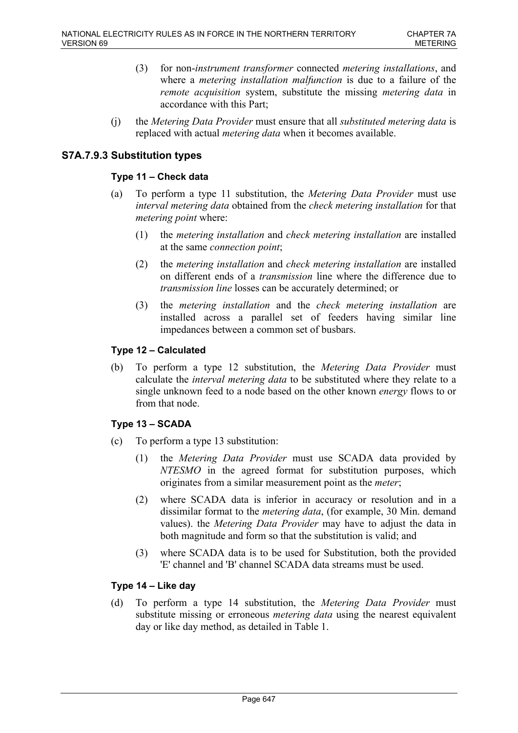- (3) for non-*instrument transformer* connected *metering installations*, and where a *metering installation malfunction* is due to a failure of the *remote acquisition* system, substitute the missing *metering data* in accordance with this Part;
- (j) the *Metering Data Provider* must ensure that all *substituted metering data* is replaced with actual *metering data* when it becomes available.

# **S7A.7.9.3 Substitution types**

## **Type 11 – Check data**

- (a) To perform a type 11 substitution, the *Metering Data Provider* must use *interval metering data* obtained from the *check metering installation* for that *metering point* where:
	- (1) the *metering installation* and *check metering installation* are installed at the same *connection point*;
	- (2) the *metering installation* and *check metering installation* are installed on different ends of a *transmission* line where the difference due to *transmission line* losses can be accurately determined; or
	- (3) the *metering installation* and the *check metering installation* are installed across a parallel set of feeders having similar line impedances between a common set of busbars.

## **Type 12 – Calculated**

(b) To perform a type 12 substitution, the *Metering Data Provider* must calculate the *interval metering data* to be substituted where they relate to a single unknown feed to a node based on the other known *energy* flows to or from that node.

## **Type 13 – SCADA**

- (c) To perform a type 13 substitution:
	- (1) the *Metering Data Provider* must use SCADA data provided by *NTESMO* in the agreed format for substitution purposes, which originates from a similar measurement point as the *meter*;
	- (2) where SCADA data is inferior in accuracy or resolution and in a dissimilar format to the *metering data*, (for example, 30 Min. demand values). the *Metering Data Provider* may have to adjust the data in both magnitude and form so that the substitution is valid; and
	- (3) where SCADA data is to be used for Substitution, both the provided 'E' channel and 'B' channel SCADA data streams must be used.

### **Type 14 – Like day**

(d) To perform a type 14 substitution, the *Metering Data Provider* must substitute missing or erroneous *metering data* using the nearest equivalent day or like day method, as detailed in Table 1.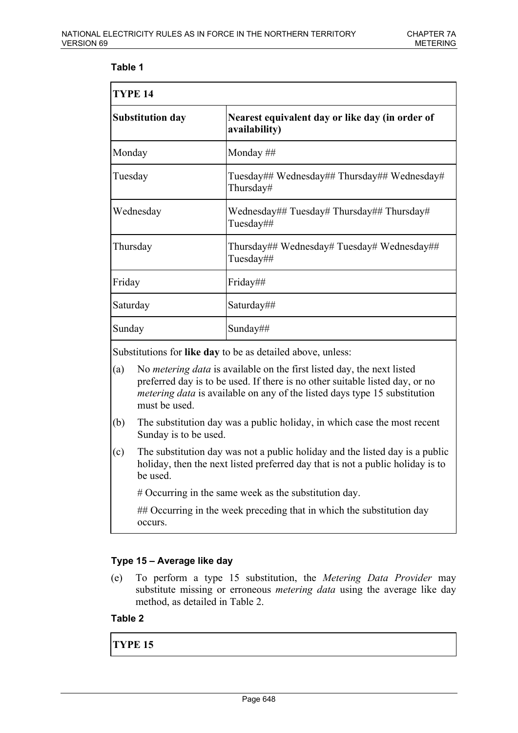## **Table 1**

| TYPE <sub>14</sub>      |                                                                  |  |
|-------------------------|------------------------------------------------------------------|--|
| <b>Substitution day</b> | Nearest equivalent day or like day (in order of<br>availability) |  |
| Monday                  | Monday $\#$                                                      |  |
| Tuesday                 | Tuesday## Wednesday## Thursday## Wednesday#<br>Thursday#         |  |
| Wednesday               | Wednesday## Tuesday# Thursday## Thursday#<br>Tuesday##           |  |
| Thursday                | Thursday## Wednesday# Tuesday# Wednesday##<br>Tuesday##          |  |
| Friday                  | Friday##                                                         |  |
| Saturday                | Saturday##                                                       |  |
| Sunday                  | Sunday##                                                         |  |

Substitutions for **like day** to be as detailed above, unless:

- (a) No *metering data* is available on the first listed day, the next listed preferred day is to be used. If there is no other suitable listed day, or no *metering data* is available on any of the listed days type 15 substitution must be used.
- (b) The substitution day was a public holiday, in which case the most recent Sunday is to be used.
- (c) The substitution day was not a public holiday and the listed day is a public holiday, then the next listed preferred day that is not a public holiday is to be used.

# Occurring in the same week as the substitution day.

## Occurring in the week preceding that in which the substitution day occurs.

## **Type 15 – Average like day**

(e) To perform a type 15 substitution, the *Metering Data Provider* may substitute missing or erroneous *metering data* using the average like day method, as detailed in Table 2.

## **Table 2**

**TYPE 15**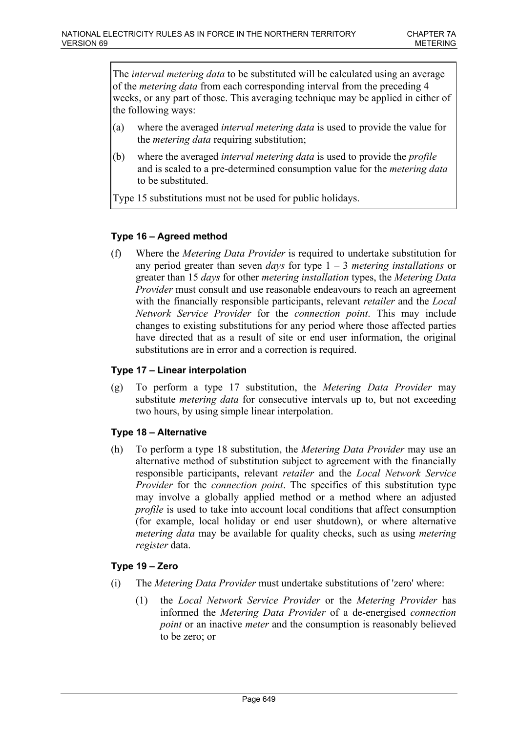The *interval metering data* to be substituted will be calculated using an average of the *metering data* from each corresponding interval from the preceding 4 weeks, or any part of those. This averaging technique may be applied in either of the following ways:

- (a) where the averaged *interval metering data* is used to provide the value for the *metering data* requiring substitution;
- (b) where the averaged *interval metering data* is used to provide the *profile* and is scaled to a pre-determined consumption value for the *metering data* to be substituted.

Type 15 substitutions must not be used for public holidays.

## **Type 16 – Agreed method**

(f) Where the *Metering Data Provider* is required to undertake substitution for any period greater than seven *days* for type 1 – 3 *metering installations* or greater than 15 *days* for other *metering installation* types, the *Metering Data Provider* must consult and use reasonable endeavours to reach an agreement with the financially responsible participants, relevant *retailer* and the *Local Network Service Provider* for the *connection point*. This may include changes to existing substitutions for any period where those affected parties have directed that as a result of site or end user information, the original substitutions are in error and a correction is required.

### **Type 17 – Linear interpolation**

(g) To perform a type 17 substitution, the *Metering Data Provider* may substitute *metering data* for consecutive intervals up to, but not exceeding two hours, by using simple linear interpolation.

### **Type 18 – Alternative**

(h) To perform a type 18 substitution, the *Metering Data Provider* may use an alternative method of substitution subject to agreement with the financially responsible participants, relevant *retailer* and the *Local Network Service Provider* for the *connection point*. The specifics of this substitution type may involve a globally applied method or a method where an adjusted *profile* is used to take into account local conditions that affect consumption (for example, local holiday or end user shutdown), or where alternative *metering data* may be available for quality checks, such as using *metering register* data.

### **Type 19 – Zero**

- (i) The *Metering Data Provider* must undertake substitutions of 'zero' where:
	- (1) the *Local Network Service Provider* or the *Metering Provider* has informed the *Metering Data Provider* of a de-energised *connection point* or an inactive *meter* and the consumption is reasonably believed to be zero; or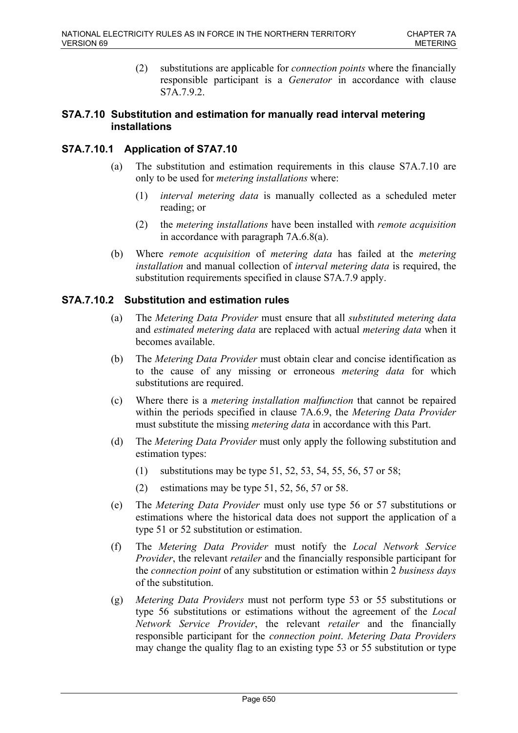(2) substitutions are applicable for *connection points* where the financially responsible participant is a *Generator* in accordance with clause S7A.7.9.2.

### **S7A.7.10 Substitution and estimation for manually read interval metering installations**

## **S7A.7.10.1 Application of S7A7.10**

- (a) The substitution and estimation requirements in this clause S7A.7.10 are only to be used for *metering installations* where:
	- (1) *interval metering data* is manually collected as a scheduled meter reading; or
	- (2) the *metering installations* have been installed with *remote acquisition* in accordance with paragraph 7A.6.8(a).
- (b) Where *remote acquisition* of *metering data* has failed at the *metering installation* and manual collection of *interval metering data* is required, the substitution requirements specified in clause S7A.7.9 apply.

## **S7A.7.10.2 Substitution and estimation rules**

- (a) The *Metering Data Provider* must ensure that all *substituted metering data* and *estimated metering data* are replaced with actual *metering data* when it becomes available.
- (b) The *Metering Data Provider* must obtain clear and concise identification as to the cause of any missing or erroneous *metering data* for which substitutions are required.
- (c) Where there is a *metering installation malfunction* that cannot be repaired within the periods specified in clause 7A.6.9, the *Metering Data Provider* must substitute the missing *metering data* in accordance with this Part.
- (d) The *Metering Data Provider* must only apply the following substitution and estimation types:
	- (1) substitutions may be type 51, 52, 53, 54, 55, 56, 57 or 58;
	- (2) estimations may be type 51, 52, 56, 57 or 58.
- (e) The *Metering Data Provider* must only use type 56 or 57 substitutions or estimations where the historical data does not support the application of a type 51 or 52 substitution or estimation.
- (f) The *Metering Data Provider* must notify the *Local Network Service Provider*, the relevant *retailer* and the financially responsible participant for the *connection point* of any substitution or estimation within 2 *business days* of the substitution.
- (g) *Metering Data Providers* must not perform type 53 or 55 substitutions or type 56 substitutions or estimations without the agreement of the *Local Network Service Provider*, the relevant *retailer* and the financially responsible participant for the *connection point*. *Metering Data Providers* may change the quality flag to an existing type 53 or 55 substitution or type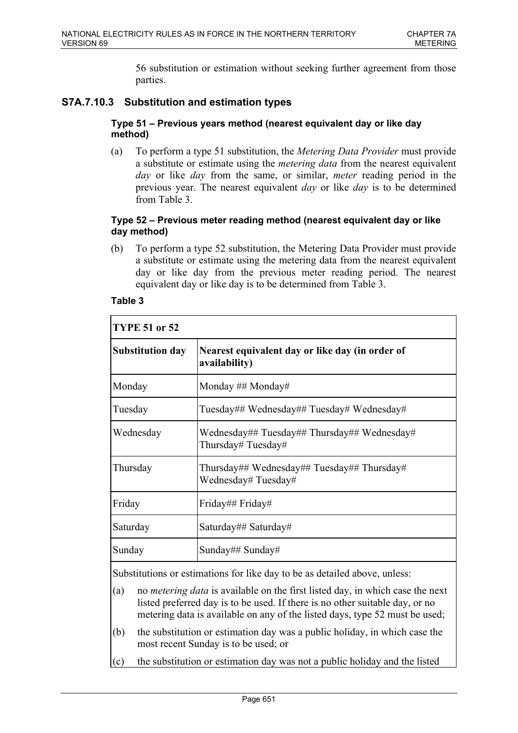56 substitution or estimation without seeking further agreement from those parties.

# **S7A.7.10.3 Substitution and estimation types**

#### **Type 51 – Previous years method (nearest equivalent day or like day method)**

(a) To perform a type 51 substitution, the *Metering Data Provider* must provide a substitute or estimate using the *metering data* from the nearest equivalent *day* or like *day* from the same, or similar, *meter* reading period in the previous year. The nearest equivalent *day* or like *day* is to be determined from Table 3.

### **Type 52 – Previous meter reading method (nearest equivalent day or like day method)**

(b) To perform a type 52 substitution, the Metering Data Provider must provide a substitute or estimate using the metering data from the nearest equivalent day or like day from the previous meter reading period. The nearest equivalent day or like day is to be determined from Table 3.

| <b>TYPE 51 or 52</b>                                                                                                                                                      |                                                                   |  |
|---------------------------------------------------------------------------------------------------------------------------------------------------------------------------|-------------------------------------------------------------------|--|
| <b>Substitution day</b>                                                                                                                                                   | Nearest equivalent day or like day (in order of<br>availability)  |  |
| Monday                                                                                                                                                                    | Monday ## Monday#                                                 |  |
| Tuesday                                                                                                                                                                   | Tuesday## Wednesday## Tuesday# Wednesday#                         |  |
| Wednesday                                                                                                                                                                 | Wednesday## Tuesday## Thursday## Wednesday#<br>Thursday# Tuesday# |  |
| Thursday                                                                                                                                                                  | Thursday## Wednesday## Tuesday## Thursday#<br>Wednesday#Tuesday#  |  |
| Friday                                                                                                                                                                    | Friday## Friday#                                                  |  |
| Saturday                                                                                                                                                                  | Saturday## Saturday#                                              |  |
| Sunday                                                                                                                                                                    | Sunday## Sunday#                                                  |  |
| Substitutions or estimations for like day to be as detailed above, unless:<br>no <i>metering data</i> is available on the first listed day, in which case the next<br>(a) |                                                                   |  |

### **Table 3**

- (a) no *metering data* is available on the first listed day, in which case the next listed preferred day is to be used. If there is no other suitable day, or no metering data is available on any of the listed days, type 52 must be used;
- (b) the substitution or estimation day was a public holiday, in which case the most recent Sunday is to be used; or
- (c) the substitution or estimation day was not a public holiday and the listed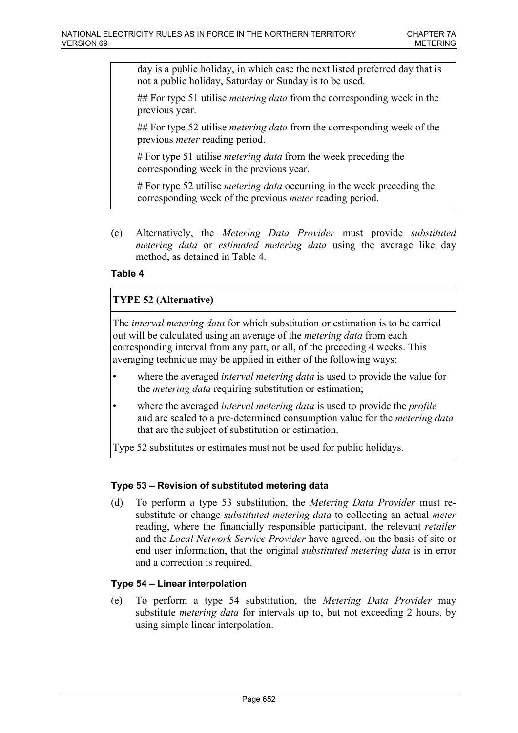day is a public holiday, in which case the next listed preferred day that is not a public holiday, Saturday or Sunday is to be used.

## For type 51 utilise *metering data* from the corresponding week in the previous year.

## For type 52 utilise *metering data* from the corresponding week of the previous *meter* reading period.

# For type 51 utilise *metering data* from the week preceding the corresponding week in the previous year.

# For type 52 utilise *metering data* occurring in the week preceding the corresponding week of the previous *meter* reading period.

(c) Alternatively, the *Metering Data Provider* must provide *substituted metering data* or *estimated metering data* using the average like day method, as detained in Table 4.

## **Table 4**

## **TYPE 52 (Alternative)**

The *interval metering data* for which substitution or estimation is to be carried out will be calculated using an average of the *metering data* from each corresponding interval from any part, or all, of the preceding 4 weeks. This averaging technique may be applied in either of the following ways:

- where the averaged *interval metering data* is used to provide the value for the *metering data* requiring substitution or estimation;
- where the averaged *interval metering data* is used to provide the *profile* and are scaled to a pre-determined consumption value for the *metering data* that are the subject of substitution or estimation.

Type 52 substitutes or estimates must not be used for public holidays.

## **Type 53 – Revision of substituted metering data**

(d) To perform a type 53 substitution, the *Metering Data Provider* must resubstitute or change *substituted metering data* to collecting an actual *meter* reading, where the financially responsible participant, the relevant *retailer* and the *Local Network Service Provider* have agreed, on the basis of site or end user information, that the original *substituted metering data* is in error and a correction is required.

### **Type 54 – Linear interpolation**

(e) To perform a type 54 substitution, the *Metering Data Provider* may substitute *metering data* for intervals up to, but not exceeding 2 hours, by using simple linear interpolation.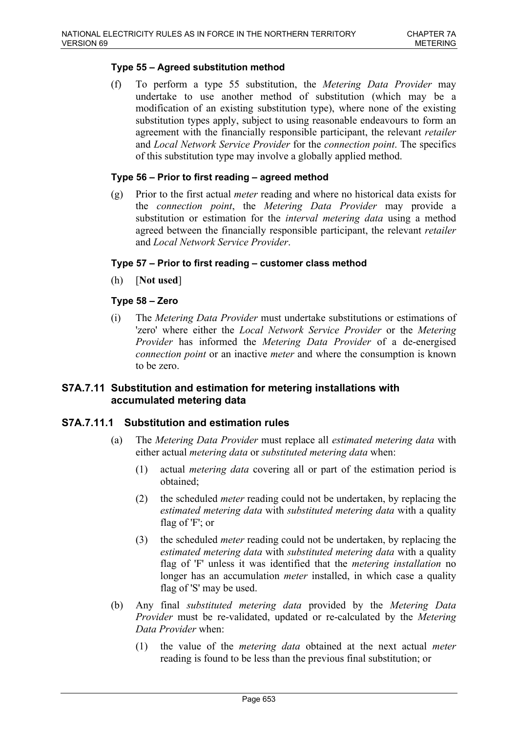## **Type 55 – Agreed substitution method**

(f) To perform a type 55 substitution, the *Metering Data Provider* may undertake to use another method of substitution (which may be a modification of an existing substitution type), where none of the existing substitution types apply, subject to using reasonable endeavours to form an agreement with the financially responsible participant, the relevant *retailer* and *Local Network Service Provider* for the *connection point*. The specifics of this substitution type may involve a globally applied method.

### **Type 56 – Prior to first reading – agreed method**

(g) Prior to the first actual *meter* reading and where no historical data exists for the *connection point*, the *Metering Data Provider* may provide a substitution or estimation for the *interval metering data* using a method agreed between the financially responsible participant, the relevant *retailer* and *Local Network Service Provider*.

### **Type 57 – Prior to first reading – customer class method**

(h) [**Not used**]

## **Type 58 – Zero**

(i) The *Metering Data Provider* must undertake substitutions or estimations of 'zero' where either the *Local Network Service Provider* or the *Metering Provider* has informed the *Metering Data Provider* of a de-energised *connection point* or an inactive *meter* and where the consumption is known to be zero.

## **S7A.7.11 Substitution and estimation for metering installations with accumulated metering data**

### **S7A.7.11.1 Substitution and estimation rules**

- (a) The *Metering Data Provider* must replace all *estimated metering data* with either actual *metering data* or *substituted metering data* when:
	- (1) actual *metering data* covering all or part of the estimation period is obtained;
	- (2) the scheduled *meter* reading could not be undertaken, by replacing the *estimated metering data* with *substituted metering data* with a quality flag of 'F'; or
	- (3) the scheduled *meter* reading could not be undertaken, by replacing the *estimated metering data* with *substituted metering data* with a quality flag of 'F' unless it was identified that the *metering installation* no longer has an accumulation *meter* installed, in which case a quality flag of 'S' may be used.
- (b) Any final *substituted metering data* provided by the *Metering Data Provider* must be re-validated, updated or re-calculated by the *Metering Data Provider* when:
	- (1) the value of the *metering data* obtained at the next actual *meter* reading is found to be less than the previous final substitution; or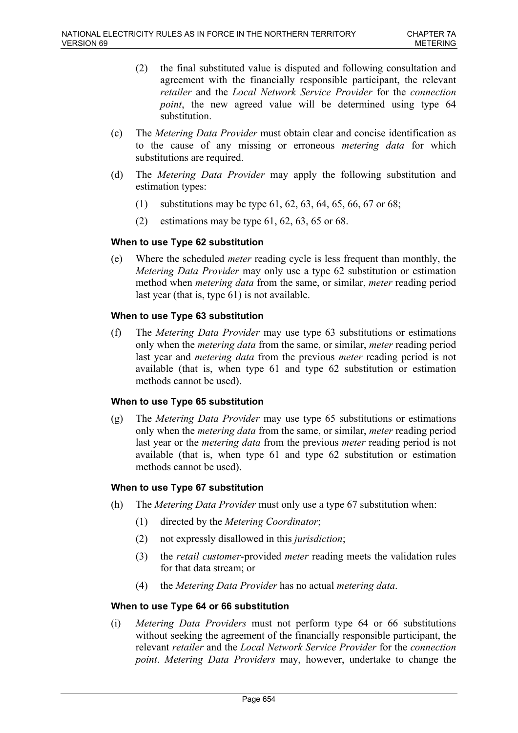- (2) the final substituted value is disputed and following consultation and agreement with the financially responsible participant, the relevant *retailer* and the *Local Network Service Provider* for the *connection point*, the new agreed value will be determined using type 64 substitution.
- (c) The *Metering Data Provider* must obtain clear and concise identification as to the cause of any missing or erroneous *metering data* for which substitutions are required.
- (d) The *Metering Data Provider* may apply the following substitution and estimation types:
	- (1) substitutions may be type 61, 62, 63, 64, 65, 66, 67 or 68;
	- (2) estimations may be type  $61, 62, 63, 65$  or  $68$ .

## **When to use Type 62 substitution**

(e) Where the scheduled *meter* reading cycle is less frequent than monthly, the *Metering Data Provider* may only use a type 62 substitution or estimation method when *metering data* from the same, or similar, *meter* reading period last year (that is, type 61) is not available.

## **When to use Type 63 substitution**

(f) The *Metering Data Provider* may use type 63 substitutions or estimations only when the *metering data* from the same, or similar, *meter* reading period last year and *metering data* from the previous *meter* reading period is not available (that is, when type 61 and type 62 substitution or estimation methods cannot be used).

### **When to use Type 65 substitution**

(g) The *Metering Data Provider* may use type 65 substitutions or estimations only when the *metering data* from the same, or similar, *meter* reading period last year or the *metering data* from the previous *meter* reading period is not available (that is, when type 61 and type 62 substitution or estimation methods cannot be used).

### **When to use Type 67 substitution**

- (h) The *Metering Data Provider* must only use a type 67 substitution when:
	- (1) directed by the *Metering Coordinator*;
	- (2) not expressly disallowed in this *jurisdiction*;
	- (3) the *retail customer*-provided *meter* reading meets the validation rules for that data stream; or
	- (4) the *Metering Data Provider* has no actual *metering data*.

### **When to use Type 64 or 66 substitution**

(i) *Metering Data Providers* must not perform type 64 or 66 substitutions without seeking the agreement of the financially responsible participant, the relevant *retailer* and the *Local Network Service Provider* for the *connection point*. *Metering Data Providers* may, however, undertake to change the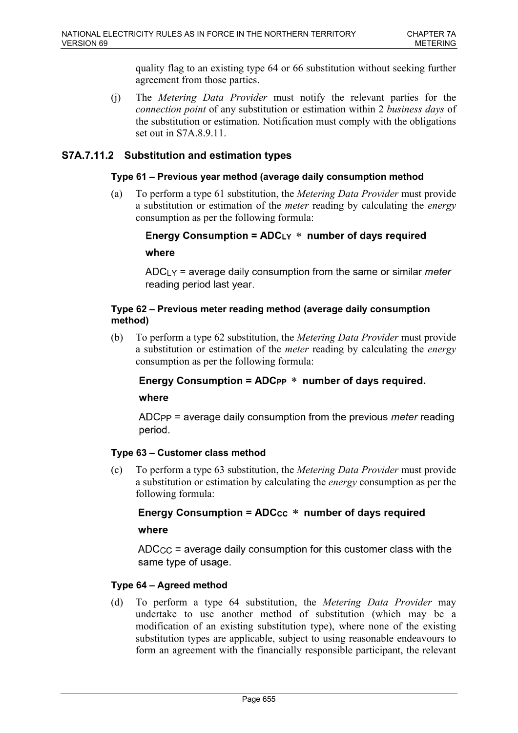quality flag to an existing type 64 or 66 substitution without seeking further agreement from those parties.

(j) The *Metering Data Provider* must notify the relevant parties for the *connection point* of any substitution or estimation within 2 *business days* of the substitution or estimation. Notification must comply with the obligations set out in S7A.8.9.11.

## **S7A.7.11.2 Substitution and estimation types**

### **Type 61 – Previous year method (average daily consumption method**

(a) To perform a type 61 substitution, the *Metering Data Provider* must provide a substitution or estimation of the *meter* reading by calculating the *energy* consumption as per the following formula:

Energy Consumption =  $ADC_{LY}$  \* number of days required where

 $ADC<sub>LY</sub>$  = average daily consumption from the same or similar *meter* reading period last year.

## **Type 62 – Previous meter reading method (average daily consumption method)**

(b) To perform a type 62 substitution, the *Metering Data Provider* must provide a substitution or estimation of the *meter* reading by calculating the *energy* consumption as per the following formula:

## Energy Consumption =  $ADC_{PP}$  \* number of days required.

where

ADC<sub>PP</sub> = average daily consumption from the previous *meter* reading period.

### **Type 63 – Customer class method**

(c) To perform a type 63 substitution, the *Metering Data Provider* must provide a substitution or estimation by calculating the *energy* consumption as per the following formula:

## Energy Consumption =  $ADCcc * number of days required$

where

 $\triangle$ DC<sub>CC</sub> = average daily consumption for this customer class with the same type of usage.

## **Type 64 – Agreed method**

(d) To perform a type 64 substitution, the *Metering Data Provider* may undertake to use another method of substitution (which may be a modification of an existing substitution type), where none of the existing substitution types are applicable, subject to using reasonable endeavours to form an agreement with the financially responsible participant, the relevant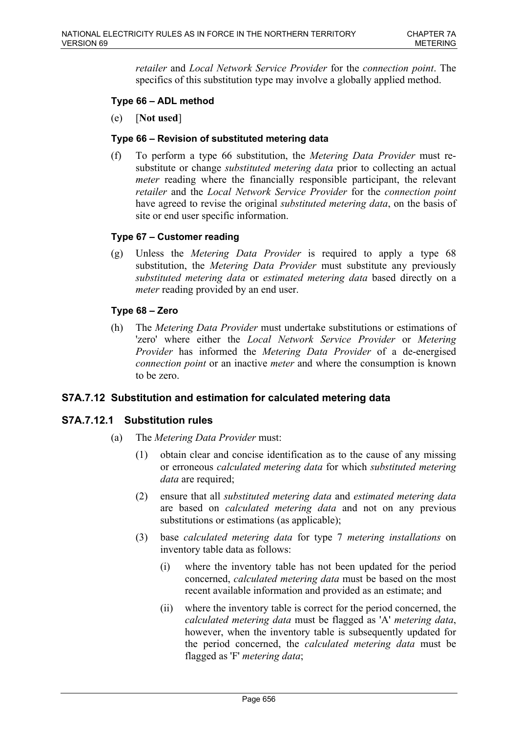*retailer* and *Local Network Service Provider* for the *connection point*. The specifics of this substitution type may involve a globally applied method.

## **Type 66 – ADL method**

(e) [**Not used**]

### **Type 66 – Revision of substituted metering data**

(f) To perform a type 66 substitution, the *Metering Data Provider* must resubstitute or change *substituted metering data* prior to collecting an actual *meter* reading where the financially responsible participant, the relevant *retailer* and the *Local Network Service Provider* for the *connection point* have agreed to revise the original *substituted metering data*, on the basis of site or end user specific information.

## **Type 67 – Customer reading**

(g) Unless the *Metering Data Provider* is required to apply a type 68 substitution, the *Metering Data Provider* must substitute any previously *substituted metering data* or *estimated metering data* based directly on a *meter* reading provided by an end user.

## **Type 68 – Zero**

(h) The *Metering Data Provider* must undertake substitutions or estimations of 'zero' where either the *Local Network Service Provider* or *Metering Provider* has informed the *Metering Data Provider* of a de-energised *connection point* or an inactive *meter* and where the consumption is known to be zero.

### **S7A.7.12 Substitution and estimation for calculated metering data**

### **S7A.7.12.1 Substitution rules**

- (a) The *Metering Data Provider* must:
	- (1) obtain clear and concise identification as to the cause of any missing or erroneous *calculated metering data* for which *substituted metering data* are required;
	- (2) ensure that all *substituted metering data* and *estimated metering data* are based on *calculated metering data* and not on any previous substitutions or estimations (as applicable);
	- (3) base *calculated metering data* for type 7 *metering installations* on inventory table data as follows:
		- (i) where the inventory table has not been updated for the period concerned, *calculated metering data* must be based on the most recent available information and provided as an estimate; and
		- (ii) where the inventory table is correct for the period concerned, the *calculated metering data* must be flagged as 'A' *metering data*, however, when the inventory table is subsequently updated for the period concerned, the *calculated metering data* must be flagged as 'F' *metering data*;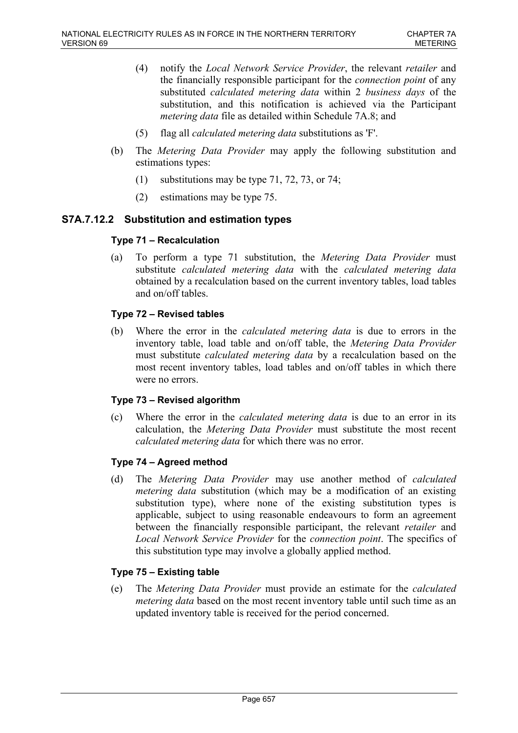- (4) notify the *Local Network Service Provider*, the relevant *retailer* and the financially responsible participant for the *connection point* of any substituted *calculated metering data* within 2 *business days* of the substitution, and this notification is achieved via the Participant *metering data* file as detailed within Schedule 7A.8; and
- (5) flag all *calculated metering data* substitutions as 'F'.
- (b) The *Metering Data Provider* may apply the following substitution and estimations types:
	- (1) substitutions may be type 71, 72, 73, or 74;
	- (2) estimations may be type 75.

## **S7A.7.12.2 Substitution and estimation types**

## **Type 71 – Recalculation**

(a) To perform a type 71 substitution, the *Metering Data Provider* must substitute *calculated metering data* with the *calculated metering data* obtained by a recalculation based on the current inventory tables, load tables and on/off tables.

### **Type 72 – Revised tables**

(b) Where the error in the *calculated metering data* is due to errors in the inventory table, load table and on/off table, the *Metering Data Provider* must substitute *calculated metering data* by a recalculation based on the most recent inventory tables, load tables and on/off tables in which there were no errors.

### **Type 73 – Revised algorithm**

(c) Where the error in the *calculated metering data* is due to an error in its calculation, the *Metering Data Provider* must substitute the most recent *calculated metering data* for which there was no error.

### **Type 74 – Agreed method**

(d) The *Metering Data Provider* may use another method of *calculated metering data* substitution (which may be a modification of an existing substitution type), where none of the existing substitution types is applicable, subject to using reasonable endeavours to form an agreement between the financially responsible participant, the relevant *retailer* and *Local Network Service Provider* for the *connection point*. The specifics of this substitution type may involve a globally applied method.

## **Type 75 – Existing table**

(e) The *Metering Data Provider* must provide an estimate for the *calculated metering data* based on the most recent inventory table until such time as an updated inventory table is received for the period concerned.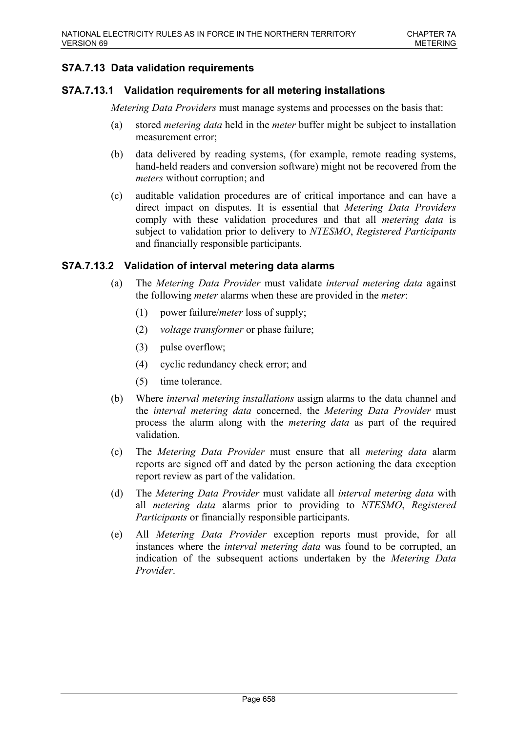# **S7A.7.13 Data validation requirements**

## **S7A.7.13.1 Validation requirements for all metering installations**

*Metering Data Providers* must manage systems and processes on the basis that:

- (a) stored *metering data* held in the *meter* buffer might be subject to installation measurement error;
- (b) data delivered by reading systems, (for example, remote reading systems, hand-held readers and conversion software) might not be recovered from the *meters* without corruption; and
- (c) auditable validation procedures are of critical importance and can have a direct impact on disputes. It is essential that *Metering Data Providers* comply with these validation procedures and that all *metering data* is subject to validation prior to delivery to *NTESMO*, *Registered Participants* and financially responsible participants.

## **S7A.7.13.2 Validation of interval metering data alarms**

- (a) The *Metering Data Provider* must validate *interval metering data* against the following *meter* alarms when these are provided in the *meter*:
	- (1) power failure/*meter* loss of supply;
	- (2) *voltage transformer* or phase failure;
	- (3) pulse overflow;
	- (4) cyclic redundancy check error; and
	- (5) time tolerance.
- (b) Where *interval metering installations* assign alarms to the data channel and the *interval metering data* concerned, the *Metering Data Provider* must process the alarm along with the *metering data* as part of the required validation.
- (c) The *Metering Data Provider* must ensure that all *metering data* alarm reports are signed off and dated by the person actioning the data exception report review as part of the validation.
- (d) The *Metering Data Provider* must validate all *interval metering data* with all *metering data* alarms prior to providing to *NTESMO*, *Registered Participants* or financially responsible participants.
- (e) All *Metering Data Provider* exception reports must provide, for all instances where the *interval metering data* was found to be corrupted, an indication of the subsequent actions undertaken by the *Metering Data Provider*.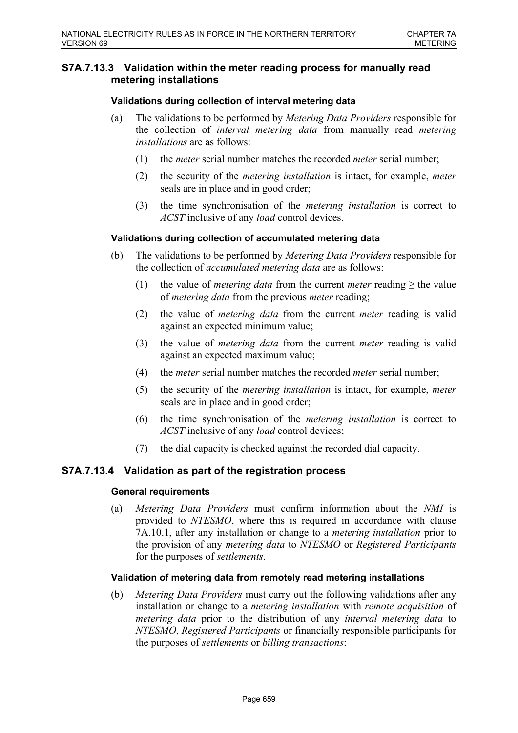## **S7A.7.13.3 Validation within the meter reading process for manually read metering installations**

### **Validations during collection of interval metering data**

- (a) The validations to be performed by *Metering Data Providers* responsible for the collection of *interval metering data* from manually read *metering installations* are as follows:
	- (1) the *meter* serial number matches the recorded *meter* serial number;
	- (2) the security of the *metering installation* is intact, for example, *meter* seals are in place and in good order;
	- (3) the time synchronisation of the *metering installation* is correct to *ACST* inclusive of any *load* control devices.

### **Validations during collection of accumulated metering data**

- (b) The validations to be performed by *Metering Data Providers* responsible for the collection of *accumulated metering data* are as follows:
	- (1) the value of *metering data* from the current *meter* reading  $\geq$  the value of *metering data* from the previous *meter* reading;
	- (2) the value of *metering data* from the current *meter* reading is valid against an expected minimum value;
	- (3) the value of *metering data* from the current *meter* reading is valid against an expected maximum value;
	- (4) the *meter* serial number matches the recorded *meter* serial number;
	- (5) the security of the *metering installation* is intact, for example, *meter* seals are in place and in good order;
	- (6) the time synchronisation of the *metering installation* is correct to *ACST* inclusive of any *load* control devices;
	- (7) the dial capacity is checked against the recorded dial capacity.

### **S7A.7.13.4 Validation as part of the registration process**

#### **General requirements**

(a) *Metering Data Providers* must confirm information about the *NMI* is provided to *NTESMO*, where this is required in accordance with clause 7A.10.1, after any installation or change to a *metering installation* prior to the provision of any *metering data* to *NTESMO* or *Registered Participants* for the purposes of *settlements*.

### **Validation of metering data from remotely read metering installations**

(b) *Metering Data Providers* must carry out the following validations after any installation or change to a *metering installation* with *remote acquisition* of *metering data* prior to the distribution of any *interval metering data* to *NTESMO*, *Registered Participants* or financially responsible participants for the purposes of *settlements* or *billing transactions*: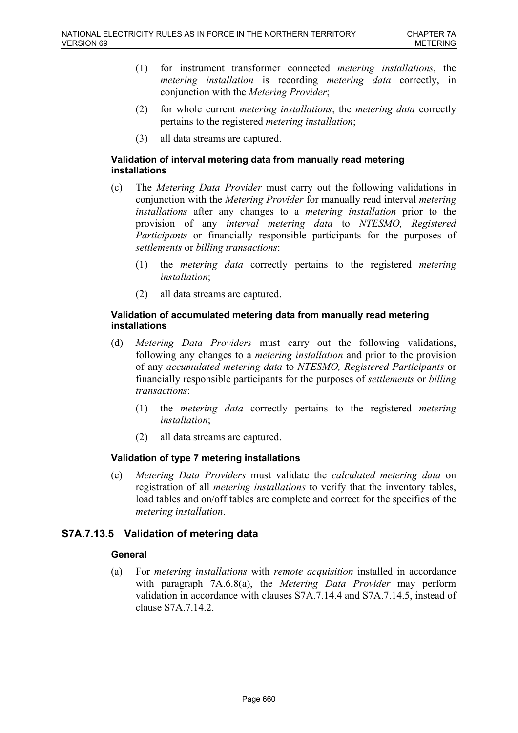- (1) for instrument transformer connected *metering installations*, the *metering installation* is recording *metering data* correctly, in conjunction with the *Metering Provider*;
- (2) for whole current *metering installations*, the *metering data* correctly pertains to the registered *metering installation*;
- (3) all data streams are captured.

### **Validation of interval metering data from manually read metering installations**

- (c) The *Metering Data Provider* must carry out the following validations in conjunction with the *Metering Provider* for manually read interval *metering installations* after any changes to a *metering installation* prior to the provision of any *interval metering data* to *NTESMO, Registered Participants* or financially responsible participants for the purposes of *settlements* or *billing transactions*:
	- (1) the *metering data* correctly pertains to the registered *metering installation*;
	- (2) all data streams are captured.

### **Validation of accumulated metering data from manually read metering installations**

- (d) *Metering Data Providers* must carry out the following validations, following any changes to a *metering installation* and prior to the provision of any *accumulated metering data* to *NTESMO, Registered Participants* or financially responsible participants for the purposes of *settlements* or *billing transactions*:
	- (1) the *metering data* correctly pertains to the registered *metering installation*;
	- (2) all data streams are captured.

### **Validation of type 7 metering installations**

(e) *Metering Data Providers* must validate the *calculated metering data* on registration of all *metering installations* to verify that the inventory tables, load tables and on/off tables are complete and correct for the specifics of the *metering installation*.

## **S7A.7.13.5 Validation of metering data**

### **General**

(a) For *metering installations* with *remote acquisition* installed in accordance with paragraph 7A.6.8(a), the *Metering Data Provider* may perform validation in accordance with clauses S7A.7.14.4 and S7A.7.14.5, instead of clause S7A.7.14.2.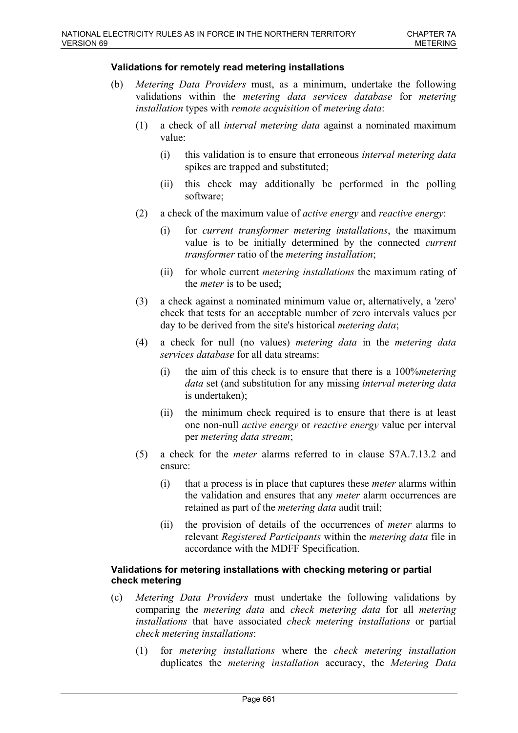#### **Validations for remotely read metering installations**

- (b) *Metering Data Providers* must, as a minimum, undertake the following validations within the *metering data services database* for *metering installation* types with *remote acquisition* of *metering data*:
	- (1) a check of all *interval metering data* against a nominated maximum value:
		- (i) this validation is to ensure that erroneous *interval metering data* spikes are trapped and substituted;
		- (ii) this check may additionally be performed in the polling software;
	- (2) a check of the maximum value of *active energy* and *reactive energy*:
		- (i) for *current transformer metering installations*, the maximum value is to be initially determined by the connected *current transformer* ratio of the *metering installation*;
		- (ii) for whole current *metering installations* the maximum rating of the *meter* is to be used;
	- (3) a check against a nominated minimum value or, alternatively, a 'zero' check that tests for an acceptable number of zero intervals values per day to be derived from the site's historical *metering data*;
	- (4) a check for null (no values) *metering data* in the *metering data services database* for all data streams:
		- (i) the aim of this check is to ensure that there is a 100%*metering data* set (and substitution for any missing *interval metering data* is undertaken);
		- (ii) the minimum check required is to ensure that there is at least one non-null *active energy* or *reactive energy* value per interval per *metering data stream*;
	- (5) a check for the *meter* alarms referred to in clause S7A.7.13.2 and ensure:
		- (i) that a process is in place that captures these *meter* alarms within the validation and ensures that any *meter* alarm occurrences are retained as part of the *metering data* audit trail;
		- (ii) the provision of details of the occurrences of *meter* alarms to relevant *Registered Participants* within the *metering data* file in accordance with the MDFF Specification.

#### **Validations for metering installations with checking metering or partial check metering**

- (c) *Metering Data Providers* must undertake the following validations by comparing the *metering data* and *check metering data* for all *metering installations* that have associated *check metering installations* or partial *check metering installations*:
	- (1) for *metering installations* where the *check metering installation* duplicates the *metering installation* accuracy, the *Metering Data*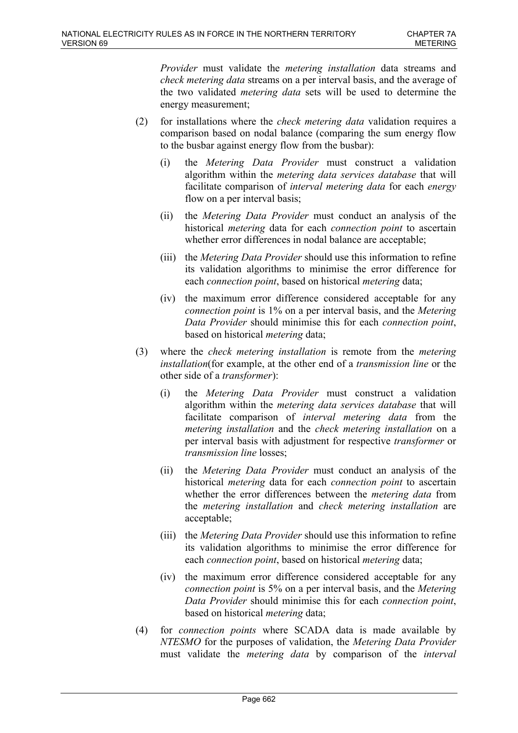*Provider* must validate the *metering installation* data streams and *check metering data* streams on a per interval basis, and the average of the two validated *metering data* sets will be used to determine the energy measurement;

- (2) for installations where the *check metering data* validation requires a comparison based on nodal balance (comparing the sum energy flow to the busbar against energy flow from the busbar):
	- (i) the *Metering Data Provider* must construct a validation algorithm within the *metering data services database* that will facilitate comparison of *interval metering data* for each *energy* flow on a per interval basis;
	- (ii) the *Metering Data Provider* must conduct an analysis of the historical *metering* data for each *connection point* to ascertain whether error differences in nodal balance are acceptable;
	- (iii) the *Metering Data Provider* should use this information to refine its validation algorithms to minimise the error difference for each *connection point*, based on historical *metering* data;
	- (iv) the maximum error difference considered acceptable for any *connection point* is 1% on a per interval basis, and the *Metering Data Provider* should minimise this for each *connection point*, based on historical *metering* data;
- (3) where the *check metering installation* is remote from the *metering installation*(for example, at the other end of a *transmission line* or the other side of a *transformer*):
	- (i) the *Metering Data Provider* must construct a validation algorithm within the *metering data services database* that will facilitate comparison of *interval metering data* from the *metering installation* and the *check metering installation* on a per interval basis with adjustment for respective *transformer* or *transmission line* losses;
	- (ii) the *Metering Data Provider* must conduct an analysis of the historical *metering* data for each *connection point* to ascertain whether the error differences between the *metering data* from the *metering installation* and *check metering installation* are acceptable;
	- (iii) the *Metering Data Provider* should use this information to refine its validation algorithms to minimise the error difference for each *connection point*, based on historical *metering* data;
	- (iv) the maximum error difference considered acceptable for any *connection point* is 5% on a per interval basis, and the *Metering Data Provider* should minimise this for each *connection point*, based on historical *metering* data;
- (4) for *connection points* where SCADA data is made available by *NTESMO* for the purposes of validation, the *Metering Data Provider* must validate the *metering data* by comparison of the *interval*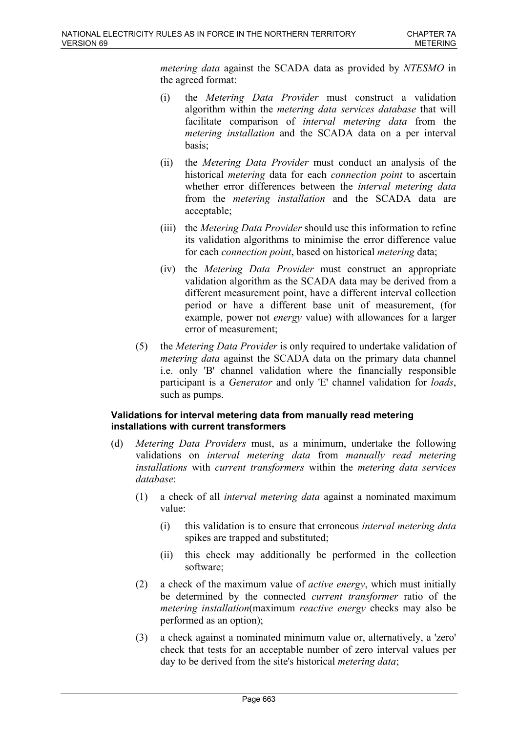*metering data* against the SCADA data as provided by *NTESMO* in the agreed format:

- (i) the *Metering Data Provider* must construct a validation algorithm within the *metering data services database* that will facilitate comparison of *interval metering data* from the *metering installation* and the SCADA data on a per interval basis;
- (ii) the *Metering Data Provider* must conduct an analysis of the historical *metering* data for each *connection point* to ascertain whether error differences between the *interval metering data* from the *metering installation* and the SCADA data are acceptable;
- (iii) the *Metering Data Provider* should use this information to refine its validation algorithms to minimise the error difference value for each *connection point*, based on historical *metering* data;
- (iv) the *Metering Data Provider* must construct an appropriate validation algorithm as the SCADA data may be derived from a different measurement point, have a different interval collection period or have a different base unit of measurement, (for example, power not *energy* value) with allowances for a larger error of measurement;
- (5) the *Metering Data Provider* is only required to undertake validation of *metering data* against the SCADA data on the primary data channel i.e. only 'B' channel validation where the financially responsible participant is a *Generator* and only 'E' channel validation for *loads*, such as pumps.

### **Validations for interval metering data from manually read metering installations with current transformers**

- (d) *Metering Data Providers* must, as a minimum, undertake the following validations on *interval metering data* from *manually read metering installations* with *current transformers* within the *metering data services database*:
	- (1) a check of all *interval metering data* against a nominated maximum value:
		- (i) this validation is to ensure that erroneous *interval metering data* spikes are trapped and substituted;
		- (ii) this check may additionally be performed in the collection software;
	- (2) a check of the maximum value of *active energy*, which must initially be determined by the connected *current transformer* ratio of the *metering installation*(maximum *reactive energy* checks may also be performed as an option);
	- (3) a check against a nominated minimum value or, alternatively, a 'zero' check that tests for an acceptable number of zero interval values per day to be derived from the site's historical *metering data*;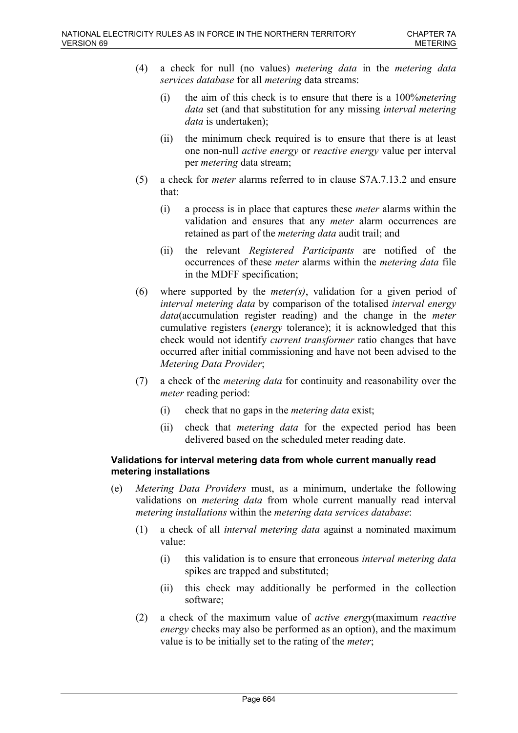- (4) a check for null (no values) *metering data* in the *metering data services database* for all *metering* data streams:
	- (i) the aim of this check is to ensure that there is a 100%*metering data* set (and that substitution for any missing *interval metering data* is undertaken);
	- (ii) the minimum check required is to ensure that there is at least one non-null *active energy* or *reactive energy* value per interval per *metering* data stream;
- (5) a check for *meter* alarms referred to in clause S7A.7.13.2 and ensure that:
	- (i) a process is in place that captures these *meter* alarms within the validation and ensures that any *meter* alarm occurrences are retained as part of the *metering data* audit trail; and
	- (ii) the relevant *Registered Participants* are notified of the occurrences of these *meter* alarms within the *metering data* file in the MDFF specification;
- (6) where supported by the *meter(s)*, validation for a given period of *interval metering data* by comparison of the totalised *interval energy data*(accumulation register reading) and the change in the *meter* cumulative registers (*energy* tolerance); it is acknowledged that this check would not identify *current transformer* ratio changes that have occurred after initial commissioning and have not been advised to the *Metering Data Provider*;
- (7) a check of the *metering data* for continuity and reasonability over the *meter* reading period:
	- (i) check that no gaps in the *metering data* exist;
	- (ii) check that *metering data* for the expected period has been delivered based on the scheduled meter reading date.

### **Validations for interval metering data from whole current manually read metering installations**

- (e) *Metering Data Providers* must, as a minimum, undertake the following validations on *metering data* from whole current manually read interval *metering installations* within the *metering data services database*:
	- (1) a check of all *interval metering data* against a nominated maximum value:
		- (i) this validation is to ensure that erroneous *interval metering data* spikes are trapped and substituted;
		- (ii) this check may additionally be performed in the collection software;
	- (2) a check of the maximum value of *active energy*(maximum *reactive energy* checks may also be performed as an option), and the maximum value is to be initially set to the rating of the *meter*;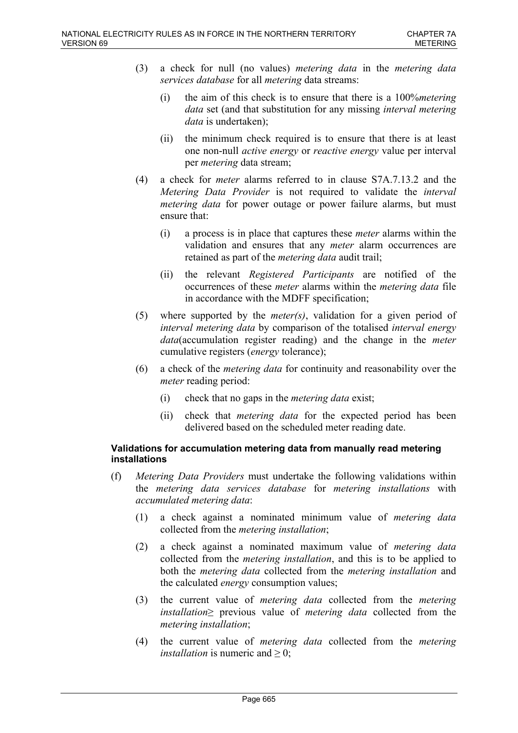- (3) a check for null (no values) *metering data* in the *metering data services database* for all *metering* data streams:
	- (i) the aim of this check is to ensure that there is a 100%*metering data* set (and that substitution for any missing *interval metering data* is undertaken);
	- (ii) the minimum check required is to ensure that there is at least one non-null *active energy* or *reactive energy* value per interval per *metering* data stream;
- (4) a check for *meter* alarms referred to in clause S7A.7.13.2 and the *Metering Data Provider* is not required to validate the *interval metering data* for power outage or power failure alarms, but must ensure that:
	- (i) a process is in place that captures these *meter* alarms within the validation and ensures that any *meter* alarm occurrences are retained as part of the *metering data* audit trail;
	- (ii) the relevant *Registered Participants* are notified of the occurrences of these *meter* alarms within the *metering data* file in accordance with the MDFF specification;
- (5) where supported by the *meter(s)*, validation for a given period of *interval metering data* by comparison of the totalised *interval energy data*(accumulation register reading) and the change in the *meter* cumulative registers (*energy* tolerance);
- (6) a check of the *metering data* for continuity and reasonability over the *meter* reading period:
	- (i) check that no gaps in the *metering data* exist;
	- (ii) check that *metering data* for the expected period has been delivered based on the scheduled meter reading date.

### **Validations for accumulation metering data from manually read metering installations**

- (f) *Metering Data Providers* must undertake the following validations within the *metering data services database* for *metering installations* with *accumulated metering data*:
	- (1) a check against a nominated minimum value of *metering data* collected from the *metering installation*;
	- (2) a check against a nominated maximum value of *metering data* collected from the *metering installation*, and this is to be applied to both the *metering data* collected from the *metering installation* and the calculated *energy* consumption values;
	- (3) the current value of *metering data* collected from the *metering installation*≥ previous value of *metering data* collected from the *metering installation*;
	- (4) the current value of *metering data* collected from the *metering installation* is numeric and  $> 0$ ;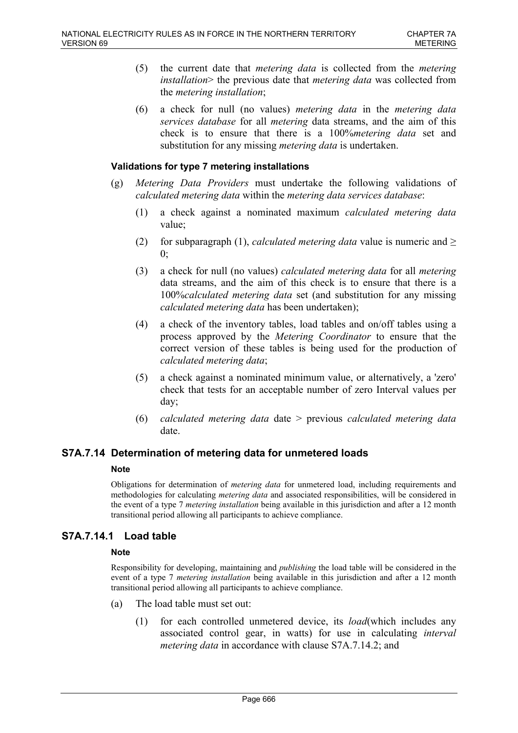- (5) the current date that *metering data* is collected from the *metering installation*> the previous date that *metering data* was collected from the *metering installation*;
- (6) a check for null (no values) *metering data* in the *metering data services database* for all *metering* data streams, and the aim of this check is to ensure that there is a 100%*metering data* set and substitution for any missing *metering data* is undertaken.

#### **Validations for type 7 metering installations**

- (g) *Metering Data Providers* must undertake the following validations of *calculated metering data* within the *metering data services database*:
	- (1) a check against a nominated maximum *calculated metering data* value;
	- (2) for subparagraph (1), *calculated metering data* value is numeric and  $\ge$  $0:$
	- (3) a check for null (no values) *calculated metering data* for all *metering* data streams, and the aim of this check is to ensure that there is a 100%*calculated metering data* set (and substitution for any missing *calculated metering data* has been undertaken);
	- (4) a check of the inventory tables, load tables and on/off tables using a process approved by the *Metering Coordinator* to ensure that the correct version of these tables is being used for the production of *calculated metering data*;
	- (5) a check against a nominated minimum value, or alternatively, a 'zero' check that tests for an acceptable number of zero Interval values per day;
	- (6) *calculated metering data* date > previous *calculated metering data* date.

### **S7A.7.14 Determination of metering data for unmetered loads**

#### **Note**

Obligations for determination of *metering data* for unmetered load, including requirements and methodologies for calculating *metering data* and associated responsibilities, will be considered in the event of a type 7 *metering installation* being available in this jurisdiction and after a 12 month transitional period allowing all participants to achieve compliance.

### **S7A.7.14.1 Load table**

#### **Note**

Responsibility for developing, maintaining and *publishing* the load table will be considered in the event of a type 7 *metering installation* being available in this jurisdiction and after a 12 month transitional period allowing all participants to achieve compliance.

- (a) The load table must set out:
	- (1) for each controlled unmetered device, its *load*(which includes any associated control gear, in watts) for use in calculating *interval metering data* in accordance with clause S7A.7.14.2; and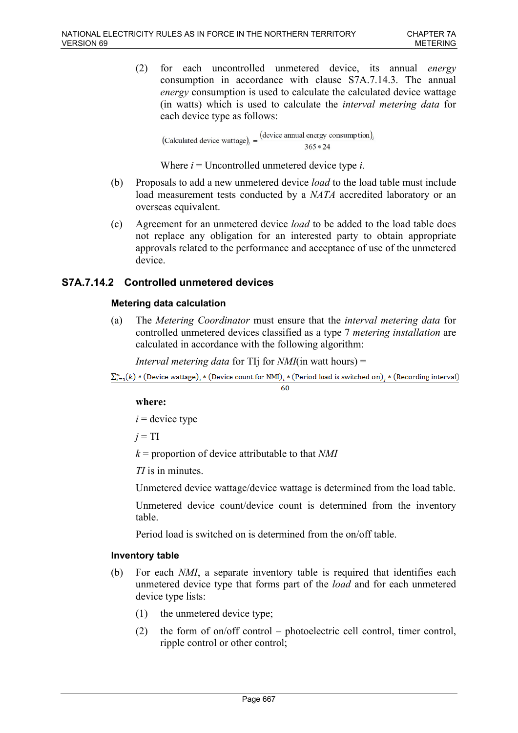(2) for each uncontrolled unmetered device, its annual *energy* consumption in accordance with clause S7A.7.14.3. The annual *energy* consumption is used to calculate the calculated device wattage (in watts) which is used to calculate the *interval metering data* for each device type as follows:

(Calculated device wattage)<sub>i</sub> =  $\frac{(\text{device annual energy consumption})_i}{365 * 24}$  $365 * 24$ 

Where *i* = Uncontrolled unmetered device type *i*.

- (b) Proposals to add a new unmetered device *load* to the load table must include load measurement tests conducted by a *NATA* accredited laboratory or an overseas equivalent.
- (c) Agreement for an unmetered device *load* to be added to the load table does not replace any obligation for an interested party to obtain appropriate approvals related to the performance and acceptance of use of the unmetered device.

# **S7A.7.14.2 Controlled unmetered devices**

## **Metering data calculation**

(a) The *Metering Coordinator* must ensure that the *interval metering data* for controlled unmetered devices classified as a type 7 *metering installation* are calculated in accordance with the following algorithm:

*Interval metering data* for TIj for *NMI*(in watt hours) =

```
\sum_{i=1}^{n}(k)*( Device wattage), * (Device count for NMI), * (Period load is switched on), * (Recording interval)
```
#### 60

### **where:**

 $i =$  device type

 $j = TI$ 

*k* = proportion of device attributable to that *NMI*

*TI* is in minutes.

Unmetered device wattage/device wattage is determined from the load table.

Unmetered device count/device count is determined from the inventory table.

Period load is switched on is determined from the on/off table.

### **Inventory table**

- (b) For each *NMI*, a separate inventory table is required that identifies each unmetered device type that forms part of the *load* and for each unmetered device type lists:
	- (1) the unmetered device type;
	- (2) the form of on/off control photoelectric cell control, timer control, ripple control or other control;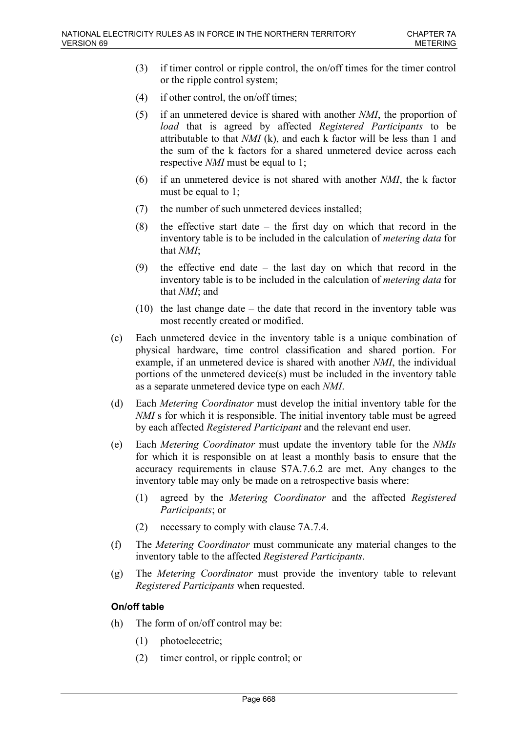- (3) if timer control or ripple control, the on/off times for the timer control or the ripple control system;
- (4) if other control, the on/off times;
- (5) if an unmetered device is shared with another *NMI*, the proportion of *load* that is agreed by affected *Registered Participants* to be attributable to that *NMI* (k), and each k factor will be less than 1 and the sum of the k factors for a shared unmetered device across each respective *NMI* must be equal to 1;
- (6) if an unmetered device is not shared with another *NMI*, the k factor must be equal to 1;
- (7) the number of such unmetered devices installed;
- (8) the effective start date the first day on which that record in the inventory table is to be included in the calculation of *metering data* for that *NMI*;
- (9) the effective end date the last day on which that record in the inventory table is to be included in the calculation of *metering data* for that *NMI*; and
- (10) the last change date the date that record in the inventory table was most recently created or modified.
- (c) Each unmetered device in the inventory table is a unique combination of physical hardware, time control classification and shared portion. For example, if an unmetered device is shared with another *NMI*, the individual portions of the unmetered device(s) must be included in the inventory table as a separate unmetered device type on each *NMI*.
- (d) Each *Metering Coordinator* must develop the initial inventory table for the *NMI* s for which it is responsible. The initial inventory table must be agreed by each affected *Registered Participant* and the relevant end user.
- (e) Each *Metering Coordinator* must update the inventory table for the *NMIs* for which it is responsible on at least a monthly basis to ensure that the accuracy requirements in clause S7A.7.6.2 are met. Any changes to the inventory table may only be made on a retrospective basis where:
	- (1) agreed by the *Metering Coordinator* and the affected *Registered Participants*; or
	- (2) necessary to comply with clause 7A.7.4.
- (f) The *Metering Coordinator* must communicate any material changes to the inventory table to the affected *Registered Participants*.
- (g) The *Metering Coordinator* must provide the inventory table to relevant *Registered Participants* when requested.

## **On/off table**

- (h) The form of on/off control may be:
	- (1) photoelecetric;
	- (2) timer control, or ripple control; or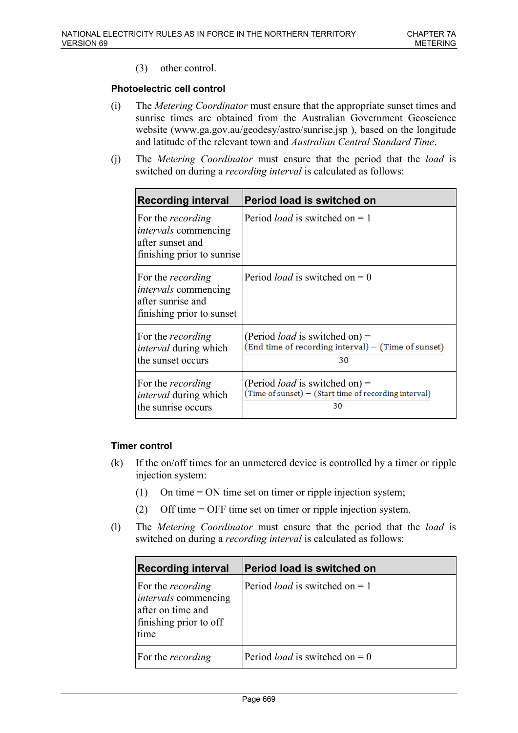(3) other control.

## **Photoelectric cell control**

- (i) The *Metering Coordinator* must ensure that the appropriate sunset times and sunrise times are obtained from the Australian Government Geoscience website (www.ga.gov.au/geodesy/astro/sunrise.jsp ), based on the longitude and latitude of the relevant town and *Australian Central Standard Time*.
- (j) The *Metering Coordinator* must ensure that the period that the *load* is switched on during a *recording interval* is calculated as follows:

| <b>Recording interval</b>                                                                                 | <b>Period load is switched on</b>                                                                    |
|-----------------------------------------------------------------------------------------------------------|------------------------------------------------------------------------------------------------------|
| For the <i>recording</i><br><i>intervals</i> commencing<br>after sunset and<br>finishing prior to sunrise | Period <i>load</i> is switched on $= 1$                                                              |
| For the <i>recording</i><br><i>intervals</i> commencing<br>after sunrise and<br>finishing prior to sunset | Period <i>load</i> is switched on $= 0$                                                              |
| For the <i>recording</i><br><i>interval</i> during which<br>the sunset occurs                             | (Period <i>load</i> is switched on) =<br>(End time of recording interval) - (Time of sunset)<br>30   |
| For the <i>recording</i><br><i>interval</i> during which<br>the sunrise occurs                            | (Period <i>load</i> is switched on) =<br>(Time of sunset) - (Start time of recording interval)<br>30 |

### **Timer control**

- (k) If the on/off times for an unmetered device is controlled by a timer or ripple injection system:
	- (1) On time = ON time set on timer or ripple injection system;
	- (2) Off time = OFF time set on timer or ripple injection system.
- (l) The *Metering Coordinator* must ensure that the period that the *load* is switched on during a *recording interval* is calculated as follows:

| <b>Recording interval</b>                                                                                      | Period load is switched on              |
|----------------------------------------------------------------------------------------------------------------|-----------------------------------------|
| For the <i>recording</i><br><i>intervals</i> commencing<br>after on time and<br>finishing prior to off<br>time | Period <i>load</i> is switched on $= 1$ |
| For the <i>recording</i>                                                                                       | Period <i>load</i> is switched on $= 0$ |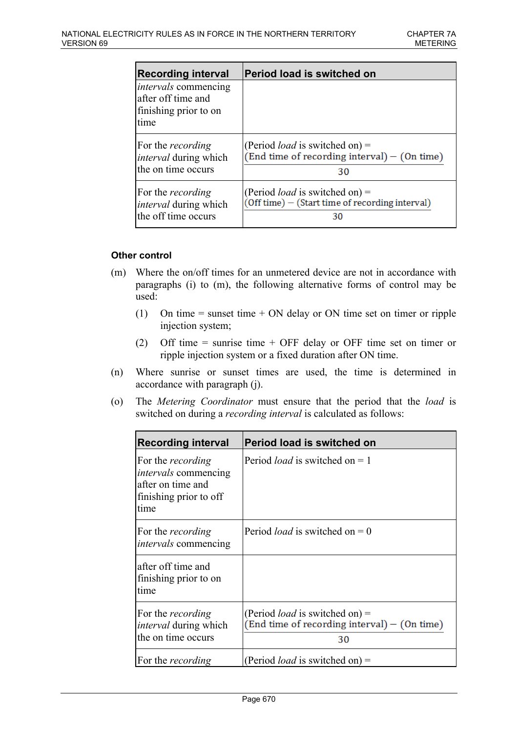| Recording interval                                                                 | Period load is switched on                      |
|------------------------------------------------------------------------------------|-------------------------------------------------|
| <i>intervals</i> commencing<br>after off time and<br>finishing prior to on<br>time |                                                 |
| For the <i>recording</i>                                                           | (Period <i>load</i> is switched on) =           |
| <i>interval</i> during which                                                       | $(End time of recording interval) - (On time)$  |
| the on time occurs                                                                 | 30                                              |
| For the <i>recording</i>                                                           | (Period <i>load</i> is switched on) =           |
| <i>interval</i> during which                                                       | (Off time) – (Start time of recording interval) |
| the off time occurs                                                                | 30                                              |

### **Other control**

- (m) Where the on/off times for an unmetered device are not in accordance with paragraphs (i) to (m), the following alternative forms of control may be used:
	- (1) On time = sunset time + ON delay or ON time set on timer or ripple injection system;
	- (2) Off time = sunrise time + OFF delay or OFF time set on timer or ripple injection system or a fixed duration after ON time.
- (n) Where sunrise or sunset times are used, the time is determined in accordance with paragraph (j).
- (o) The *Metering Coordinator* must ensure that the period that the *load* is switched on during a *recording interval* is calculated as follows:

| <b>Recording interval</b>                                                                                        | <b>Period load is switched on</b>                                                             |
|------------------------------------------------------------------------------------------------------------------|-----------------------------------------------------------------------------------------------|
| For the <i>recording</i><br><i>intervals</i> commencing<br>lafter on time and<br>finishing prior to off<br>ltime | Period <i>load</i> is switched on $= 1$                                                       |
| For the <i>recording</i><br><i>intervals</i> commencing                                                          | Period <i>load</i> is switched on $= 0$                                                       |
| lafter off time and<br>finishing prior to on<br>Itime                                                            |                                                                                               |
| For the <i>recording</i><br><i>interval</i> during which<br>the on time occurs                                   | (Period <i>load</i> is switched on) =<br>$(End time of recording interval) - (On time)$<br>30 |
| For the <i>recording</i>                                                                                         | (Period <i>load</i> is switched on) =                                                         |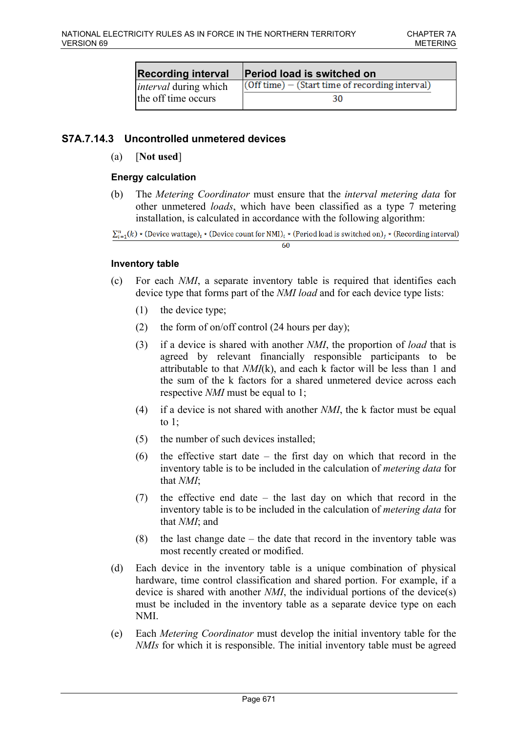| <b>Recording interval</b>    | <b>Period load is switched on</b>                 |
|------------------------------|---------------------------------------------------|
| <i>interval</i> during which | $(Off time) - (Start time of recording interval)$ |
| the off time occurs          | 30                                                |

# **S7A.7.14.3 Uncontrolled unmetered devices**

(a) [**Not used**]

## **Energy calculation**

(b) The *Metering Coordinator* must ensure that the *interval metering data* for other unmetered *loads*, which have been classified as a type 7 metering installation, is calculated in accordance with the following algorithm:

 $\sum_{i=1}^{n} (k)$  \* (Device wattage), \* (Device count for NMI), \* (Period load is switched on), \* (Recording interval) 60

### **Inventory table**

- (c) For each *NMI*, a separate inventory table is required that identifies each device type that forms part of the *NMI load* and for each device type lists:
	- (1) the device type;
	- (2) the form of on/off control (24 hours per day);
	- (3) if a device is shared with another *NMI*, the proportion of *load* that is agreed by relevant financially responsible participants to be attributable to that *NMI*(k), and each k factor will be less than 1 and the sum of the k factors for a shared unmetered device across each respective *NMI* must be equal to 1;
	- (4) if a device is not shared with another *NMI*, the k factor must be equal to 1;
	- (5) the number of such devices installed;
	- (6) the effective start date the first day on which that record in the inventory table is to be included in the calculation of *metering data* for that *NMI*;
	- (7) the effective end date the last day on which that record in the inventory table is to be included in the calculation of *metering data* for that *NMI*; and
	- (8) the last change date the date that record in the inventory table was most recently created or modified.
- (d) Each device in the inventory table is a unique combination of physical hardware, time control classification and shared portion. For example, if a device is shared with another *NMI*, the individual portions of the device(s) must be included in the inventory table as a separate device type on each NMI.
- (e) Each *Metering Coordinator* must develop the initial inventory table for the *NMIs* for which it is responsible. The initial inventory table must be agreed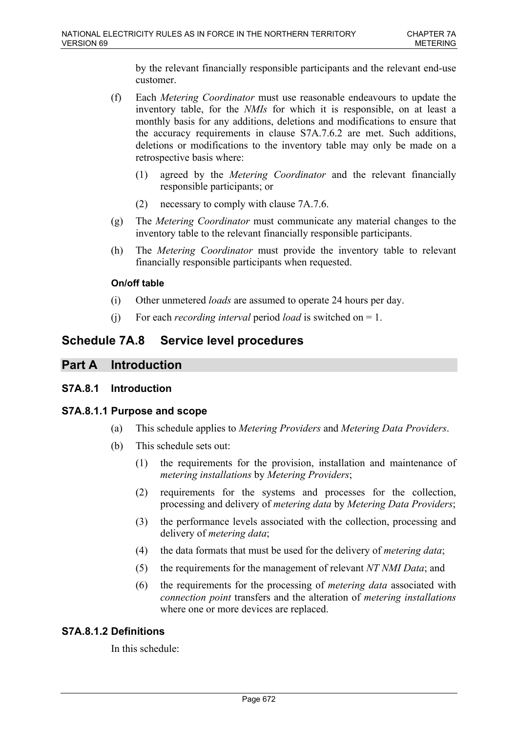by the relevant financially responsible participants and the relevant end-use customer.

- (f) Each *Metering Coordinator* must use reasonable endeavours to update the inventory table, for the *NMIs* for which it is responsible, on at least a monthly basis for any additions, deletions and modifications to ensure that the accuracy requirements in clause S7A.7.6.2 are met. Such additions, deletions or modifications to the inventory table may only be made on a retrospective basis where:
	- (1) agreed by the *Metering Coordinator* and the relevant financially responsible participants; or
	- (2) necessary to comply with clause 7A.7.6.
- (g) The *Metering Coordinator* must communicate any material changes to the inventory table to the relevant financially responsible participants.
- (h) The *Metering Coordinator* must provide the inventory table to relevant financially responsible participants when requested.

## **On/off table**

- (i) Other unmetered *loads* are assumed to operate 24 hours per day.
- (j) For each *recording interval* period *load* is switched on = 1.

# **Schedule 7A.8 Service level procedures**

# **Part A Introduction**

## **S7A.8.1 Introduction**

## **S7A.8.1.1 Purpose and scope**

- (a) This schedule applies to *Metering Providers* and *Metering Data Providers*.
- (b) This schedule sets out:
	- (1) the requirements for the provision, installation and maintenance of *metering installations* by *Metering Providers*;
	- (2) requirements for the systems and processes for the collection, processing and delivery of *metering data* by *Metering Data Providers*;
	- (3) the performance levels associated with the collection, processing and delivery of *metering data*;
	- (4) the data formats that must be used for the delivery of *metering data*;
	- (5) the requirements for the management of relevant *NT NMI Data*; and
	- (6) the requirements for the processing of *metering data* associated with *connection point* transfers and the alteration of *metering installations* where one or more devices are replaced.

## **S7A.8.1.2 Definitions**

In this schedule: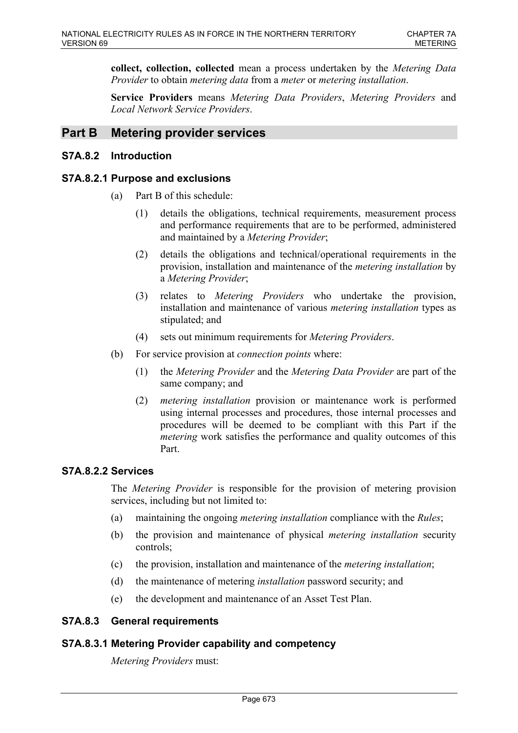**collect, collection, collected** mean a process undertaken by the *Metering Data Provider* to obtain *metering data* from a *meter* or *metering installation*.

**Service Providers** means *Metering Data Providers*, *Metering Providers* and *Local Network Service Providers*.

# **Part B Metering provider services**

## **S7A.8.2 Introduction**

## **S7A.8.2.1 Purpose and exclusions**

- (a) Part B of this schedule:
	- (1) details the obligations, technical requirements, measurement process and performance requirements that are to be performed, administered and maintained by a *Metering Provider*;
	- (2) details the obligations and technical/operational requirements in the provision, installation and maintenance of the *metering installation* by a *Metering Provider*;
	- (3) relates to *Metering Providers* who undertake the provision, installation and maintenance of various *metering installation* types as stipulated; and
	- (4) sets out minimum requirements for *Metering Providers*.
- (b) For service provision at *connection points* where:
	- (1) the *Metering Provider* and the *Metering Data Provider* are part of the same company; and
	- (2) *metering installation* provision or maintenance work is performed using internal processes and procedures, those internal processes and procedures will be deemed to be compliant with this Part if the *metering* work satisfies the performance and quality outcomes of this Part.

### **S7A.8.2.2 Services**

The *Metering Provider* is responsible for the provision of metering provision services, including but not limited to:

- (a) maintaining the ongoing *metering installation* compliance with the *Rules*;
- (b) the provision and maintenance of physical *metering installation* security controls;
- (c) the provision, installation and maintenance of the *metering installation*;
- (d) the maintenance of metering *installation* password security; and
- (e) the development and maintenance of an Asset Test Plan.

### **S7A.8.3 General requirements**

### **S7A.8.3.1 Metering Provider capability and competency**

*Metering Providers* must: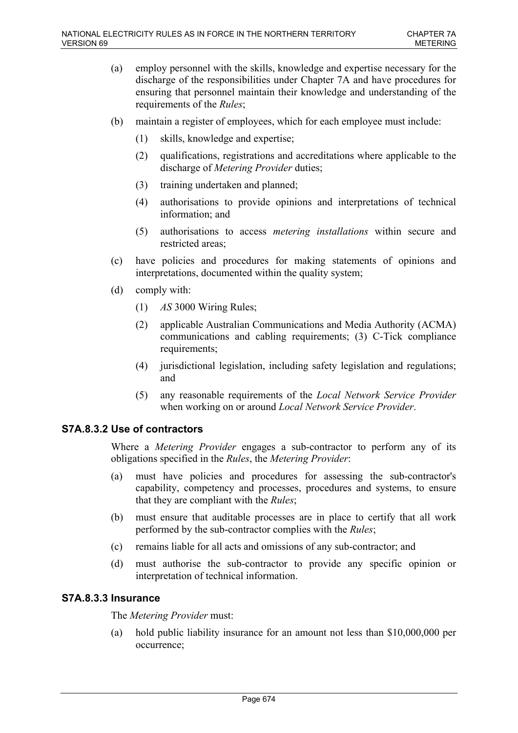- (a) employ personnel with the skills, knowledge and expertise necessary for the discharge of the responsibilities under Chapter 7A and have procedures for ensuring that personnel maintain their knowledge and understanding of the requirements of the *Rules*;
- (b) maintain a register of employees, which for each employee must include:
	- (1) skills, knowledge and expertise;
	- (2) qualifications, registrations and accreditations where applicable to the discharge of *Metering Provider* duties;
	- (3) training undertaken and planned;
	- (4) authorisations to provide opinions and interpretations of technical information; and
	- (5) authorisations to access *metering installations* within secure and restricted areas;
- (c) have policies and procedures for making statements of opinions and interpretations, documented within the quality system;
- (d) comply with:
	- (1) *AS* 3000 Wiring Rules;
	- (2) applicable Australian Communications and Media Authority (ACMA) communications and cabling requirements; (3) C-Tick compliance requirements;
	- (4) jurisdictional legislation, including safety legislation and regulations; and
	- (5) any reasonable requirements of the *Local Network Service Provider* when working on or around *Local Network Service Provider*.

### **S7A.8.3.2 Use of contractors**

Where a *Metering Provider* engages a sub-contractor to perform any of its obligations specified in the *Rules*, the *Metering Provider*:

- (a) must have policies and procedures for assessing the sub-contractor's capability, competency and processes, procedures and systems, to ensure that they are compliant with the *Rules*;
- (b) must ensure that auditable processes are in place to certify that all work performed by the sub-contractor complies with the *Rules*;
- (c) remains liable for all acts and omissions of any sub-contractor; and
- (d) must authorise the sub-contractor to provide any specific opinion or interpretation of technical information.

### **S7A.8.3.3 Insurance**

The *Metering Provider* must:

(a) hold public liability insurance for an amount not less than \$10,000,000 per occurrence;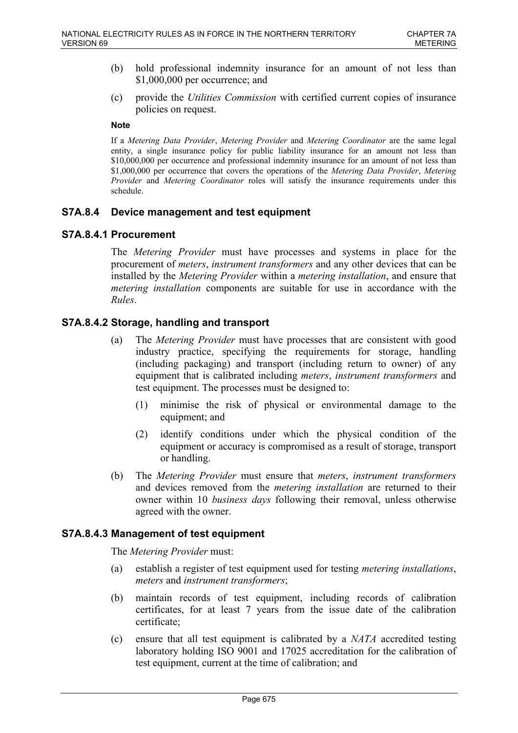- (b) hold professional indemnity insurance for an amount of not less than \$1,000,000 per occurrence; and
- (c) provide the *Utilities Commission* with certified current copies of insurance policies on request.

#### **Note**

If a *Metering Data Provider*, *Metering Provider* and *Metering Coordinator* are the same legal entity, a single insurance policy for public liability insurance for an amount not less than \$10,000,000 per occurrence and professional indemnity insurance for an amount of not less than \$1,000,000 per occurrence that covers the operations of the *Metering Data Provider*, *Metering Provider* and *Metering Coordinator* roles will satisfy the insurance requirements under this schedule.

### **S7A.8.4 Device management and test equipment**

## **S7A.8.4.1 Procurement**

The *Metering Provider* must have processes and systems in place for the procurement of *meters*, *instrument transformers* and any other devices that can be installed by the *Metering Provider* within a *metering installation*, and ensure that *metering installation* components are suitable for use in accordance with the *Rules*.

## **S7A.8.4.2 Storage, handling and transport**

- (a) The *Metering Provider* must have processes that are consistent with good industry practice, specifying the requirements for storage, handling (including packaging) and transport (including return to owner) of any equipment that is calibrated including *meters*, *instrument transformers* and test equipment. The processes must be designed to:
	- (1) minimise the risk of physical or environmental damage to the equipment; and
	- (2) identify conditions under which the physical condition of the equipment or accuracy is compromised as a result of storage, transport or handling.
- (b) The *Metering Provider* must ensure that *meters*, *instrument transformers* and devices removed from the *metering installation* are returned to their owner within 10 *business days* following their removal, unless otherwise agreed with the owner.

### **S7A.8.4.3 Management of test equipment**

The *Metering Provider* must:

- (a) establish a register of test equipment used for testing *metering installations*, *meters* and *instrument transformers*;
- (b) maintain records of test equipment, including records of calibration certificates, for at least 7 years from the issue date of the calibration certificate;
- (c) ensure that all test equipment is calibrated by a *NATA* accredited testing laboratory holding ISO 9001 and 17025 accreditation for the calibration of test equipment, current at the time of calibration; and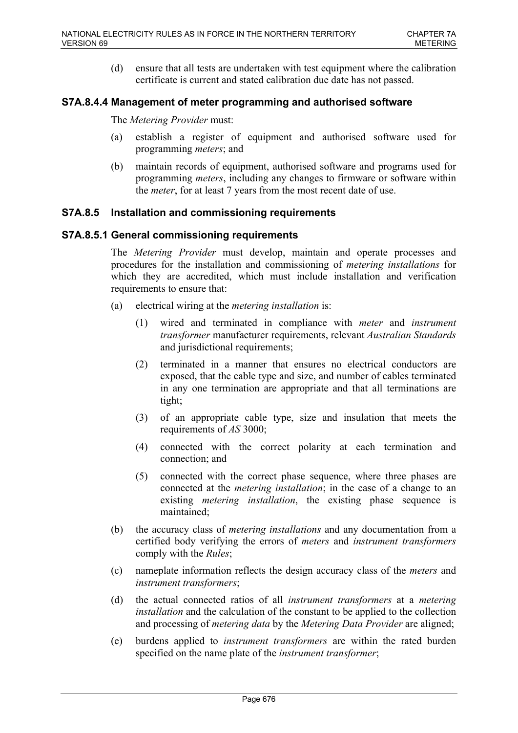(d) ensure that all tests are undertaken with test equipment where the calibration certificate is current and stated calibration due date has not passed.

# **S7A.8.4.4 Management of meter programming and authorised software**

The *Metering Provider* must:

- (a) establish a register of equipment and authorised software used for programming *meters*; and
- (b) maintain records of equipment, authorised software and programs used for programming *meters*, including any changes to firmware or software within the *meter*, for at least 7 years from the most recent date of use.

## **S7A.8.5 Installation and commissioning requirements**

## **S7A.8.5.1 General commissioning requirements**

The *Metering Provider* must develop, maintain and operate processes and procedures for the installation and commissioning of *metering installations* for which they are accredited, which must include installation and verification requirements to ensure that:

- (a) electrical wiring at the *metering installation* is:
	- (1) wired and terminated in compliance with *meter* and *instrument transformer* manufacturer requirements, relevant *Australian Standards* and jurisdictional requirements;
	- (2) terminated in a manner that ensures no electrical conductors are exposed, that the cable type and size, and number of cables terminated in any one termination are appropriate and that all terminations are tight;
	- (3) of an appropriate cable type, size and insulation that meets the requirements of *AS* 3000;
	- (4) connected with the correct polarity at each termination and connection; and
	- (5) connected with the correct phase sequence, where three phases are connected at the *metering installation*; in the case of a change to an existing *metering installation*, the existing phase sequence is maintained;
- (b) the accuracy class of *metering installations* and any documentation from a certified body verifying the errors of *meters* and *instrument transformers* comply with the *Rules*;
- (c) nameplate information reflects the design accuracy class of the *meters* and *instrument transformers*;
- (d) the actual connected ratios of all *instrument transformers* at a *metering installation* and the calculation of the constant to be applied to the collection and processing of *metering data* by the *Metering Data Provider* are aligned;
- (e) burdens applied to *instrument transformers* are within the rated burden specified on the name plate of the *instrument transformer*;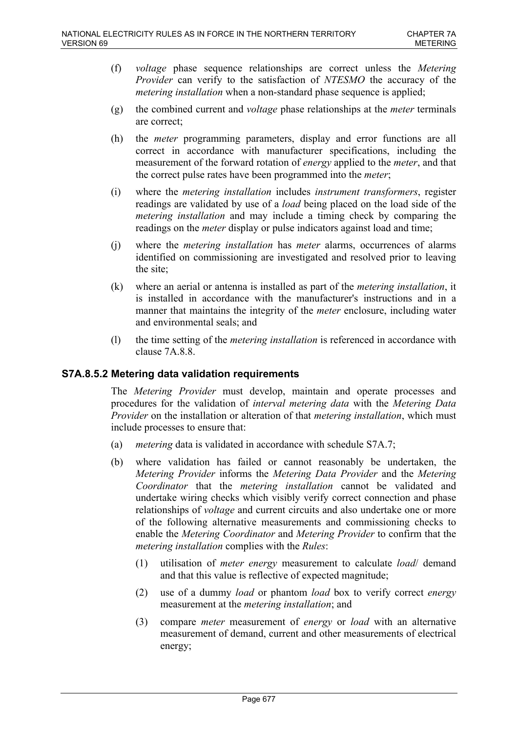- (f) *voltage* phase sequence relationships are correct unless the *Metering Provider* can verify to the satisfaction of *NTESMO* the accuracy of the *metering installation* when a non-standard phase sequence is applied;
- (g) the combined current and *voltage* phase relationships at the *meter* terminals are correct;
- (h) the *meter* programming parameters, display and error functions are all correct in accordance with manufacturer specifications, including the measurement of the forward rotation of *energy* applied to the *meter*, and that the correct pulse rates have been programmed into the *meter*;
- (i) where the *metering installation* includes *instrument transformers*, register readings are validated by use of a *load* being placed on the load side of the *metering installation* and may include a timing check by comparing the readings on the *meter* display or pulse indicators against load and time;
- (j) where the *metering installation* has *meter* alarms, occurrences of alarms identified on commissioning are investigated and resolved prior to leaving the site;
- (k) where an aerial or antenna is installed as part of the *metering installation*, it is installed in accordance with the manufacturer's instructions and in a manner that maintains the integrity of the *meter* enclosure, including water and environmental seals; and
- (l) the time setting of the *metering installation* is referenced in accordance with clause 7A.8.8.

## **S7A.8.5.2 Metering data validation requirements**

The *Metering Provider* must develop, maintain and operate processes and procedures for the validation of *interval metering data* with the *Metering Data Provider* on the installation or alteration of that *metering installation*, which must include processes to ensure that:

- (a) *metering* data is validated in accordance with schedule S7A.7;
- (b) where validation has failed or cannot reasonably be undertaken, the *Metering Provider* informs the *Metering Data Provider* and the *Metering Coordinator* that the *metering installation* cannot be validated and undertake wiring checks which visibly verify correct connection and phase relationships of *voltage* and current circuits and also undertake one or more of the following alternative measurements and commissioning checks to enable the *Metering Coordinator* and *Metering Provider* to confirm that the *metering installation* complies with the *Rules*:
	- (1) utilisation of *meter energy* measurement to calculate *load*/ demand and that this value is reflective of expected magnitude;
	- (2) use of a dummy *load* or phantom *load* box to verify correct *energy* measurement at the *metering installation*; and
	- (3) compare *meter* measurement of *energy* or *load* with an alternative measurement of demand, current and other measurements of electrical energy;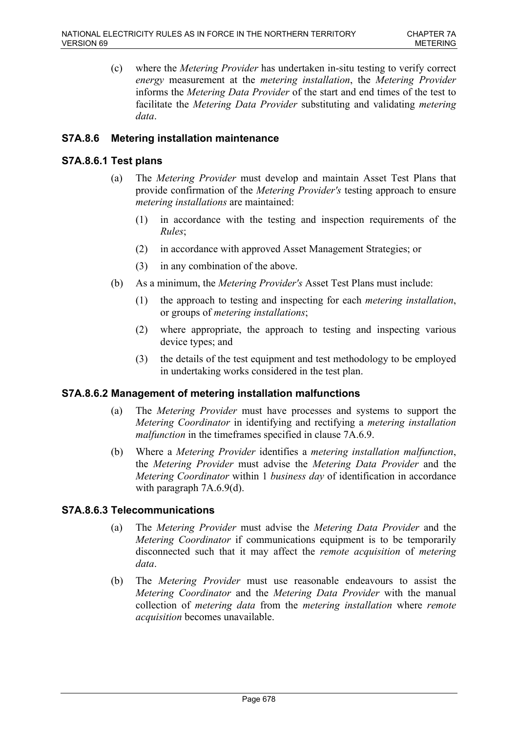(c) where the *Metering Provider* has undertaken in-situ testing to verify correct *energy* measurement at the *metering installation*, the *Metering Provider* informs the *Metering Data Provider* of the start and end times of the test to facilitate the *Metering Data Provider* substituting and validating *metering data*.

## **S7A.8.6 Metering installation maintenance**

## **S7A.8.6.1 Test plans**

- (a) The *Metering Provider* must develop and maintain Asset Test Plans that provide confirmation of the *Metering Provider's* testing approach to ensure *metering installations* are maintained:
	- (1) in accordance with the testing and inspection requirements of the *Rules*;
	- (2) in accordance with approved Asset Management Strategies; or
	- (3) in any combination of the above.
- (b) As a minimum, the *Metering Provider's* Asset Test Plans must include:
	- (1) the approach to testing and inspecting for each *metering installation*, or groups of *metering installations*;
	- (2) where appropriate, the approach to testing and inspecting various device types; and
	- (3) the details of the test equipment and test methodology to be employed in undertaking works considered in the test plan.

## **S7A.8.6.2 Management of metering installation malfunctions**

- (a) The *Metering Provider* must have processes and systems to support the *Metering Coordinator* in identifying and rectifying a *metering installation malfunction* in the timeframes specified in clause 7A.6.9.
- (b) Where a *Metering Provider* identifies a *metering installation malfunction*, the *Metering Provider* must advise the *Metering Data Provider* and the *Metering Coordinator* within 1 *business day* of identification in accordance with paragraph 7A.6.9(d).

### **S7A.8.6.3 Telecommunications**

- (a) The *Metering Provider* must advise the *Metering Data Provider* and the *Metering Coordinator* if communications equipment is to be temporarily disconnected such that it may affect the *remote acquisition* of *metering data*.
- (b) The *Metering Provider* must use reasonable endeavours to assist the *Metering Coordinator* and the *Metering Data Provider* with the manual collection of *metering data* from the *metering installation* where *remote acquisition* becomes unavailable.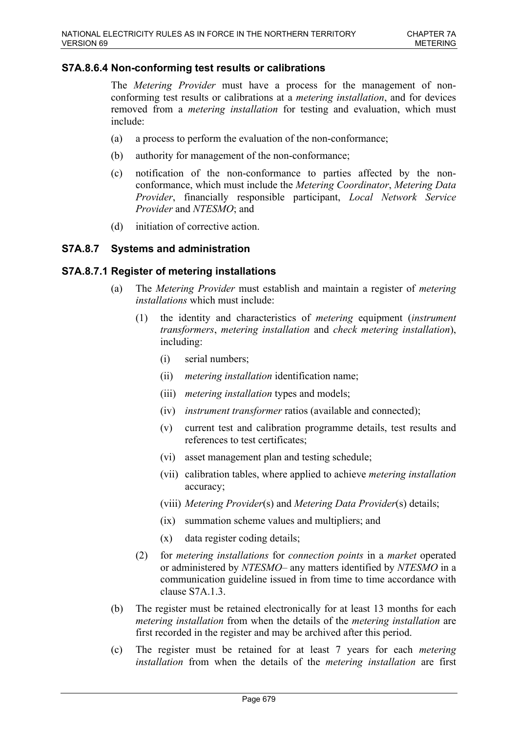### **S7A.8.6.4 Non-conforming test results or calibrations**

The *Metering Provider* must have a process for the management of nonconforming test results or calibrations at a *metering installation*, and for devices removed from a *metering installation* for testing and evaluation, which must include:

- (a) a process to perform the evaluation of the non-conformance;
- (b) authority for management of the non-conformance;
- (c) notification of the non-conformance to parties affected by the nonconformance, which must include the *Metering Coordinator*, *Metering Data Provider*, financially responsible participant, *Local Network Service Provider* and *NTESMO*; and
- (d) initiation of corrective action.

### **S7A.8.7 Systems and administration**

### **S7A.8.7.1 Register of metering installations**

- (a) The *Metering Provider* must establish and maintain a register of *metering installations* which must include:
	- (1) the identity and characteristics of *metering* equipment (*instrument transformers*, *metering installation* and *check metering installation*), including:
		- (i) serial numbers;
		- (ii) *metering installation* identification name;
		- (iii) *metering installation* types and models;
		- (iv) *instrument transformer* ratios (available and connected);
		- (v) current test and calibration programme details, test results and references to test certificates;
		- (vi) asset management plan and testing schedule;
		- (vii) calibration tables, where applied to achieve *metering installation* accuracy;
		- (viii) *Metering Provider*(s) and *Metering Data Provider*(s) details;
		- (ix) summation scheme values and multipliers; and
		- (x) data register coding details;
	- (2) for *metering installations* for *connection points* in a *market* operated or administered by *NTESMO*– any matters identified by *NTESMO* in a communication guideline issued in from time to time accordance with clause S7A 1.3.
- (b) The register must be retained electronically for at least 13 months for each *metering installation* from when the details of the *metering installation* are first recorded in the register and may be archived after this period.
- (c) The register must be retained for at least 7 years for each *metering installation* from when the details of the *metering installation* are first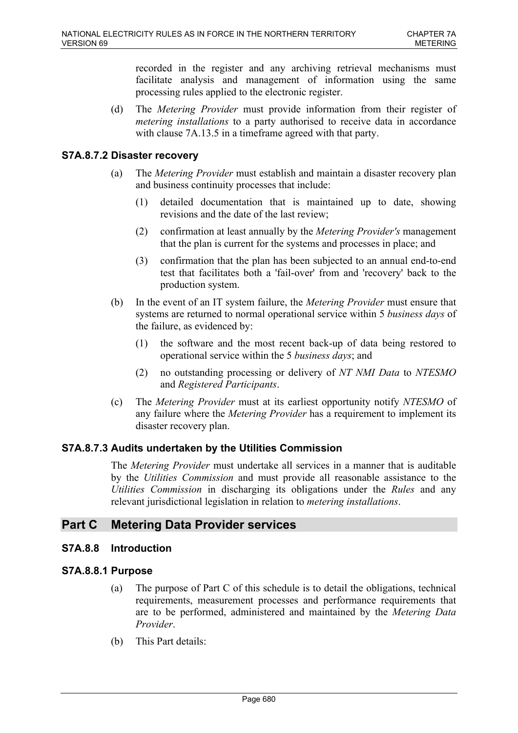recorded in the register and any archiving retrieval mechanisms must facilitate analysis and management of information using the same processing rules applied to the electronic register.

(d) The *Metering Provider* must provide information from their register of *metering installations* to a party authorised to receive data in accordance with clause 7A.13.5 in a timeframe agreed with that party.

# **S7A.8.7.2 Disaster recovery**

- (a) The *Metering Provider* must establish and maintain a disaster recovery plan and business continuity processes that include:
	- (1) detailed documentation that is maintained up to date, showing revisions and the date of the last review;
	- (2) confirmation at least annually by the *Metering Provider's* management that the plan is current for the systems and processes in place; and
	- (3) confirmation that the plan has been subjected to an annual end-to-end test that facilitates both a 'fail-over' from and 'recovery' back to the production system.
- (b) In the event of an IT system failure, the *Metering Provider* must ensure that systems are returned to normal operational service within 5 *business days* of the failure, as evidenced by:
	- (1) the software and the most recent back-up of data being restored to operational service within the 5 *business days*; and
	- (2) no outstanding processing or delivery of *NT NMI Data* to *NTESMO* and *Registered Participants*.
- (c) The *Metering Provider* must at its earliest opportunity notify *NTESMO* of any failure where the *Metering Provider* has a requirement to implement its disaster recovery plan.

## **S7A.8.7.3 Audits undertaken by the Utilities Commission**

The *Metering Provider* must undertake all services in a manner that is auditable by the *Utilities Commission* and must provide all reasonable assistance to the *Utilities Commission* in discharging its obligations under the *Rules* and any relevant jurisdictional legislation in relation to *metering installations*.

# **Part C Metering Data Provider services**

## **S7A.8.8 Introduction**

## **S7A.8.8.1 Purpose**

- (a) The purpose of Part C of this schedule is to detail the obligations, technical requirements, measurement processes and performance requirements that are to be performed, administered and maintained by the *Metering Data Provider*.
- (b) This Part details: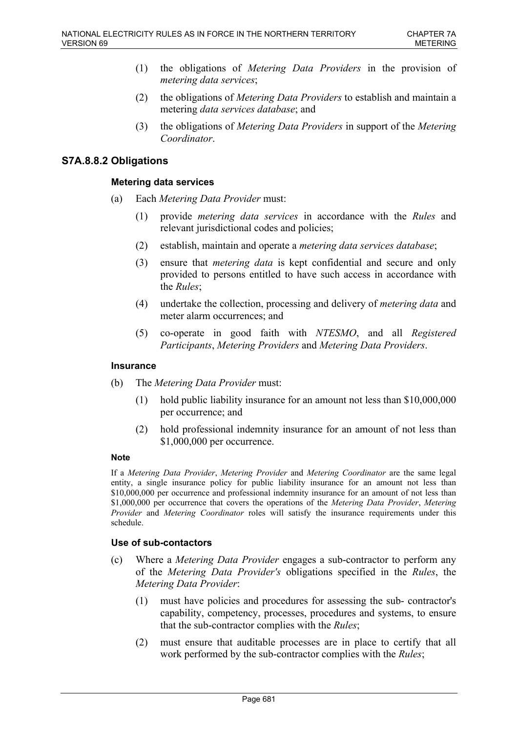- (1) the obligations of *Metering Data Providers* in the provision of *metering data services*;
- (2) the obligations of *Metering Data Providers* to establish and maintain a metering *data services database*; and
- (3) the obligations of *Metering Data Providers* in support of the *Metering Coordinator*.

## **S7A.8.8.2 Obligations**

#### **Metering data services**

- (a) Each *Metering Data Provider* must:
	- (1) provide *metering data services* in accordance with the *Rules* and relevant jurisdictional codes and policies;
	- (2) establish, maintain and operate a *metering data services database*;
	- (3) ensure that *metering data* is kept confidential and secure and only provided to persons entitled to have such access in accordance with the *Rules*;
	- (4) undertake the collection, processing and delivery of *metering data* and meter alarm occurrences; and
	- (5) co-operate in good faith with *NTESMO*, and all *Registered Participants*, *Metering Providers* and *Metering Data Providers*.

#### **Insurance**

- (b) The *Metering Data Provider* must:
	- (1) hold public liability insurance for an amount not less than \$10,000,000 per occurrence; and
	- (2) hold professional indemnity insurance for an amount of not less than \$1,000,000 per occurrence.

#### **Note**

If a *Metering Data Provider*, *Metering Provider* and *Metering Coordinator* are the same legal entity, a single insurance policy for public liability insurance for an amount not less than \$10,000,000 per occurrence and professional indemnity insurance for an amount of not less than \$1,000,000 per occurrence that covers the operations of the *Metering Data Provider*, *Metering Provider* and *Metering Coordinator* roles will satisfy the insurance requirements under this schedule.

#### **Use of sub-contactors**

- (c) Where a *Metering Data Provider* engages a sub-contractor to perform any of the *Metering Data Provider's* obligations specified in the *Rules*, the *Metering Data Provider*:
	- (1) must have policies and procedures for assessing the sub- contractor's capability, competency, processes, procedures and systems, to ensure that the sub-contractor complies with the *Rules*;
	- (2) must ensure that auditable processes are in place to certify that all work performed by the sub-contractor complies with the *Rules*;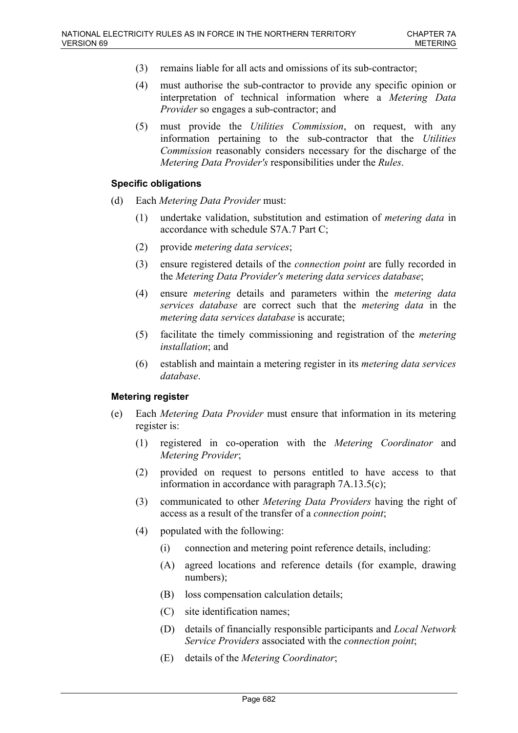- (3) remains liable for all acts and omissions of its sub-contractor;
- (4) must authorise the sub-contractor to provide any specific opinion or interpretation of technical information where a *Metering Data Provider* so engages a sub-contractor; and
- (5) must provide the *Utilities Commission*, on request, with any information pertaining to the sub-contractor that the *Utilities Commission* reasonably considers necessary for the discharge of the *Metering Data Provider's* responsibilities under the *Rules*.

### **Specific obligations**

- (d) Each *Metering Data Provider* must:
	- (1) undertake validation, substitution and estimation of *metering data* in accordance with schedule S7A.7 Part C;
	- (2) provide *metering data services*;
	- (3) ensure registered details of the *connection point* are fully recorded in the *Metering Data Provider's metering data services database*;
	- (4) ensure *metering* details and parameters within the *metering data services database* are correct such that the *metering data* in the *metering data services database* is accurate;
	- (5) facilitate the timely commissioning and registration of the *metering installation*; and
	- (6) establish and maintain a metering register in its *metering data services database*.

### **Metering register**

- (e) Each *Metering Data Provider* must ensure that information in its metering register is:
	- (1) registered in co-operation with the *Metering Coordinator* and *Metering Provider*;
	- (2) provided on request to persons entitled to have access to that information in accordance with paragraph 7A.13.5(c);
	- (3) communicated to other *Metering Data Providers* having the right of access as a result of the transfer of a *connection point*;
	- (4) populated with the following:
		- (i) connection and metering point reference details, including:
		- (A) agreed locations and reference details (for example, drawing numbers);
		- (B) loss compensation calculation details;
		- (C) site identification names;
		- (D) details of financially responsible participants and *Local Network Service Providers* associated with the *connection point*;
		- (E) details of the *Metering Coordinator*;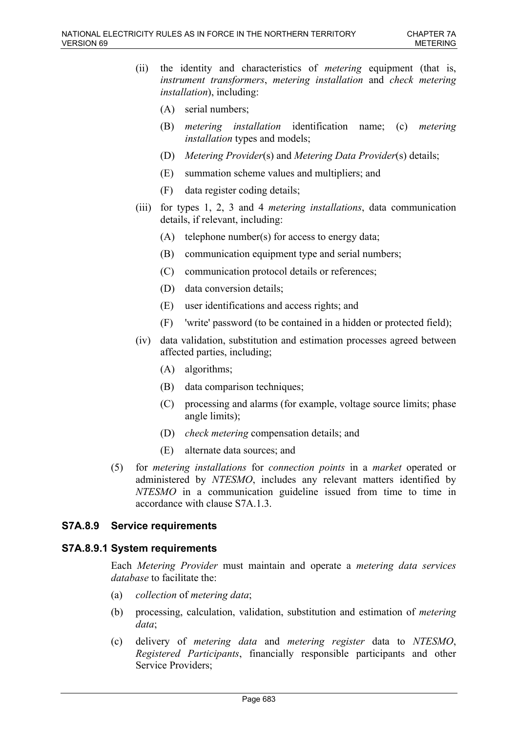- (ii) the identity and characteristics of *metering* equipment (that is, *instrument transformers*, *metering installation* and *check metering installation*), including:
	- (A) serial numbers;
	- (B) *metering installation* identification name; (c) *metering installation* types and models;
	- (D) *Metering Provider*(s) and *Metering Data Provider*(s) details;
	- (E) summation scheme values and multipliers; and
	- (F) data register coding details;
- (iii) for types 1, 2, 3 and 4 *metering installations*, data communication details, if relevant, including:
	- (A) telephone number(s) for access to energy data;
	- (B) communication equipment type and serial numbers;
	- (C) communication protocol details or references;
	- (D) data conversion details;
	- (E) user identifications and access rights; and
	- (F) 'write' password (to be contained in a hidden or protected field);
- (iv) data validation, substitution and estimation processes agreed between affected parties, including;
	- (A) algorithms;
	- (B) data comparison techniques;
	- (C) processing and alarms (for example, voltage source limits; phase angle limits);
	- (D) *check metering* compensation details; and
	- (E) alternate data sources; and
- (5) for *metering installations* for *connection points* in a *market* operated or administered by *NTESMO*, includes any relevant matters identified by *NTESMO* in a communication guideline issued from time to time in accordance with clause S7A.1.3.

# **S7A.8.9 Service requirements**

### **S7A.8.9.1 System requirements**

Each *Metering Provider* must maintain and operate a *metering data services database* to facilitate the:

- (a) *collection* of *metering data*;
- (b) processing, calculation, validation, substitution and estimation of *metering data*;
- (c) delivery of *metering data* and *metering register* data to *NTESMO*, *Registered Participants*, financially responsible participants and other Service Providers;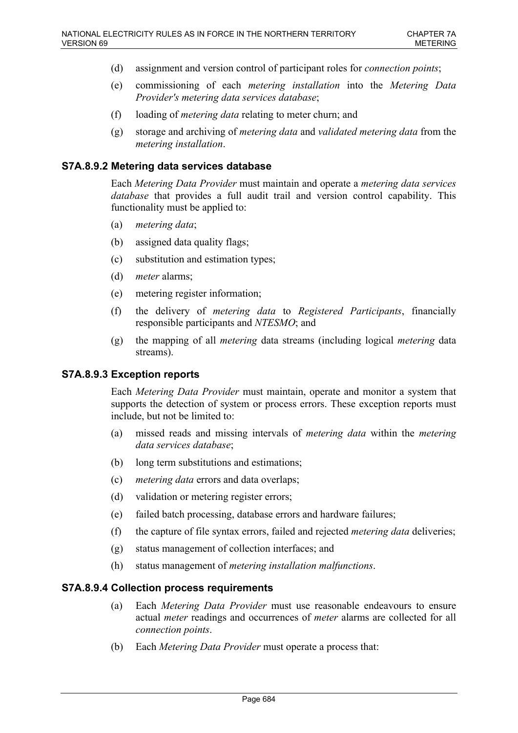- (d) assignment and version control of participant roles for *connection points*;
- (e) commissioning of each *metering installation* into the *Metering Data Provider's metering data services database*;
- (f) loading of *metering data* relating to meter churn; and
- (g) storage and archiving of *metering data* and *validated metering data* from the *metering installation*.

### **S7A.8.9.2 Metering data services database**

Each *Metering Data Provider* must maintain and operate a *metering data services database* that provides a full audit trail and version control capability. This functionality must be applied to:

- (a) *metering data*;
- (b) assigned data quality flags;
- (c) substitution and estimation types;
- (d) *meter* alarms;
- (e) metering register information;
- (f) the delivery of *metering data* to *Registered Participants*, financially responsible participants and *NTESMO*; and
- (g) the mapping of all *metering* data streams (including logical *metering* data streams).

# **S7A.8.9.3 Exception reports**

Each *Metering Data Provider* must maintain, operate and monitor a system that supports the detection of system or process errors. These exception reports must include, but not be limited to:

- (a) missed reads and missing intervals of *metering data* within the *metering data services database*;
- (b) long term substitutions and estimations;
- (c) *metering data* errors and data overlaps;
- (d) validation or metering register errors;
- (e) failed batch processing, database errors and hardware failures;
- (f) the capture of file syntax errors, failed and rejected *metering data* deliveries;
- (g) status management of collection interfaces; and
- (h) status management of *metering installation malfunctions*.

# **S7A.8.9.4 Collection process requirements**

- (a) Each *Metering Data Provider* must use reasonable endeavours to ensure actual *meter* readings and occurrences of *meter* alarms are collected for all *connection points*.
- (b) Each *Metering Data Provider* must operate a process that: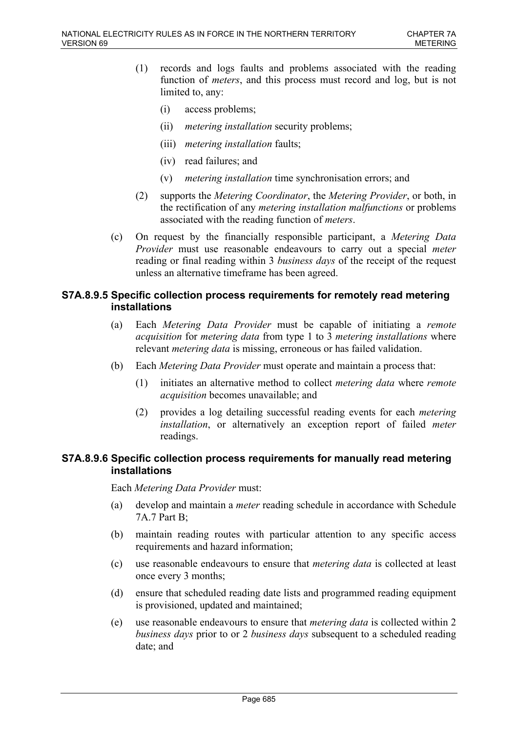- (1) records and logs faults and problems associated with the reading function of *meters*, and this process must record and log, but is not limited to, any:
	- (i) access problems;
	- (ii) *metering installation* security problems;
	- (iii) *metering installation* faults;
	- (iv) read failures; and
	- (v) *metering installation* time synchronisation errors; and
- (2) supports the *Metering Coordinator*, the *Metering Provider*, or both, in the rectification of any *metering installation malfunctions* or problems associated with the reading function of *meters*.
- (c) On request by the financially responsible participant, a *Metering Data Provider* must use reasonable endeavours to carry out a special *meter* reading or final reading within 3 *business days* of the receipt of the request unless an alternative timeframe has been agreed.

# **S7A.8.9.5 Specific collection process requirements for remotely read metering installations**

- (a) Each *Metering Data Provider* must be capable of initiating a *remote acquisition* for *metering data* from type 1 to 3 *metering installations* where relevant *metering data* is missing, erroneous or has failed validation.
- (b) Each *Metering Data Provider* must operate and maintain a process that:
	- (1) initiates an alternative method to collect *metering data* where *remote acquisition* becomes unavailable; and
	- (2) provides a log detailing successful reading events for each *metering installation*, or alternatively an exception report of failed *meter* readings.

## **S7A.8.9.6 Specific collection process requirements for manually read metering installations**

Each *Metering Data Provider* must:

- (a) develop and maintain a *meter* reading schedule in accordance with Schedule 7A.7 Part B;
- (b) maintain reading routes with particular attention to any specific access requirements and hazard information;
- (c) use reasonable endeavours to ensure that *metering data* is collected at least once every 3 months;
- (d) ensure that scheduled reading date lists and programmed reading equipment is provisioned, updated and maintained;
- (e) use reasonable endeavours to ensure that *metering data* is collected within 2 *business days* prior to or 2 *business days* subsequent to a scheduled reading date; and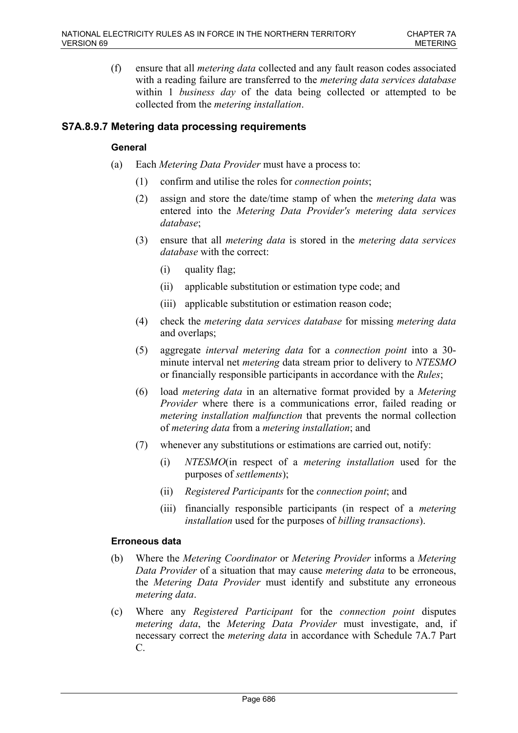(f) ensure that all *metering data* collected and any fault reason codes associated with a reading failure are transferred to the *metering data services database* within 1 *business day* of the data being collected or attempted to be collected from the *metering installation*.

# **S7A.8.9.7 Metering data processing requirements**

### **General**

- (a) Each *Metering Data Provider* must have a process to:
	- (1) confirm and utilise the roles for *connection points*;
	- (2) assign and store the date/time stamp of when the *metering data* was entered into the *Metering Data Provider's metering data services database*;
	- (3) ensure that all *metering data* is stored in the *metering data services database* with the correct:
		- (i) quality flag;
		- (ii) applicable substitution or estimation type code; and
		- (iii) applicable substitution or estimation reason code;
	- (4) check the *metering data services database* for missing *metering data* and overlaps;
	- (5) aggregate *interval metering data* for a *connection point* into a 30 minute interval net *metering* data stream prior to delivery to *NTESMO* or financially responsible participants in accordance with the *Rules*;
	- (6) load *metering data* in an alternative format provided by a *Metering Provider* where there is a communications error, failed reading or *metering installation malfunction* that prevents the normal collection of *metering data* from a *metering installation*; and
	- (7) whenever any substitutions or estimations are carried out, notify:
		- (i) *NTESMO*(in respect of a *metering installation* used for the purposes of *settlements*);
		- (ii) *Registered Participants* for the *connection point*; and
		- (iii) financially responsible participants (in respect of a *metering installation* used for the purposes of *billing transactions*).

### **Erroneous data**

- (b) Where the *Metering Coordinator* or *Metering Provider* informs a *Metering Data Provider* of a situation that may cause *metering data* to be erroneous, the *Metering Data Provider* must identify and substitute any erroneous *metering data*.
- (c) Where any *Registered Participant* for the *connection point* disputes *metering data*, the *Metering Data Provider* must investigate, and, if necessary correct the *metering data* in accordance with Schedule 7A.7 Part C.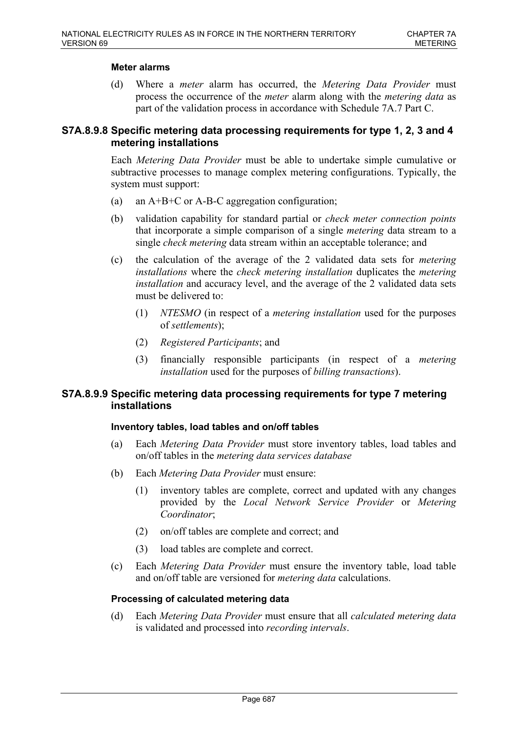## **Meter alarms**

(d) Where a *meter* alarm has occurred, the *Metering Data Provider* must process the occurrence of the *meter* alarm along with the *metering data* as part of the validation process in accordance with Schedule 7A.7 Part C.

# **S7A.8.9.8 Specific metering data processing requirements for type 1, 2, 3 and 4 metering installations**

Each *Metering Data Provider* must be able to undertake simple cumulative or subtractive processes to manage complex metering configurations. Typically, the system must support:

- (a) an A+B+C or A-B-C aggregation configuration;
- (b) validation capability for standard partial or *check meter connection points* that incorporate a simple comparison of a single *metering* data stream to a single *check metering* data stream within an acceptable tolerance; and
- (c) the calculation of the average of the 2 validated data sets for *metering installations* where the *check metering installation* duplicates the *metering installation* and accuracy level, and the average of the 2 validated data sets must be delivered to:
	- (1) *NTESMO* (in respect of a *metering installation* used for the purposes of *settlements*);
	- (2) *Registered Participants*; and
	- (3) financially responsible participants (in respect of a *metering installation* used for the purposes of *billing transactions*).

## **S7A.8.9.9 Specific metering data processing requirements for type 7 metering installations**

### **Inventory tables, load tables and on/off tables**

- (a) Each *Metering Data Provider* must store inventory tables, load tables and on/off tables in the *metering data services database*
- (b) Each *Metering Data Provider* must ensure:
	- (1) inventory tables are complete, correct and updated with any changes provided by the *Local Network Service Provider* or *Metering Coordinator*;
	- (2) on/off tables are complete and correct; and
	- (3) load tables are complete and correct.
- (c) Each *Metering Data Provider* must ensure the inventory table, load table and on/off table are versioned for *metering data* calculations.

### **Processing of calculated metering data**

(d) Each *Metering Data Provider* must ensure that all *calculated metering data* is validated and processed into *recording intervals*.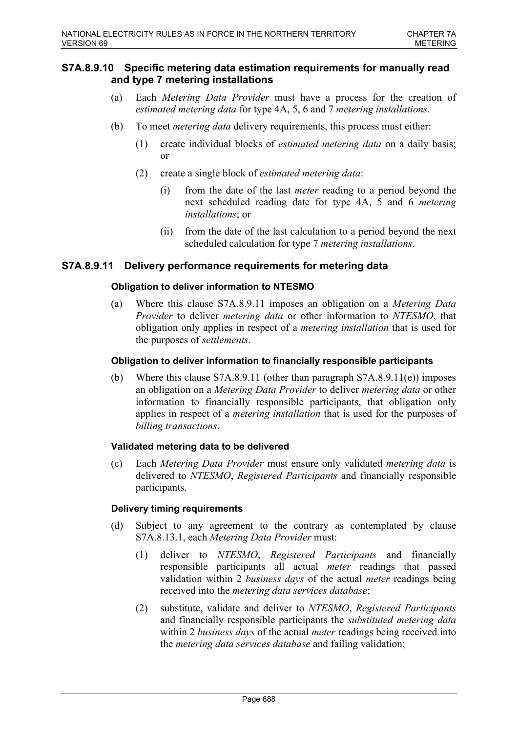# **S7A.8.9.10 Specific metering data estimation requirements for manually read and type 7 metering installations**

- (a) Each *Metering Data Provider* must have a process for the creation of *estimated metering data* for type 4A, 5, 6 and 7 *metering installations*.
- (b) To meet *metering data* delivery requirements, this process must either:
	- (1) create individual blocks of *estimated metering data* on a daily basis; or
	- (2) create a single block of *estimated metering data*:
		- (i) from the date of the last *meter* reading to a period beyond the next scheduled reading date for type 4A, 5 and 6 *metering installations*; or
		- (ii) from the date of the last calculation to a period beyond the next scheduled calculation for type 7 *metering installations*.

# **S7A.8.9.11 Delivery performance requirements for metering data**

### **Obligation to deliver information to NTESMO**

(a) Where this clause S7A.8.9.11 imposes an obligation on a *Metering Data Provider* to deliver *metering data* or other information to *NTESMO*, that obligation only applies in respect of a *metering installation* that is used for the purposes of *settlements*.

#### **Obligation to deliver information to financially responsible participants**

(b) Where this clause S7A.8.9.11 (other than paragraph S7A.8.9.11(e)) imposes an obligation on a *Metering Data Provider* to deliver *metering data* or other information to financially responsible participants, that obligation only applies in respect of a *metering installation* that is used for the purposes of *billing transactions*.

#### **Validated metering data to be delivered**

(c) Each *Metering Data Provider* must ensure only validated *metering data* is delivered to *NTESMO*, *Registered Participants* and financially responsible participants.

#### **Delivery timing requirements**

- (d) Subject to any agreement to the contrary as contemplated by clause S7A.8.13.1, each *Metering Data Provider* must:
	- (1) deliver to *NTESMO*, *Registered Participants* and financially responsible participants all actual *meter* readings that passed validation within 2 *business days* of the actual *meter* readings being received into the *metering data services database*;
	- (2) substitute, validate and deliver to *NTESMO*, *Registered Participants* and financially responsible participants the *substituted metering data* within 2 *business days* of the actual *meter* readings being received into the *metering data services database* and failing validation;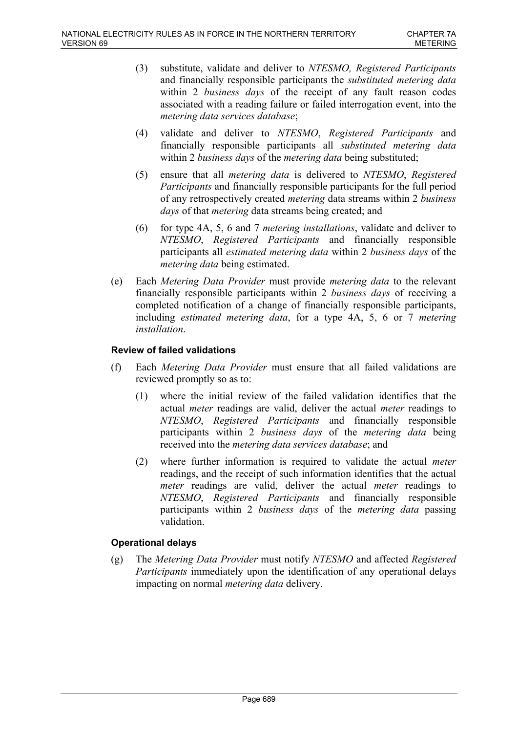- (3) substitute, validate and deliver to *NTESMO, Registered Participants* and financially responsible participants the *substituted metering data* within 2 *business days* of the receipt of any fault reason codes associated with a reading failure or failed interrogation event, into the *metering data services database*;
- (4) validate and deliver to *NTESMO*, *Registered Participants* and financially responsible participants all *substituted metering data* within 2 *business days* of the *metering data* being substituted;
- (5) ensure that all *metering data* is delivered to *NTESMO*, *Registered Participants* and financially responsible participants for the full period of any retrospectively created *metering* data streams within 2 *business days* of that *metering* data streams being created; and
- (6) for type 4A, 5, 6 and 7 *metering installations*, validate and deliver to *NTESMO*, *Registered Participants* and financially responsible participants all *estimated metering data* within 2 *business days* of the *metering data* being estimated.
- (e) Each *Metering Data Provider* must provide *metering data* to the relevant financially responsible participants within 2 *business days* of receiving a completed notification of a change of financially responsible participants, including *estimated metering data*, for a type 4A, 5, 6 or 7 *metering installation*.

## **Review of failed validations**

- (f) Each *Metering Data Provider* must ensure that all failed validations are reviewed promptly so as to:
	- (1) where the initial review of the failed validation identifies that the actual *meter* readings are valid, deliver the actual *meter* readings to *NTESMO*, *Registered Participants* and financially responsible participants within 2 *business days* of the *metering data* being received into the *metering data services database*; and
	- (2) where further information is required to validate the actual *meter* readings, and the receipt of such information identifies that the actual *meter* readings are valid, deliver the actual *meter* readings to *NTESMO*, *Registered Participants* and financially responsible participants within 2 *business days* of the *metering data* passing validation.

### **Operational delays**

(g) The *Metering Data Provider* must notify *NTESMO* and affected *Registered Participants* immediately upon the identification of any operational delays impacting on normal *metering data* delivery.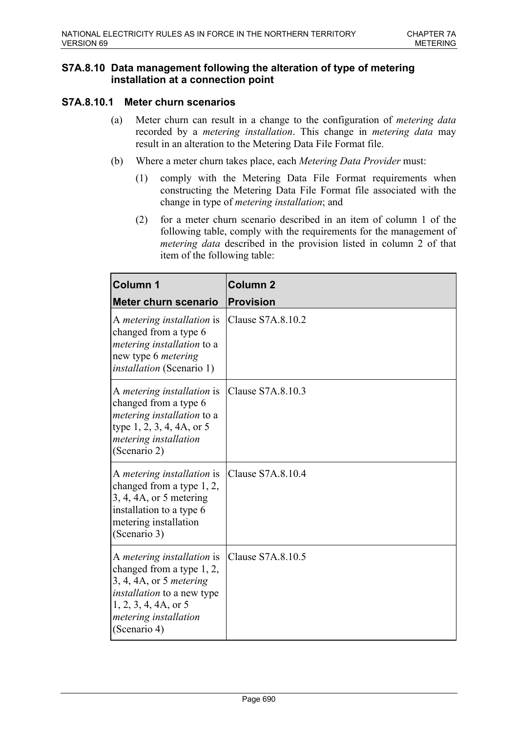# **S7A.8.10 Data management following the alteration of type of metering installation at a connection point**

# **S7A.8.10.1 Meter churn scenarios**

- (a) Meter churn can result in a change to the configuration of *metering data* recorded by a *metering installation*. This change in *metering data* may result in an alteration to the Metering Data File Format file.
- (b) Where a meter churn takes place, each *Metering Data Provider* must:
	- (1) comply with the Metering Data File Format requirements when constructing the Metering Data File Format file associated with the change in type of *metering installation*; and
	- (2) for a meter churn scenario described in an item of column 1 of the following table, comply with the requirements for the management of *metering data* described in the provision listed in column 2 of that item of the following table:

| <b>Column 1</b>                                                                                                                                                                                                         | <b>Column 2</b>   |
|-------------------------------------------------------------------------------------------------------------------------------------------------------------------------------------------------------------------------|-------------------|
| <b>Meter churn scenario</b>                                                                                                                                                                                             | <b>Provision</b>  |
| A <i>metering installation</i> is<br>changed from a type 6<br><i>metering installation to a</i><br>new type 6 <i>metering</i><br><i>installation</i> (Scenario 1)                                                       | Clause S7A.8.10.2 |
| A metering installation is<br>changed from a type 6<br><i>metering installation to a</i><br>type $1, 2, 3, 4, 4A$ , or 5<br>metering installation<br>(Scenario 2)                                                       | Clause S7A.8.10.3 |
| A metering installation is<br>changed from a type 1, 2,<br>$\vert 3, 4, 4A, \text{ or } 5 \text{ metering} \vert$<br>installation to a type 6<br>metering installation<br>(Scenario 3)                                  | Clause S7A.8.10.4 |
| A metering installation is<br>changed from a type 1, 2,<br>$\left 3, 4, 4A, \text{or } 5$ metering<br><i>installation</i> to a new type<br>$\vert 1, 2, 3, 4, 4A,$ or 5<br><i>metering installation</i><br>(Scenario 4) | Clause S7A.8.10.5 |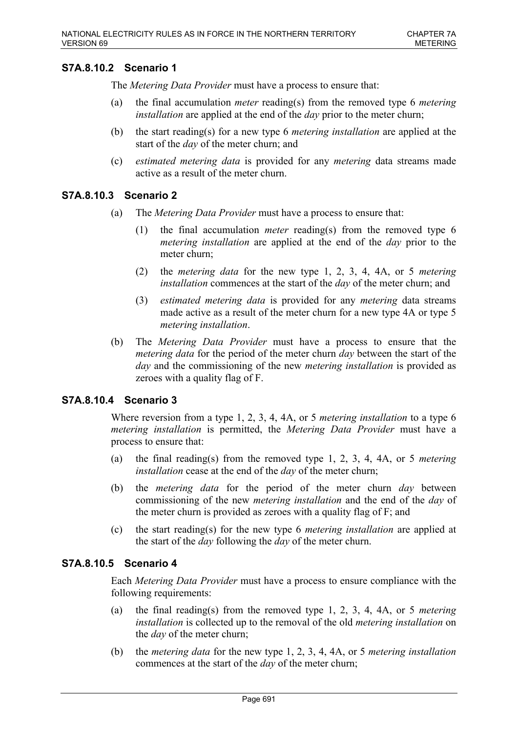# **S7A.8.10.2 Scenario 1**

The *Metering Data Provider* must have a process to ensure that:

- (a) the final accumulation *meter* reading(s) from the removed type 6 *metering installation* are applied at the end of the *day* prior to the meter churn;
- (b) the start reading(s) for a new type 6 *metering installation* are applied at the start of the *day* of the meter churn; and
- (c) *estimated metering data* is provided for any *metering* data streams made active as a result of the meter churn.

## **S7A.8.10.3 Scenario 2**

- (a) The *Metering Data Provider* must have a process to ensure that:
	- (1) the final accumulation *meter* reading(s) from the removed type 6 *metering installation* are applied at the end of the *day* prior to the meter churn;
	- (2) the *metering data* for the new type 1, 2, 3, 4, 4A, or 5 *metering installation* commences at the start of the *day* of the meter churn; and
	- (3) *estimated metering data* is provided for any *metering* data streams made active as a result of the meter churn for a new type 4A or type 5 *metering installation*.
- (b) The *Metering Data Provider* must have a process to ensure that the *metering data* for the period of the meter churn *day* between the start of the *day* and the commissioning of the new *metering installation* is provided as zeroes with a quality flag of F.

# **S7A.8.10.4 Scenario 3**

Where reversion from a type 1, 2, 3, 4, 4A, or 5 *metering installation* to a type 6 *metering installation* is permitted, the *Metering Data Provider* must have a process to ensure that:

- (a) the final reading(s) from the removed type 1, 2, 3, 4, 4A, or 5 *metering installation* cease at the end of the *day* of the meter churn;
- (b) the *metering data* for the period of the meter churn *day* between commissioning of the new *metering installation* and the end of the *day* of the meter churn is provided as zeroes with a quality flag of F; and
- (c) the start reading(s) for the new type 6 *metering installation* are applied at the start of the *day* following the *day* of the meter churn.

### **S7A.8.10.5 Scenario 4**

Each *Metering Data Provider* must have a process to ensure compliance with the following requirements:

- (a) the final reading(s) from the removed type 1, 2, 3, 4, 4A, or 5 *metering installation* is collected up to the removal of the old *metering installation* on the *day* of the meter churn;
- (b) the *metering data* for the new type 1, 2, 3, 4, 4A, or 5 *metering installation* commences at the start of the *day* of the meter churn;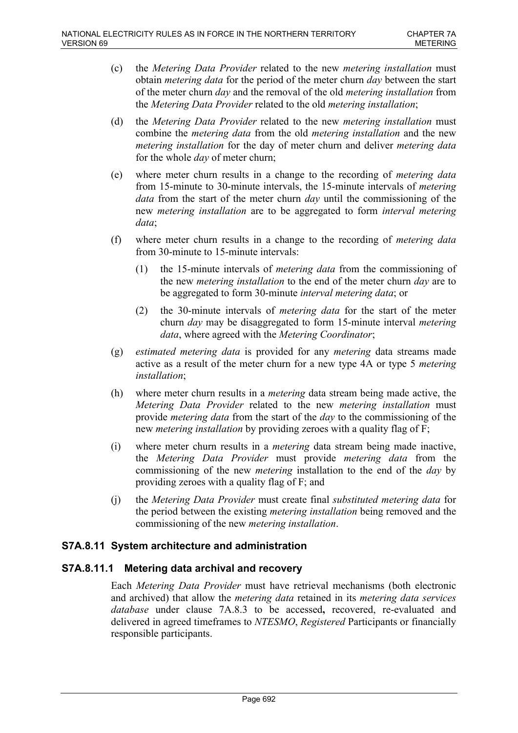- (c) the *Metering Data Provider* related to the new *metering installation* must obtain *metering data* for the period of the meter churn *day* between the start of the meter churn *day* and the removal of the old *metering installation* from the *Metering Data Provider* related to the old *metering installation*;
- (d) the *Metering Data Provider* related to the new *metering installation* must combine the *metering data* from the old *metering installation* and the new *metering installation* for the day of meter churn and deliver *metering data* for the whole *day* of meter churn;
- (e) where meter churn results in a change to the recording of *metering data* from 15-minute to 30-minute intervals, the 15-minute intervals of *metering data* from the start of the meter churn *day* until the commissioning of the new *metering installation* are to be aggregated to form *interval metering data*;
- (f) where meter churn results in a change to the recording of *metering data* from 30-minute to 15-minute intervals:
	- (1) the 15-minute intervals of *metering data* from the commissioning of the new *metering installation* to the end of the meter churn *day* are to be aggregated to form 30-minute *interval metering data*; or
	- (2) the 30-minute intervals of *metering data* for the start of the meter churn *day* may be disaggregated to form 15-minute interval *metering data*, where agreed with the *Metering Coordinator*;
- (g) *estimated metering data* is provided for any *metering* data streams made active as a result of the meter churn for a new type 4A or type 5 *metering installation*;
- (h) where meter churn results in a *metering* data stream being made active, the *Metering Data Provider* related to the new *metering installation* must provide *metering data* from the start of the *day* to the commissioning of the new *metering installation* by providing zeroes with a quality flag of F;
- (i) where meter churn results in a *metering* data stream being made inactive, the *Metering Data Provider* must provide *metering data* from the commissioning of the new *metering* installation to the end of the *day* by providing zeroes with a quality flag of F; and
- (j) the *Metering Data Provider* must create final *substituted metering data* for the period between the existing *metering installation* being removed and the commissioning of the new *metering installation*.

# **S7A.8.11 System architecture and administration**

# **S7A.8.11.1 Metering data archival and recovery**

Each *Metering Data Provider* must have retrieval mechanisms (both electronic and archived) that allow the *metering data* retained in its *metering data services database* under clause 7A.8.3 to be accessed**,** recovered, re-evaluated and delivered in agreed timeframes to *NTESMO*, *Registered* Participants or financially responsible participants.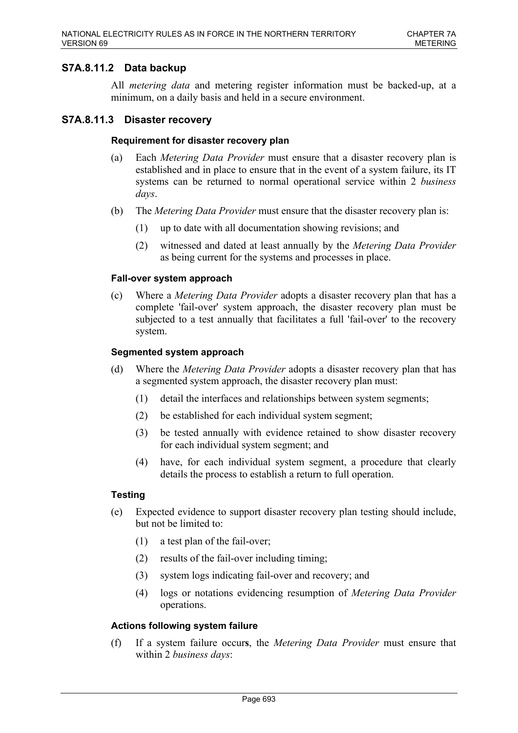# **S7A.8.11.2 Data backup**

All *metering data* and metering register information must be backed-up, at a minimum, on a daily basis and held in a secure environment.

### **S7A.8.11.3 Disaster recovery**

#### **Requirement for disaster recovery plan**

- (a) Each *Metering Data Provider* must ensure that a disaster recovery plan is established and in place to ensure that in the event of a system failure, its IT systems can be returned to normal operational service within 2 *business days*.
- (b) The *Metering Data Provider* must ensure that the disaster recovery plan is:
	- (1) up to date with all documentation showing revisions; and
	- (2) witnessed and dated at least annually by the *Metering Data Provider* as being current for the systems and processes in place.

#### **Fall-over system approach**

(c) Where a *Metering Data Provider* adopts a disaster recovery plan that has a complete 'fail-over' system approach, the disaster recovery plan must be subjected to a test annually that facilitates a full 'fail-over' to the recovery system.

#### **Segmented system approach**

- (d) Where the *Metering Data Provider* adopts a disaster recovery plan that has a segmented system approach, the disaster recovery plan must:
	- (1) detail the interfaces and relationships between system segments;
	- (2) be established for each individual system segment;
	- (3) be tested annually with evidence retained to show disaster recovery for each individual system segment; and
	- (4) have, for each individual system segment, a procedure that clearly details the process to establish a return to full operation.

### **Testing**

- (e) Expected evidence to support disaster recovery plan testing should include, but not be limited to:
	- (1) a test plan of the fail-over;
	- (2) results of the fail-over including timing;
	- (3) system logs indicating fail-over and recovery; and
	- (4) logs or notations evidencing resumption of *Metering Data Provider* operations.

#### **Actions following system failure**

(f) If a system failure occur**s**, the *Metering Data Provider* must ensure that within 2 *business days*: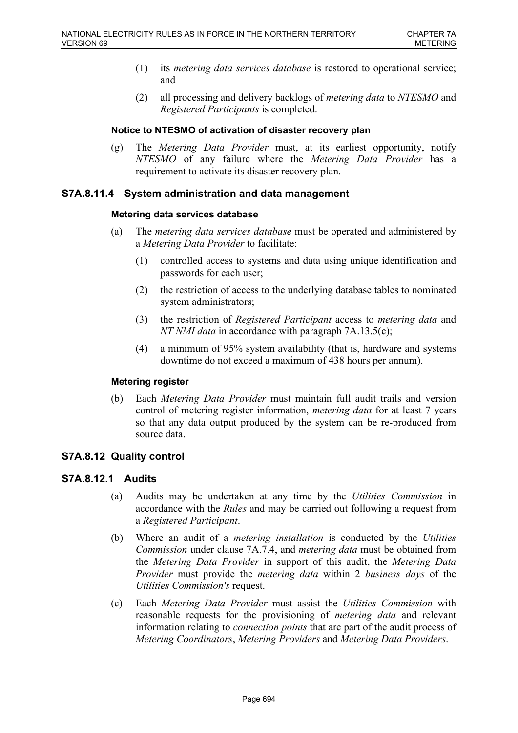- (1) its *metering data services database* is restored to operational service; and
- (2) all processing and delivery backlogs of *metering data* to *NTESMO* and *Registered Participants* is completed.

#### **Notice to NTESMO of activation of disaster recovery plan**

(g) The *Metering Data Provider* must, at its earliest opportunity, notify *NTESMO* of any failure where the *Metering Data Provider* has a requirement to activate its disaster recovery plan.

## **S7A.8.11.4 System administration and data management**

#### **Metering data services database**

- (a) The *metering data services database* must be operated and administered by a *Metering Data Provider* to facilitate:
	- (1) controlled access to systems and data using unique identification and passwords for each user;
	- (2) the restriction of access to the underlying database tables to nominated system administrators;
	- (3) the restriction of *Registered Participant* access to *metering data* and *NT NMI data* in accordance with paragraph 7A.13.5(c);
	- (4) a minimum of 95% system availability (that is, hardware and systems downtime do not exceed a maximum of 438 hours per annum).

### **Metering register**

(b) Each *Metering Data Provider* must maintain full audit trails and version control of metering register information, *metering data* for at least 7 years so that any data output produced by the system can be re-produced from source data.

### **S7A.8.12 Quality control**

### **S7A.8.12.1 Audits**

- (a) Audits may be undertaken at any time by the *Utilities Commission* in accordance with the *Rules* and may be carried out following a request from a *Registered Participant*.
- (b) Where an audit of a *metering installation* is conducted by the *Utilities Commission* under clause 7A.7.4, and *metering data* must be obtained from the *Metering Data Provider* in support of this audit, the *Metering Data Provider* must provide the *metering data* within 2 *business days* of the *Utilities Commission's* request.
- (c) Each *Metering Data Provider* must assist the *Utilities Commission* with reasonable requests for the provisioning of *metering data* and relevant information relating to *connection points* that are part of the audit process of *Metering Coordinators*, *Metering Providers* and *Metering Data Providers*.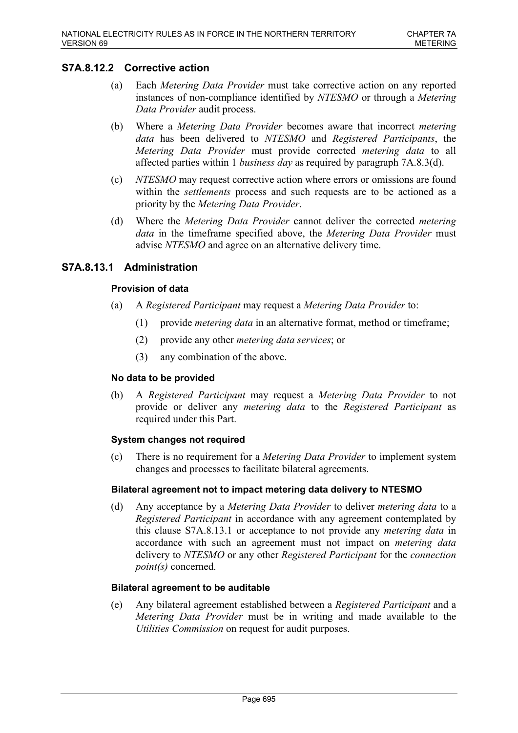# **S7A.8.12.2 Corrective action**

- (a) Each *Metering Data Provider* must take corrective action on any reported instances of non-compliance identified by *NTESMO* or through a *Metering Data Provider* audit process.
- (b) Where a *Metering Data Provider* becomes aware that incorrect *metering data* has been delivered to *NTESMO* and *Registered Participants*, the *Metering Data Provider* must provide corrected *metering data* to all affected parties within 1 *business day* as required by paragraph 7A.8.3(d).
- (c) *NTESMO* may request corrective action where errors or omissions are found within the *settlements* process and such requests are to be actioned as a priority by the *Metering Data Provider*.
- (d) Where the *Metering Data Provider* cannot deliver the corrected *metering data* in the timeframe specified above, the *Metering Data Provider* must advise *NTESMO* and agree on an alternative delivery time.

# **S7A.8.13.1 Administration**

## **Provision of data**

- (a) A *Registered Participant* may request a *Metering Data Provider* to:
	- (1) provide *metering data* in an alternative format, method or timeframe;
	- (2) provide any other *metering data services*; or
	- (3) any combination of the above.

### **No data to be provided**

(b) A *Registered Participant* may request a *Metering Data Provider* to not provide or deliver any *metering data* to the *Registered Participant* as required under this Part.

### **System changes not required**

(c) There is no requirement for a *Metering Data Provider* to implement system changes and processes to facilitate bilateral agreements.

### **Bilateral agreement not to impact metering data delivery to NTESMO**

(d) Any acceptance by a *Metering Data Provider* to deliver *metering data* to a *Registered Participant* in accordance with any agreement contemplated by this clause S7A.8.13.1 or acceptance to not provide any *metering data* in accordance with such an agreement must not impact on *metering data* delivery to *NTESMO* or any other *Registered Participant* for the *connection point(s)* concerned.

### **Bilateral agreement to be auditable**

(e) Any bilateral agreement established between a *Registered Participant* and a *Metering Data Provider* must be in writing and made available to the *Utilities Commission* on request for audit purposes.